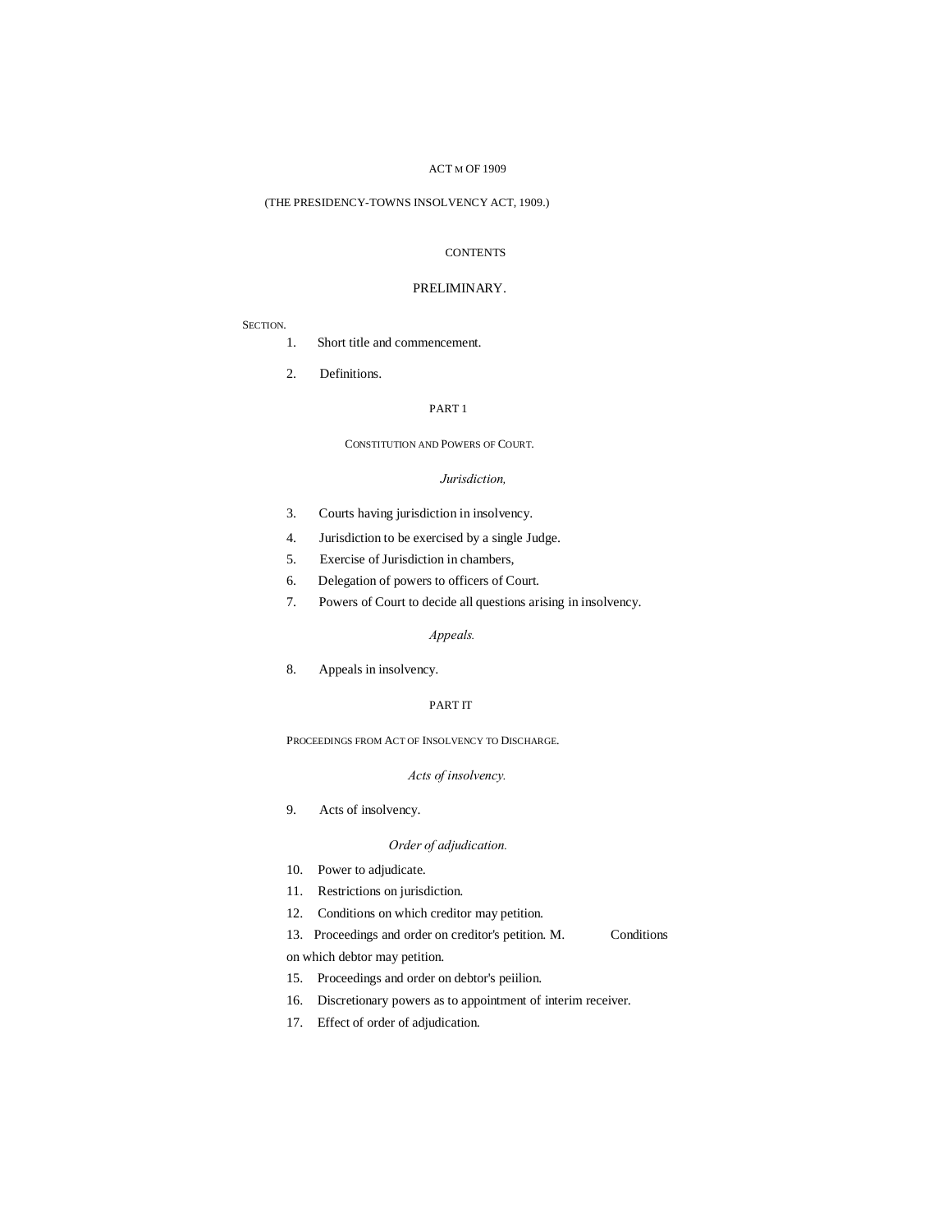#### ACT M OF 1909

# (THE PRESIDENCY-TOWNS INSOLVENCY ACT, 1909.)

## **CONTENTS**

## PRELIMINARY.

#### SECTION.

- 1. Short title and commencement.
- 2. Definitions.

## PART 1

#### CONSTITUTION AND POWERS OF COURT.

## *Jurisdiction,*

- 3. Courts having jurisdiction in insolvency.
- 4. Jurisdiction to be exercised by a single Judge.
- 5. Exercise of Jurisdiction in chambers,
- 6. Delegation of powers to officers of Court.
- 7. Powers of Court to decide all questions arising in insolvency.

#### *Appeals.*

8. Appeals in insolvency.

#### PART IT

PROCEEDINGS FROM ACT OF INSOLVENCY TO DISCHARGE.

#### *Acts of insolvency.*

9. Acts of insolvency.

## *Order of adjudication.*

- 10. Power to adjudicate.
- 11. Restrictions on jurisdiction.
- 12. Conditions on which creditor may petition.
- 13. Proceedings and order on creditor's petition. M. Conditions

on which debtor may petition.

- 15. Proceedings and order on debtor's peiilion.
- 16. Discretionary powers as to appointment of interim receiver.
- 17. Effect of order of adjudication.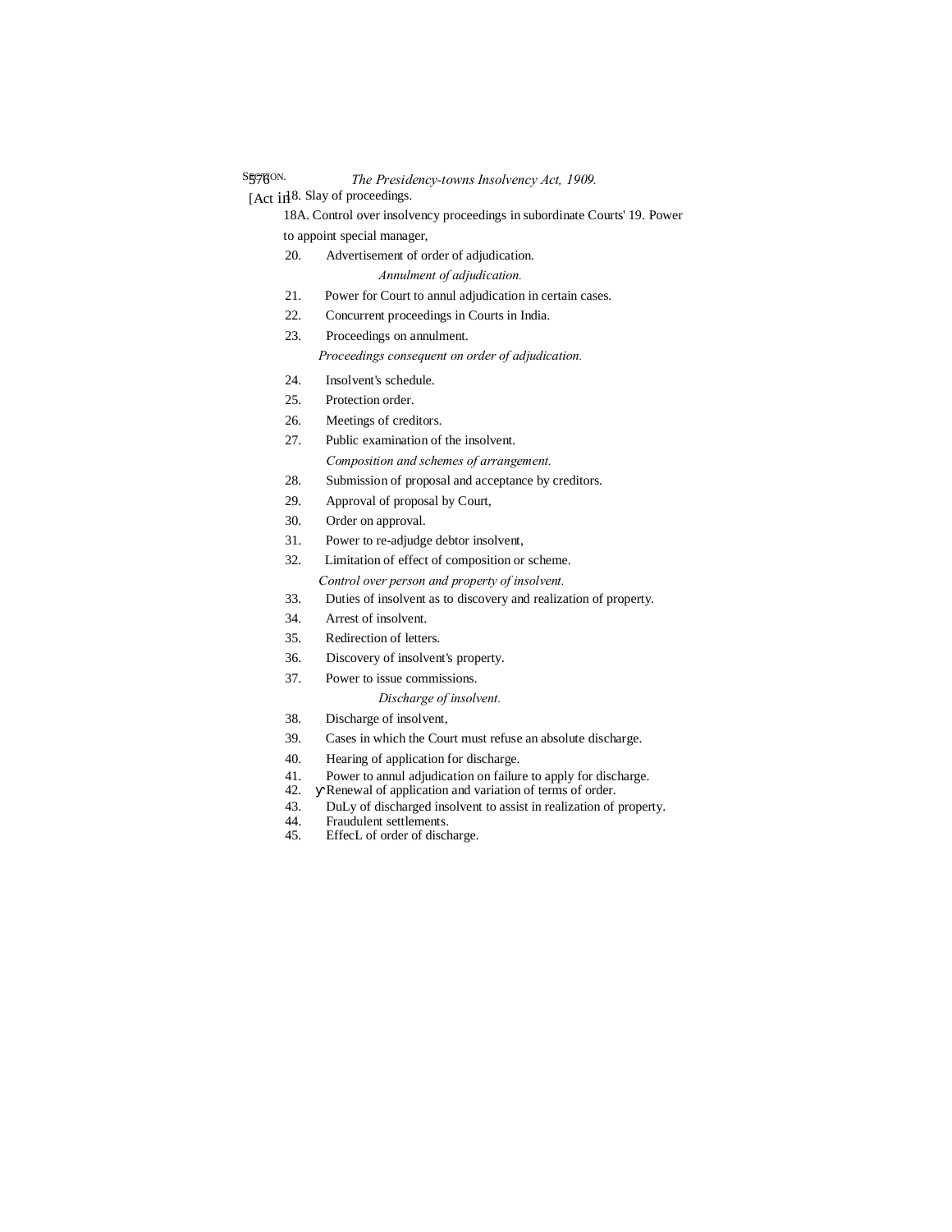#### 576 *The Presidency-towns Insolvency Act, 1909.* SEGRON.

[Act in 8. Slay of proceedings.

18A. Control over insolvency proceedings in subordinate Courts' 19. Power

to appoint special manager,

20. Advertisement of order of adjudication. *Annulment of adjudication.*

- 21. Power for Court to annul adjudication in certain cases.
- 22. Concurrent proceedings in Courts in India.
- 23. Proceedings on annulment.
	- *Proceedings consequent on order of adjudication.*
- 24. Insolvent's schedule.
- 25. Protection order.
- 26. Meetings of creditors.
- 27. Public examination of the insolvent.
	- *Composition and schemes of arrangement.*
- 28. Submission of proposal and acceptance by creditors.
- 29. Approval of proposal by Court,
- 30. Order on approval.
- 31. Power to re-adjudge debtor insolvent,
- 32. Limitation of effect of composition or scheme. *Control over person and property of insolvent.*
- 33. Duties of insolvent as to discovery and realization of property.
- 34. Arrest of insolvent.
- 35. Redirection of letters.
- 36. Discovery of insolvent's property.
- 37. Power to issue commissions.

#### *Discharge of insolvent.*

- 38. Discharge of insolvent,
- 39. Cases in which the Court must refuse an absolute discharge.
- 40. Hearing of application for discharge.
- 41. Power to annul adjudication on failure to apply for discharge.<br>42. Renewal of application and variation of terms of order.
- Renewal of application and variation of terms of order.
- 43. DuLy of discharged insolvent to assist in realization of property.<br>44. Fraudulent settlements.
- 44. Fraudulent settlements.<br>45. EffecL of order of disch
- EffecL of order of discharge.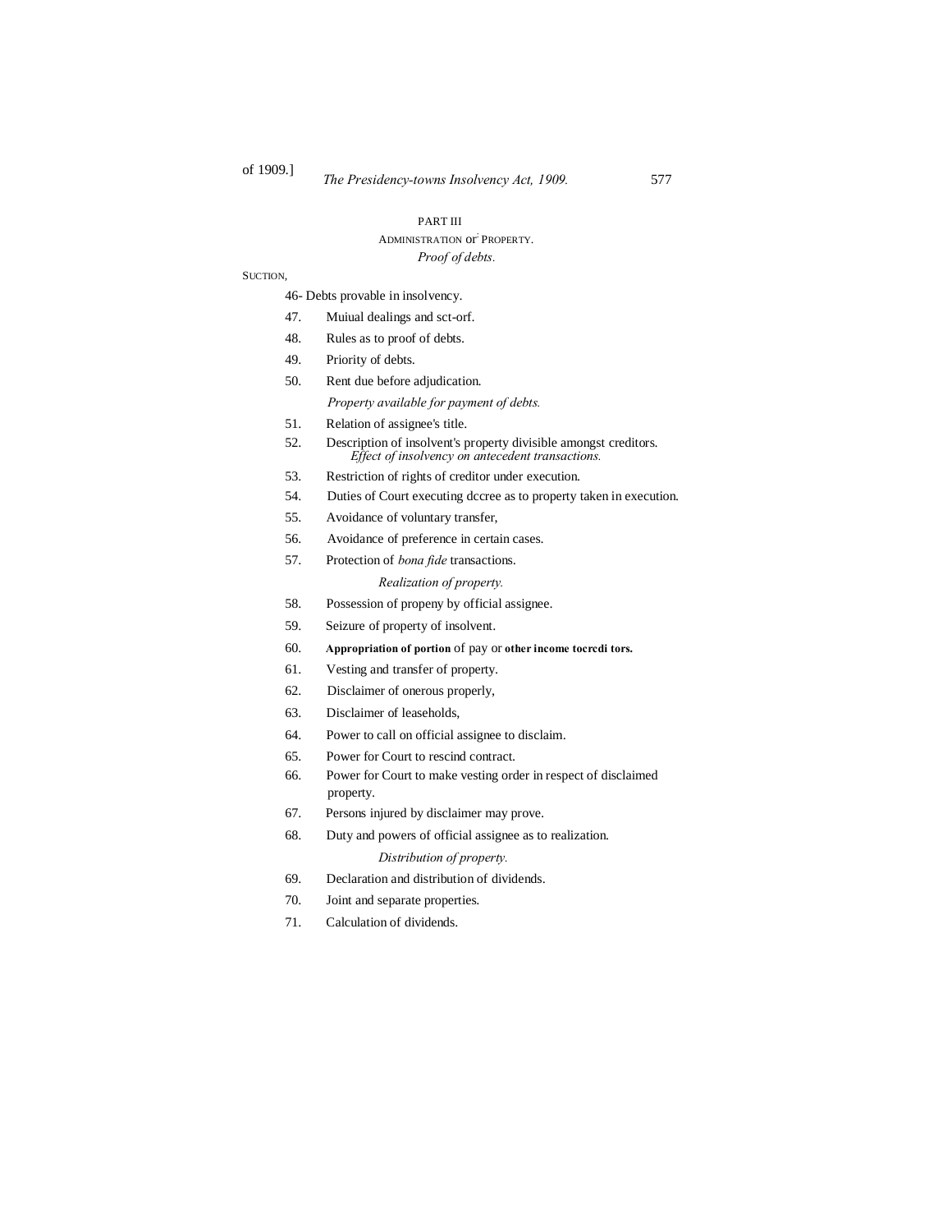# PART III

# ADMINISTRATION OF PROPERTY. *Proof of debts.*

#### SUCTION,

46- Debts provable in insolvency.

- 47. Muiual dealings and sct-orf.
- 48. Rules as to proof of debts.
- 49. Priority of debts.
- 50. Rent due before adjudication.
	- *Property available for payment of debts.*
- 51. Relation of assignee's title.
- 52. Description of insolvent's property divisible amongst creditors. *Effect of insolvency on antecedent transactions.*
- 53. Restriction of rights of creditor under execution.
- 54. Duties of Court executing dccree as to property taken in execution.
- 55. Avoidance of voluntary transfer,
- 56. Avoidance of preference in certain cases.
- 57. Protection of *bona fide* transactions.

## *Realization of property.*

- 58. Possession of propeny by official assignee.
- 59. Seizure of property of insolvent.
- 60. **Appropriation of portion** of pay or **other income tocrcdi tors.**
- 61. Vesting and transfer of property.
- 62. Disclaimer of onerous properly,
- 63. Disclaimer of leaseholds,
- 64. Power to call on official assignee to disclaim.
- 65. Power for Court to rescind contract.
- 66. Power for Court to make vesting order in respect of disclaimed property.
- 67. Persons injured by disclaimer may prove.
- 68. Duty and powers of official assignee as to realization. *Distribution of property.*
- 69. Declaration and distribution of dividends.
- 70. Joint and separate properties.
- 71. Calculation of dividends.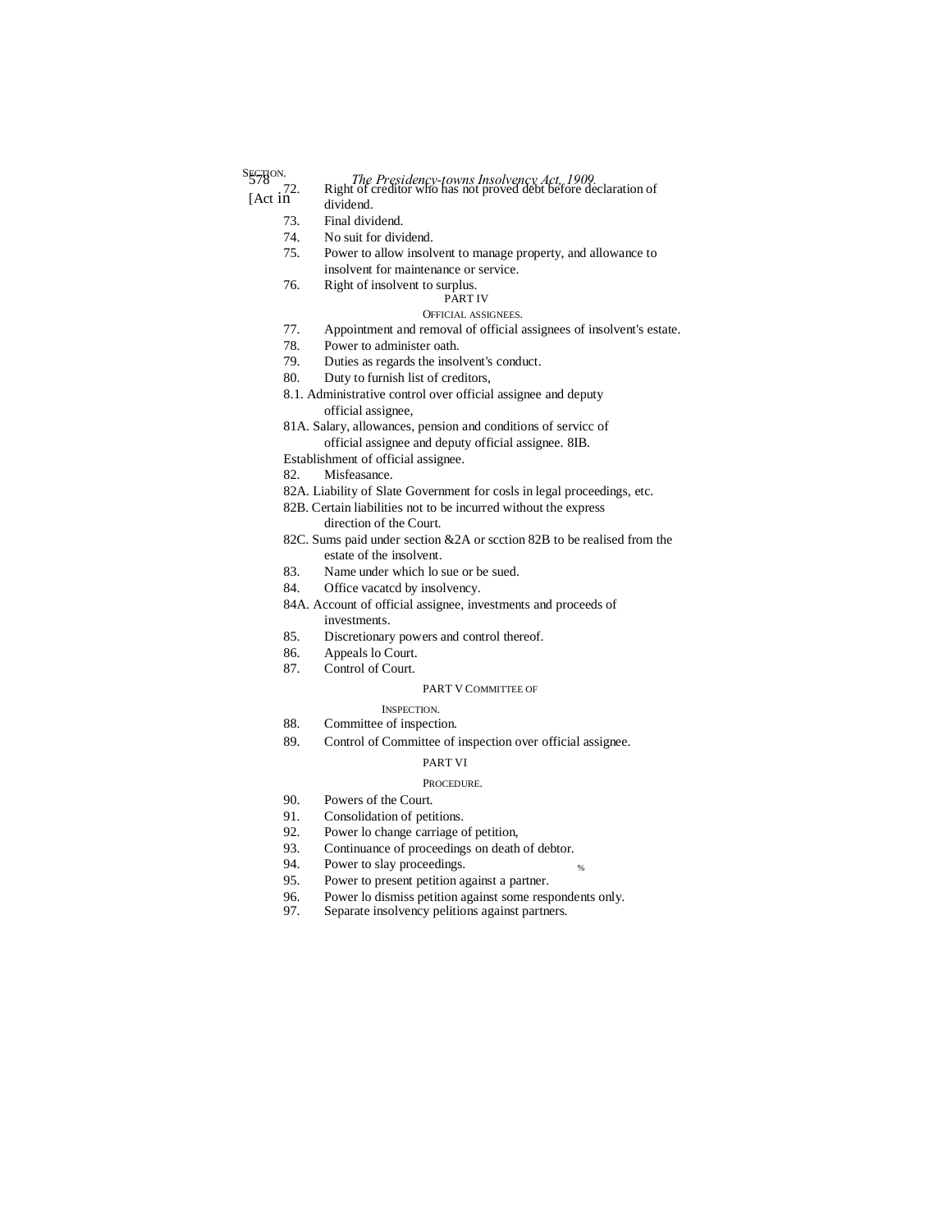$\frac{378}{1}$ [Act in<sup>72.</sup> SECTION.

# 578 *The Presidency-towns Insolvency Act, 1909.* 72. Right of creditor who has not proved debt before declaration of

- dividend.
	- 73. Final dividend.
	- 74. No suit for dividend.
	- 75. Power to allow insolvent to manage property, and allowance to insolvent for maintenance or service.
	- 76. Right of insolvent to surplus.
		- PART IV

## OFFICIAL ASSIGNEES.

- 77. Appointment and removal of official assignees of insolvent's estate.
- 78. Power to administer oath.
- 79. Duties as regards the insolvent's conduct.
- 80. Duty to furnish list of creditors,
- 8.1. Administrative control over official assignee and deputy
	- official assignee,
- 81A. Salary, allowances, pension and conditions of servicc of official assignee and deputy official assignee. 8IB.
- Establishment of official assignee.
- 82. Misfeasance.
- 82A. Liability of Slate Government for cosls in legal proceedings, etc.
- 82B. Certain liabilities not to be incurred without the express direction of the Court.
- 82C. Sums paid under section &2A or scction 82B to be realised from the estate of the insolvent.
- 83. Name under which lo sue or be sued.
- 84. Office vacatcd by insolvency.
- 84A. Account of official assignee, investments and proceeds of investments.
- 85. Discretionary powers and control thereof.
- 86. Appeals lo Court.
- 87. Control of Court.

#### PART V COMMITTEE OF

## INSPECTION.

- 88. Committee of inspection.
- 89. Control of Committee of inspection over official assignee.

## PART VI

## PROCEDURE.

- 90. Powers of the Court.
- 91. Consolidation of petitions.
- 92. Power lo change carriage of petition,
- 93. Continuance of proceedings on death of debtor.
- 94. Power to slay proceedings.<br>95. Power to present petition as
- Power to present petition against a partner.
- 96. Power lo dismiss petition against some respondents only.<br>97. Separate insolvency pelitions against partners.
- Separate insolvency pelitions against partners.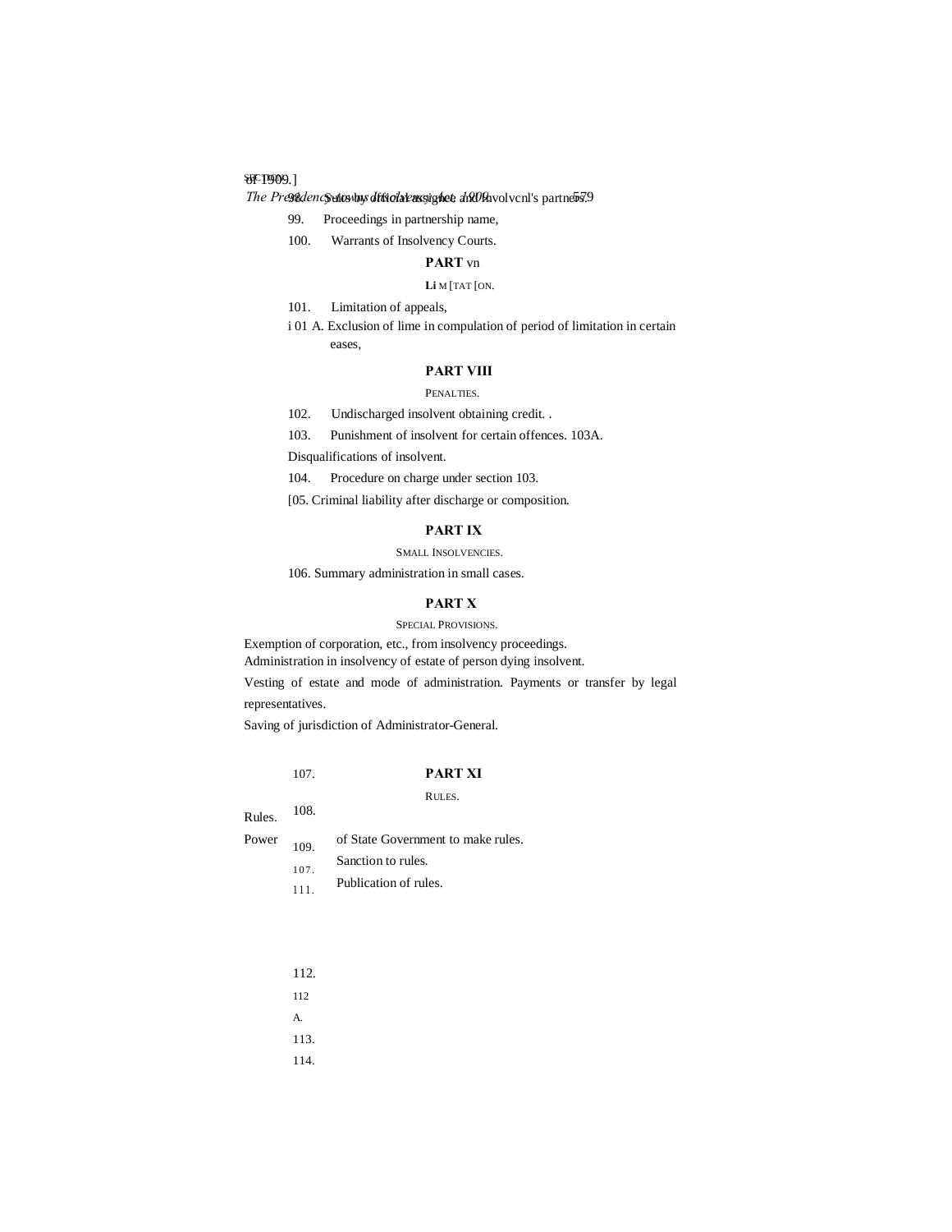## of 1909.] SECTION.

#### The Presidencs thow by difficial assignet dubbavolvenl's partne<sup>53.9</sup>

- 99. Proceedings in partnership name,
- 100. Warrants of Insolvency Courts.

## **PART** vn

## **Li** M [TAT [ON.

- 101. Limitation of appeals,
- i 01 A. Exclusion of lime in compulation of period of limitation in certain eases,

## **PART VIII**

#### PENALTIES.

- 102. Undischarged insolvent obtaining credit. .
- 103. Punishment of insolvent for certain offences. 103A.

Disqualifications of insolvent.

- 104. Procedure on charge under section 103.
- [05. Criminal liability after discharge or composition.

# **PART IX**

## SMALL INSOLVENCIES.

106. Summary administration in small cases.

## **PART X**

## SPECIAL PROVISIONS.

Exemption of corporation, etc., from insolvency proceedings.

Administration in insolvency of estate of person dying insolvent.

Vesting of estate and mode of administration. Payments or transfer by legal representatives.

Saving of jurisdiction of Administrator-General.

| 107. | <b>PART XI</b> |
|------|----------------|

### RULES.

108. Rules.

109. 107. Power of State Government to make rules. Sanction to rules.

- 1 1 1 . Publication of rules.
- 112. 112
- A.
- 113.
	- 114.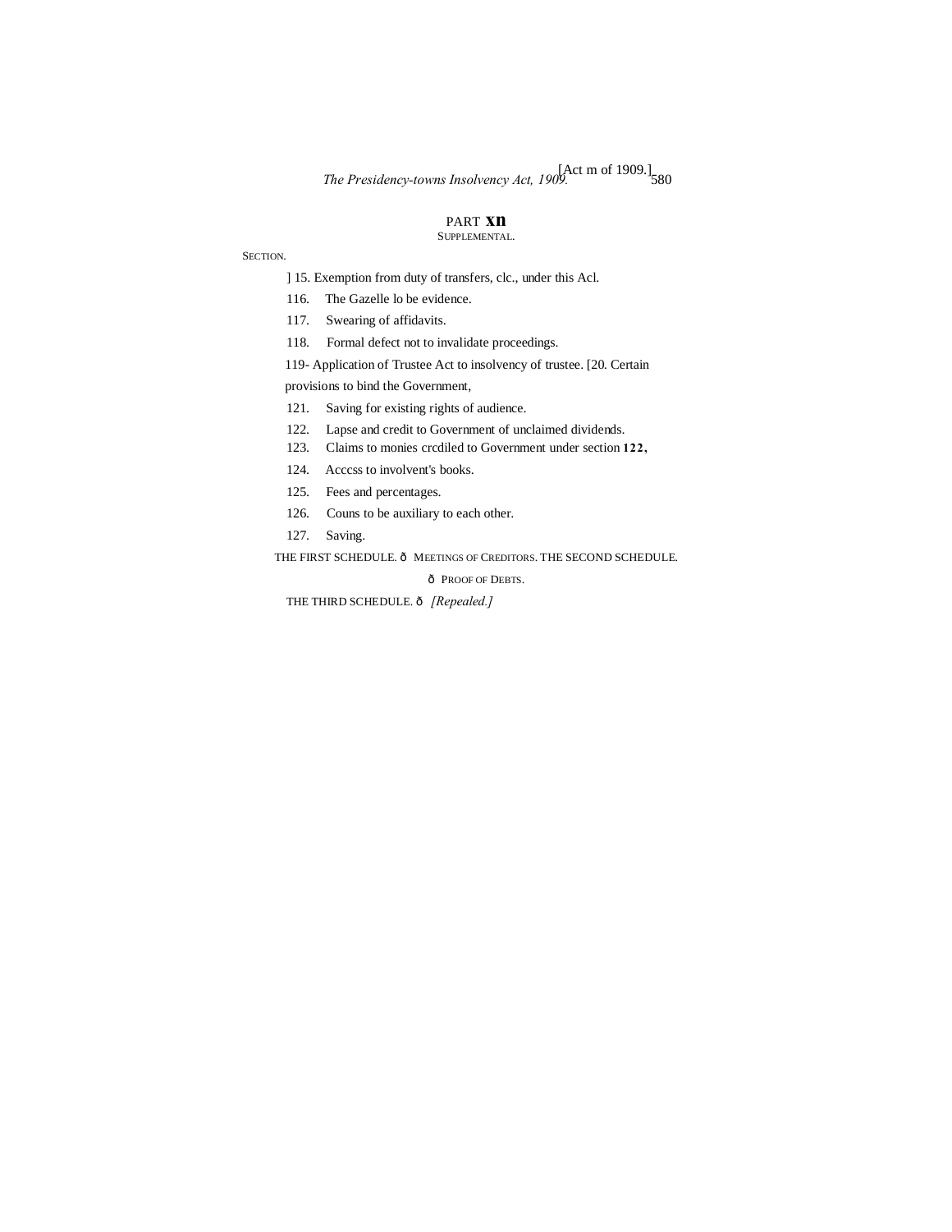The Presidency-towns Insolvency Act, 1909. [Act m of 1909.]<sub>580</sub>

# PART **xn**

# SUPPLEMENTAL.

SECTION.

- ] 15. Exemption from duty of transfers, clc., under this Acl.
- 116. The Gazelle lo be evidence.
- 117. Swearing of affidavits.
- 118. Formal defect not to invalidate proceedings.
- 119- Application of Trustee Act to insolvency of trustee. [20. Certain

provisions to bind the Government,

- 121. Saving for existing rights of audience.
- 122. Lapse and credit to Government of unclaimed dividends.
- 123. Claims to monies crcdiled to Government under section **122,**
- 124. Acccss to involvent's books.
- 125. Fees and percentages.
- 126. Couns to be auxiliary to each other.
- 127. Saving.

THE FIRST SCHEDULE.  $\hat{o}$  MEETINGS OF CREDITORS. THE SECOND SCHEDULE.

 $ô$  Proof of Debts.

THE THIRD SCHEDULE.  $\delta$  [Repealed.]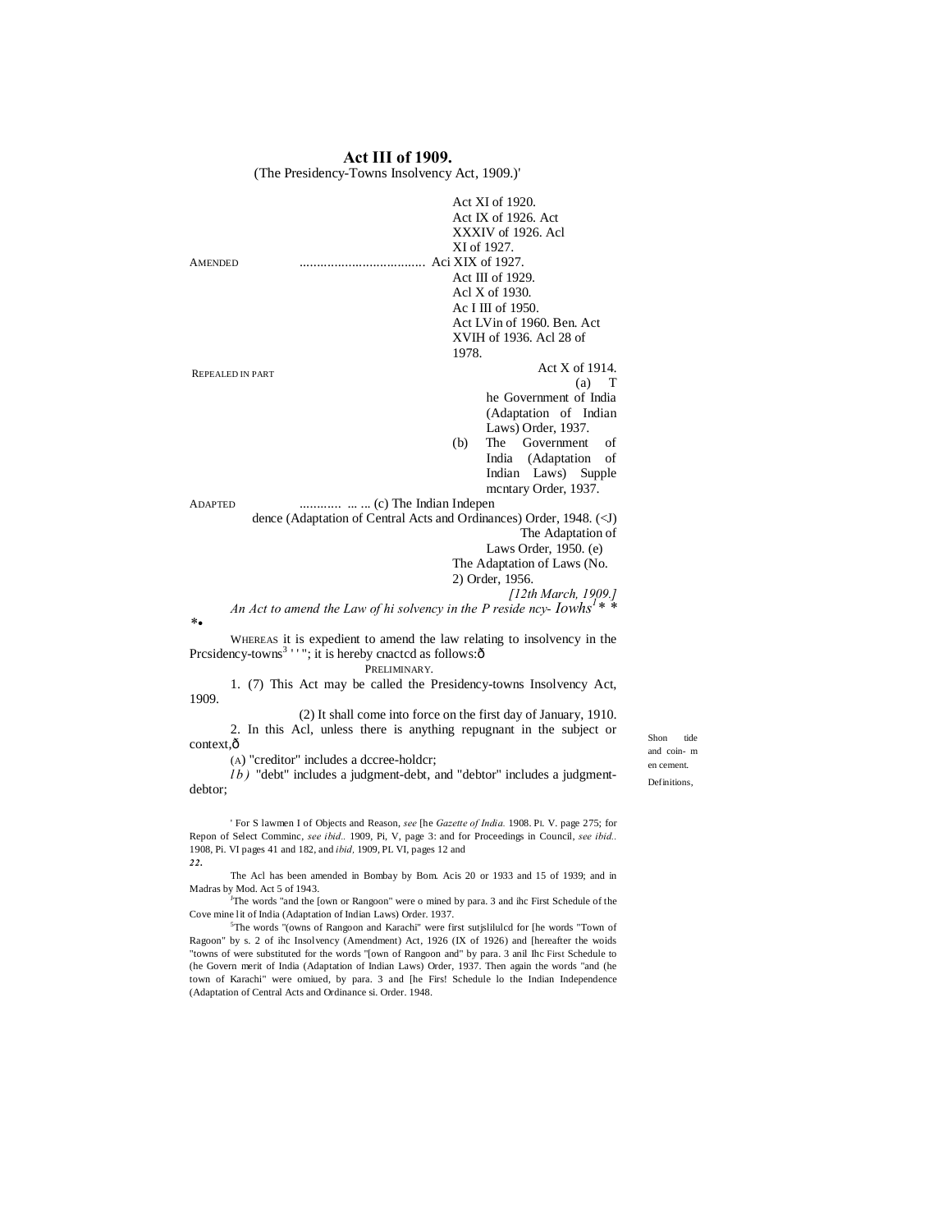# **Act III of 1909.**

(The Presidency-Towns Insolvency Act, 1909.)'

|                         | Act XI of $1920$ .                                                                 |
|-------------------------|------------------------------------------------------------------------------------|
|                         | Act IX of $1926$ . Act                                                             |
|                         | XXXIV of 1926. Acl                                                                 |
|                         | XI of 1927.                                                                        |
| <b>AMENDED</b>          |                                                                                    |
|                         | Act III of 1929.                                                                   |
|                         | Acl X of $1930$ .                                                                  |
|                         | Ac I III of $1950$ .                                                               |
|                         | Act LVin of 1960. Ben. Act                                                         |
|                         | XVIH of 1936. Acl 28 of                                                            |
|                         | 1978.                                                                              |
| <b>REPEALED IN PART</b> | Act $X$ of 1914.                                                                   |
|                         | (a)<br>T                                                                           |
|                         | he Government of India                                                             |
|                         | (Adaptation of Indian                                                              |
|                         | Laws) Order, 1937.                                                                 |
|                         | Government<br><b>The</b><br>(b)<br>of                                              |
|                         | India (Adaptation<br>οf                                                            |
|                         | Indian Laws) Supple                                                                |
|                         | mentary Order, 1937.                                                               |
| <b>ADAPTED</b>          | $\ldots$ $\ldots$ $\ldots$ $\ldots$ (c) The Indian Indepen                         |
|                         | dence (Adaptation of Central Acts and Ordinances) Order, 1948. ( <j)< td=""></j)<> |
|                         | The Adaptation of                                                                  |
|                         | Laws Order, 1950. (e)                                                              |
|                         | The Adaptation of Laws (No.                                                        |
|                         | 2) Order, 1956.                                                                    |
|                         | [12th March, 1909.]                                                                |
|                         | An Act to amend the Law of hi solvency in the P reside ncy- $Iowhs^{1***}$         |
| *.                      |                                                                                    |

WHEREAS it is expedient to amend the law relating to insolvency in the Prcsidency-towns<sup>3</sup> ' '"; it is hereby cnacted as follows: $\hat{o}$ 

PRELIMINARY.

1. (7) This Act may be called the Presidency-towns Insolvency Act, 1909.

(2) It shall come into force on the first day of January, 1910. 2. In this Acl, unless there is anything repugnant in the subject or context, $\hat{o}$ 

(A) "creditor" includes a dccree-holdcr;

*lb*) "debt" includes a judgment-debt, and "debtor" includes a judgmentdebtor;

' For S lawmen I of Objects and Reason, *see* [he *Gazette of India.* 1908. PI. V. page 275; for Repon of Select Comminc, *see ibid..* 1909, Pi, V, page 3: and for Proceedings in Council, *see ibid..* 1908, Pi. VI pages 41 and 182, and *ibid,* 1909, PL VI, pages 12 and *22.*

The Acl has been amended in Bombay by Bom. Acis 20 or 1933 and 15 of 1939; and in Madras by Mod. Act 5 of 1943.

<sup>J</sup>The words "and the [own or Rangoon" were o mined by para. 3 and ihc First Schedule of the Cove mine lit of India (Adaptation of Indian Laws) Order. 1937.

5 The words "(owns of Rangoon and Karachi" were first sutjslilulcd for [he words "Town of Ragoon" by s. 2 of ihc Insolvency (Amendment) Act, 1926 (IX of 1926) and [hereafter the woids "towns of were substituted for the words "[own of Rangoon and" by para. 3 anil Ihc First Schedule to (he Govern merit of India (Adaptation of Indian Laws) Order, 1937. Then again the words "and (he town of Karachi" were omiued, by para. 3 and [he Firs! Schedule lo the Indian Independence (Adaptation of Central Acts and Ordinance si. Order. 1948.

Shon tide and coin- m en cement. Definitions,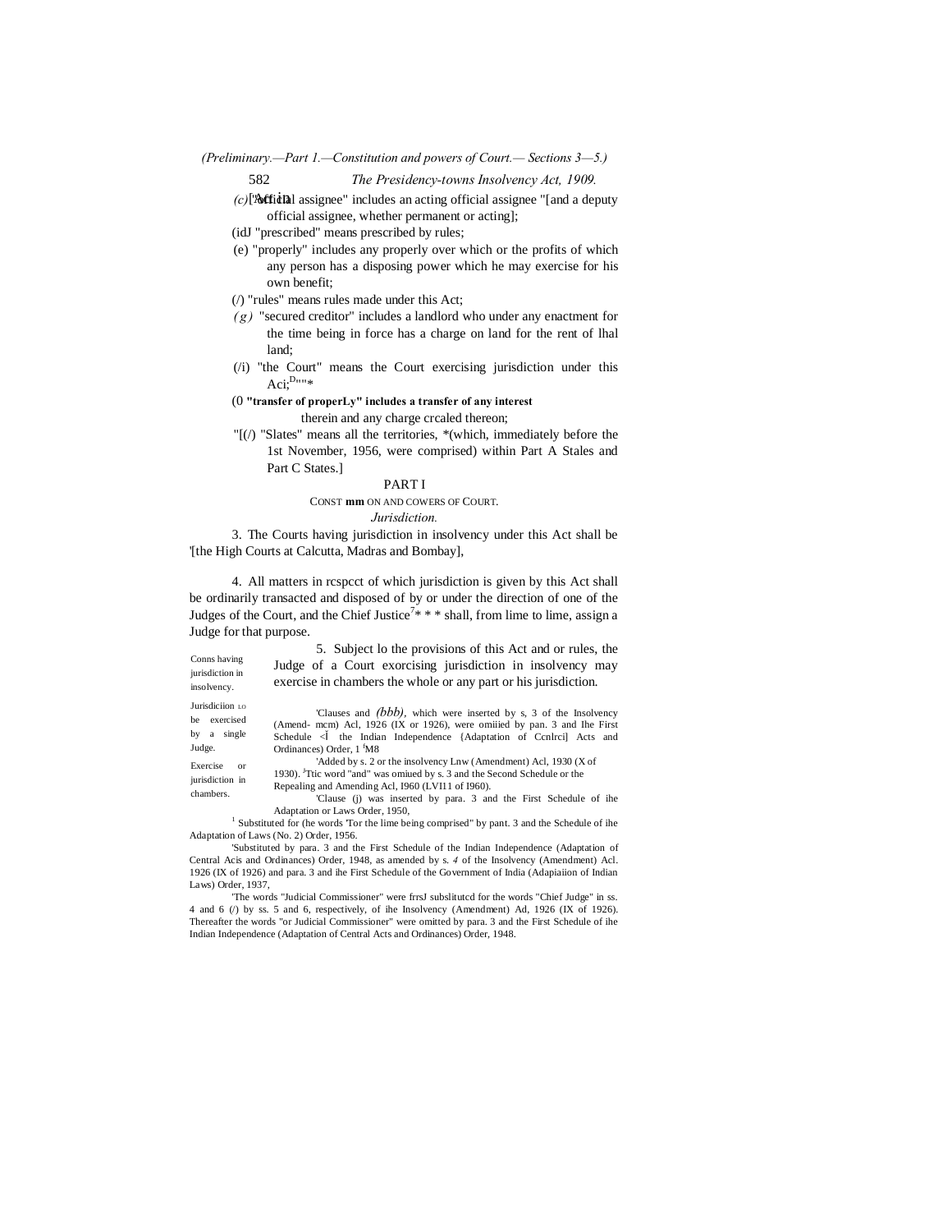*(Preliminary.—Part 1.—Constitution and powers of Court.— Sections 3—5.)*

582 *The Presidency-towns Insolvency Act, 1909.*

- $(c)$  [" $\delta$ Cficial assignee" includes an acting official assignee" [and a deputy official assignee, whether permanent or acting];
- (idJ "prescribed" means prescribed by rules;
- (e) "properly" includes any properly over which or the profits of which any person has a disposing power which he may exercise for his own benefit;
- (/) "rules" means rules made under this Act;
- *( g )* "secured creditor" includes a landlord who under any enactment for the time being in force has a charge on land for the rent of lhal land;
- (/i) "the Court" means the Court exercising jurisdiction under this Aci:<sup>D""\*</sup>

#### (0 **"transfer of properLy" includes a transfer of any interest**

therein and any charge crcaled thereon;

"[(/) "Slates" means all the territories, \*(which, immediately before the 1st November, 1956, were comprised) within Part A Stales and Part C States.]

#### PART I

CONST **mm** ON AND COWERS OF COURT.

#### *Jurisdiction.*

3. The Courts having jurisdiction in insolvency under this Act shall be '[the High Courts at Calcutta, Madras and Bombay],

4. All matters in rcspcct of which jurisdiction is given by this Act shall be ordinarily transacted and disposed of by or under the direction of one of the Judges of the Court, and the Chief Justice<sup>7\*</sup> \*\* shall, from lime to lime, assign a Judge for that purpose.

| $3 \, \text{arc}$ . The contract parageter $\theta$      |                                                                                                                                                                                                                                                     |  |
|----------------------------------------------------------|-----------------------------------------------------------------------------------------------------------------------------------------------------------------------------------------------------------------------------------------------------|--|
| Conns having<br>jurisdiction in<br>insolvency.           | 5. Subject to the provisions of this Act and or rules, the<br>Judge of a Court exorcising jurisdiction in insolvency may<br>exercise in chambers the whole or any part or his jurisdiction.                                                         |  |
| Jurisdiciion Lo<br>be exercised<br>by a single<br>Judge. | Clauses and $(bbb)$ , which were inserted by s, 3 of the Insolvency<br>(Amend- mcm) Acl, 1926 (IX or 1926), were omitted by pan. 3 and Ihe First<br>Schedule < the Indian Independence {Adaptation of Conlroi] Acts and<br>Ordinances) Order, 1 'M8 |  |
| Exercise<br>$\alpha$<br>jurisdiction in<br>chambers.     | 'Added by s. 2 or the insolvency Lnw (Amendment) Acl, 1930 (X of<br>1930). Thic word "and" was omived by s. 3 and the Second Schedule or the<br>Repealing and Amending Acl, 1960 (LVI11 of 1960).                                                   |  |
|                                                          | Clause (i) was inserted by para. 3 and the First Schedule of ihe<br>Adaptation or Laws Order, 1950,                                                                                                                                                 |  |

<sup>1</sup> Substituted for (he words 'Tor the lime being comprised" by pant. 3 and the Schedule of ihe Adaptation of Laws (No. 2) Order, 1956.

'Substituted by para. 3 and the First Schedule of the Indian Independence (Adaptation of Central Acis and Ordinances) Order, 1948, as amended by s. *4* of the Insolvency (Amendment) Acl. 1926 (IX of 1926) and para. 3 and ihe First Schedule of the Government of India (Adapiaiion of Indian Laws) Order, 1937,

'The words "Judicial Commissioner" were frrsJ subslitutcd for the words "Chief Judge" in ss. 4 and 6 (/) by ss. 5 and 6, respectively, of ihe Insolvency (Amendment) Ad, 1926 (IX of 1926). Thereafter the words "or Judicial Commissioner" were omitted by para. 3 and the First Schedule of ihe Indian Independence (Adaptation of Central Acts and Ordinances) Order, 1948.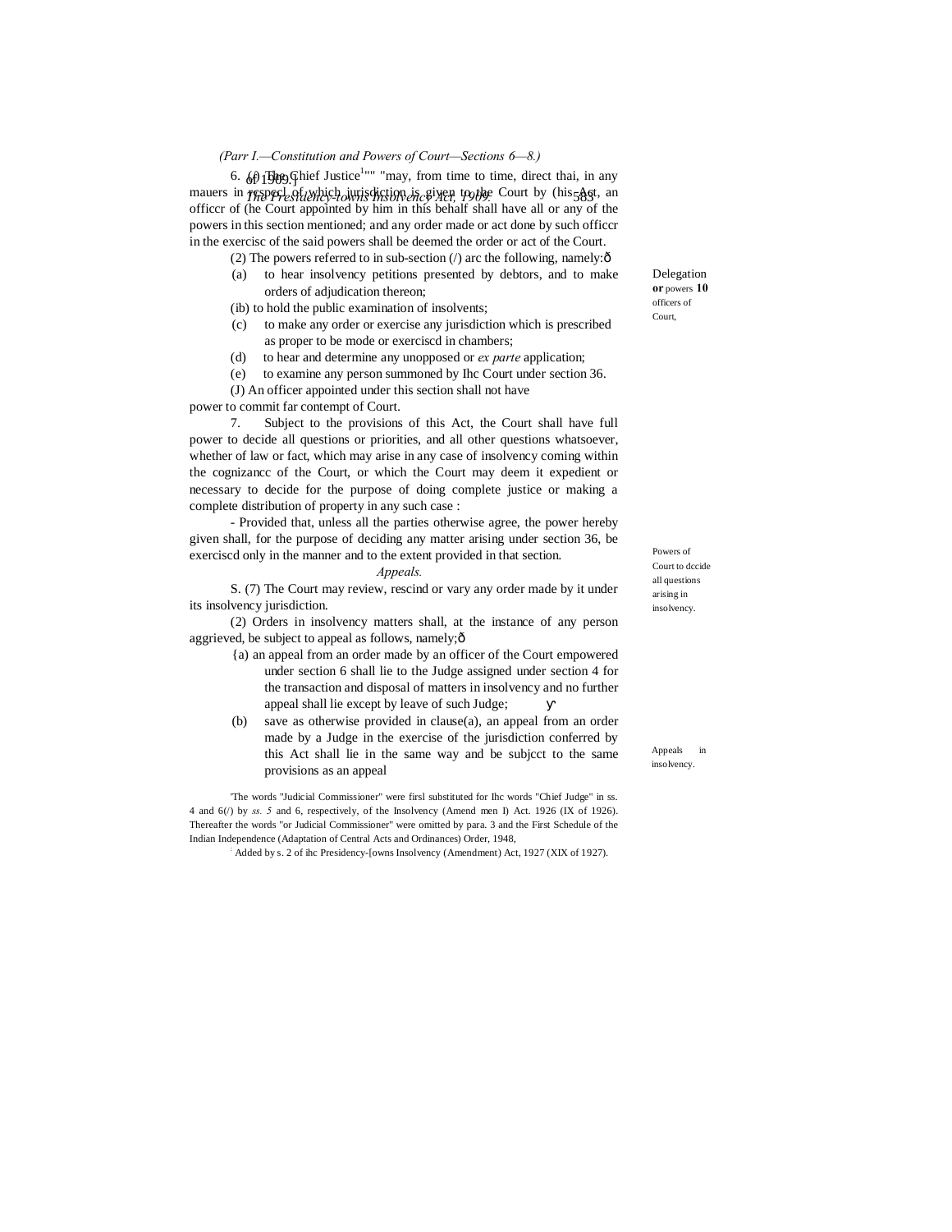#### *(Parr I.—Constitution and Powers of Court—Sections 6—8.)*

6.  $\oint$  1500. Thief Justice<sup>1</sup><sup>\*\*\*</sup> "may, from time to time, direct thai, in any mauers in *The PP-lesta enery-towns direston encept year*, to the Court by (his 58gt, an officcr of (he Court appointed by him in this behalf shall have all or any of the powers in this section mentioned; and any order made or act done by such officcr in the exercisc of the said powers shall be deemed the order or act of the Court.

- (2) The powers referred to in sub-section  $\binom{7}{2}$  arc the following, namely: $\hat{o}$
- (a) to hear insolvency petitions presented by debtors, and to make orders of adjudication thereon;
- (ib) to hold the public examination of insolvents;
- (c) to make any order or exercise any jurisdiction which is prescribed as proper to be mode or exerciscd in chambers;
- (d) to hear and determine any unopposed or *ex parte* application;
- (e) to examine any person summoned by Ihc Court under section 36.
- (J) An officer appointed under this section shall not have

#### power to commit far contempt of Court.

7. Subject to the provisions of this Act, the Court shall have full power to decide all questions or priorities, and all other questions whatsoever, whether of law or fact, which may arise in any case of insolvency coming within the cognizancc of the Court, or which the Court may deem it expedient or necessary to decide for the purpose of doing complete justice or making a complete distribution of property in any such case :

- Provided that, unless all the parties otherwise agree, the power hereby given shall, for the purpose of deciding any matter arising under section 36, be exerciscd only in the manner and to the extent provided in that section.

# *Appeals.*

S. (7) The Court may review, rescind or vary any order made by it under its insolvency jurisdiction.

(2) Orders in insolvency matters shall, at the instance of any person aggrieved, be subject to appeal as follows, namely; $\hat{o}$ 

- {a) an appeal from an order made by an officer of the Court empowered under section 6 shall lie to the Judge assigned under section 4 for the transaction and disposal of matters in insolvency and no further appeal shall lie except by leave of such Judge;
- (b) save as otherwise provided in clause(a), an appeal from an order made by a Judge in the exercise of the jurisdiction conferred by this Act shall lie in the same way and be subjcct to the same provisions as an appeal

'The words "Judicial Commissioner" were firsl substituted for Ihc words "Chief Judge" in ss. 4 and 6(/) by *ss. 5* and 6, respectively, of the Insolvency (Amend men I) Act. 1926 (IX of 1926). Thereafter the words "or Judicial Commissioner'' were omitted by para. 3 and the First Schedule of the Indian Independence (Adaptation of Central Acts and Ordinances) Order, 1948,

: Added by s. 2 of ihc Presidency-[owns Insolvency (Amendment) Act, 1927 (XIX of 1927).

Delegation **or** powers **10**  officers of Court,

Powers of Court to dccide all questions arising in insolvency.

Appeals in insolvency.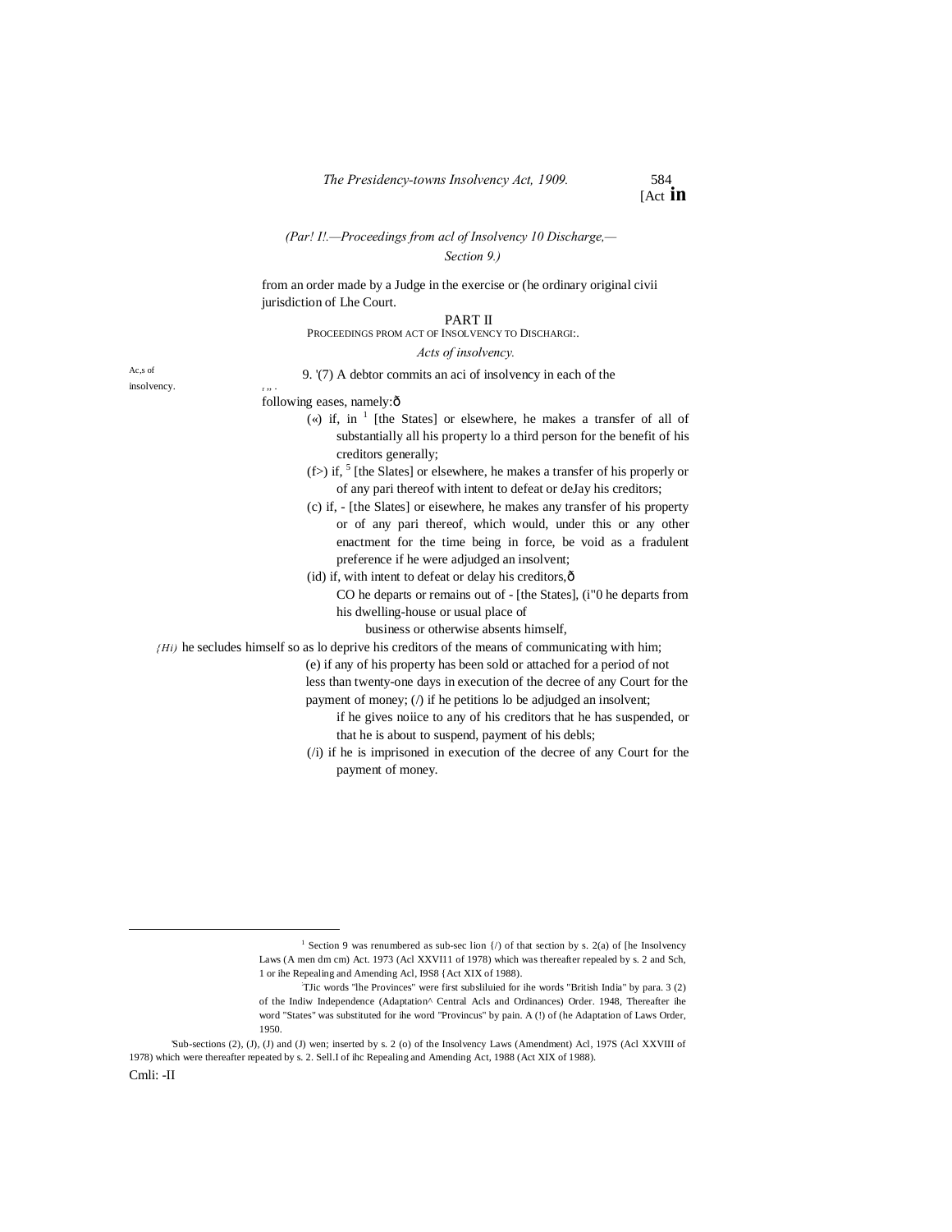[Act **in**

*(Par! I!.—Proceedings from acl of Insolvency 10 Discharge,— Section 9.)*

from an order made by a Judge in the exercise or (he ordinary original civii jurisdiction of Lhe Court.

#### PART II

PROCEEDINGS PROM ACT OF INSOLVENCY TO DISCHARGI:.

#### *Acts of insolvency.*

insolvency.

Ac,s of 9. '(7) A debtor commits an aci of insolvency in each of the

#### following eases, namely: $\hat{o}$

- («) if, in  $1$  [the States] or elsewhere, he makes a transfer of all of substantially all his property lo a third person for the benefit of his creditors generally;
- (f>) if,  $5$  [the Slates] or elsewhere, he makes a transfer of his properly or of any pari thereof with intent to defeat or deJay his creditors;
- (c) if, [the Slates] or eisewhere, he makes any transfer of his property or of any pari thereof, which would, under this or any other enactment for the time being in force, be void as a fradulent preference if he were adjudged an insolvent;
- (id) if, with intent to defeat or delay his creditors, ô
	- CO he departs or remains out of [the States], (i"0 he departs from his dwelling-house or usual place of
		- business or otherwise absents himself,

*{Hi)* he secludes himself so as lo deprive his creditors of the means of communicating with him;

(e) if any of his property has been sold or attached for a period of not less than twenty-one days in execution of the decree of any Court for the

- payment of money; (/) if he petitions lo be adjudged an insolvent;
	- if he gives noiice to any of his creditors that he has suspended, or that he is about to suspend, payment of his debls;
- (/i) if he is imprisoned in execution of the decree of any Court for the payment of money.

 $\overline{\phantom{a}}$ 

<sup>&</sup>lt;sup>1</sup> Section 9 was renumbered as sub-sec lion  $\{$  of that section by s. 2(a) of [he Insolvency Laws (A men dm cm) Act. 1973 (Acl XXVI11 of 1978) which was thereafter repealed by s. 2 and Sch, 1 or ihe Repealing and Amending Acl, I9S8 {Act XIX of 1988).

<sup>:</sup> TJic words "lhe Provinces" were first subsliluied for ihe words "British India" by para. 3 (2) of the Indiw Independence (Adaptation<sup>^</sup> Central Acls and Ordinances) Order. 1948, Thereafter ihe word "States" was substituted for ihe word "Provincus" by pain. A (!) of (he Adaptation of Laws Order, 1950.

<sup>&#</sup>x27;Sub-sections (2), (J), (J) and (J) wen; inserted by s. 2 (o) of the Insolvency Laws (Amendment) Acl, 197S (Acl XXVIII of 1978) which were thereafter repeated by s. 2. Sell.I of ihc Repealing and Amending Act, 1988 (Act XIX of 1988).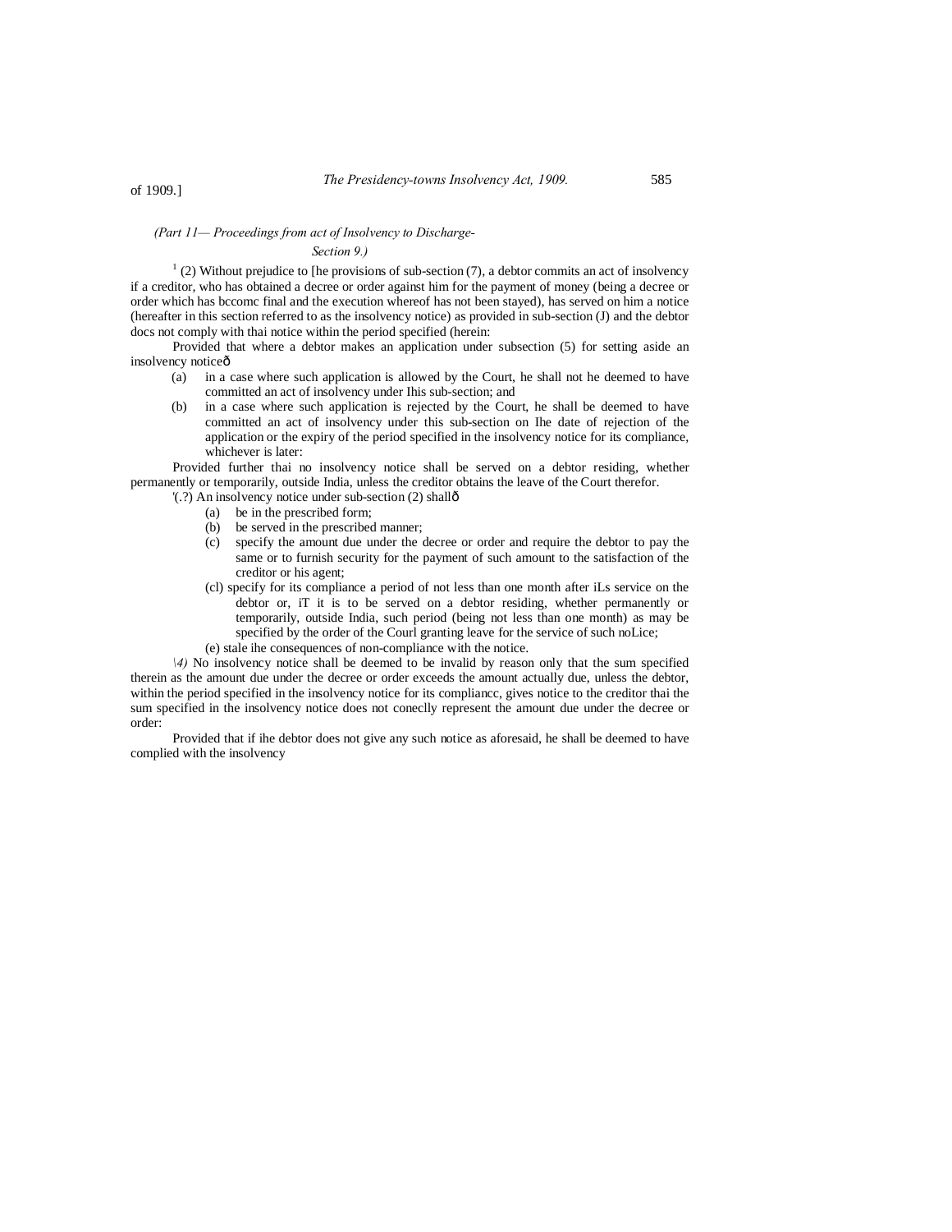## of 1909.]

#### *(Part 11— Proceedings from act of Insolvency to Discharge-*

### *Section 9.)*

 $1$  (2) Without prejudice to [he provisions of sub-section (7), a debtor commits an act of insolvency if a creditor, who has obtained a decree or order against him for the payment of money (being a decree or order which has bccomc final and the execution whereof has not been stayed), has served on him a notice (hereafter in this section referred to as the insolvency notice) as provided in sub-section (J) and the debtor docs not comply with thai notice within the period specified (herein:

Provided that where a debtor makes an application under subsection (5) for setting aside an insolvency noticeô

- (a) in a case where such application is allowed by the Court, he shall not he deemed to have committed an act of insolvency under Ihis sub-section; and
- (b) in a case where such application is rejected by the Court, he shall be deemed to have committed an act of insolvency under this sub-section on Ihe date of rejection of the application or the expiry of the period specified in the insolvency notice for its compliance, whichever is later:

Provided further thai no insolvency notice shall be served on a debtor residing, whether permanently or temporarily, outside India, unless the creditor obtains the leave of the Court therefor.

'(.?) An insolvency notice under sub-section (2) shall—

- (a) be in the prescribed form;
- (b) be served in the prescribed manner;
- (c) specify the amount due under the decree or order and require the debtor to pay the same or to furnish security for the payment of such amount to the satisfaction of the creditor or his agent;
- (cl) specify for its compliance a period of not less than one month after iLs service on the debtor or, iT it is to be served on a debtor residing, whether permanently or temporarily, outside India, such period (being not less than one month) as may be specified by the order of the Courl granting leave for the service of such noLice; (e) stale ihe consequences of non-compliance with the notice.

*\4)* No insolvency notice shall be deemed to be invalid by reason only that the sum specified therein as the amount due under the decree or order exceeds the amount actually due, unless the debtor, within the period specified in the insolvency notice for its compliancc, gives notice to the creditor thai the sum specified in the insolvency notice does not coneclly represent the amount due under the decree or order:

Provided that if ihe debtor does not give any such notice as aforesaid, he shall be deemed to have complied with the insolvency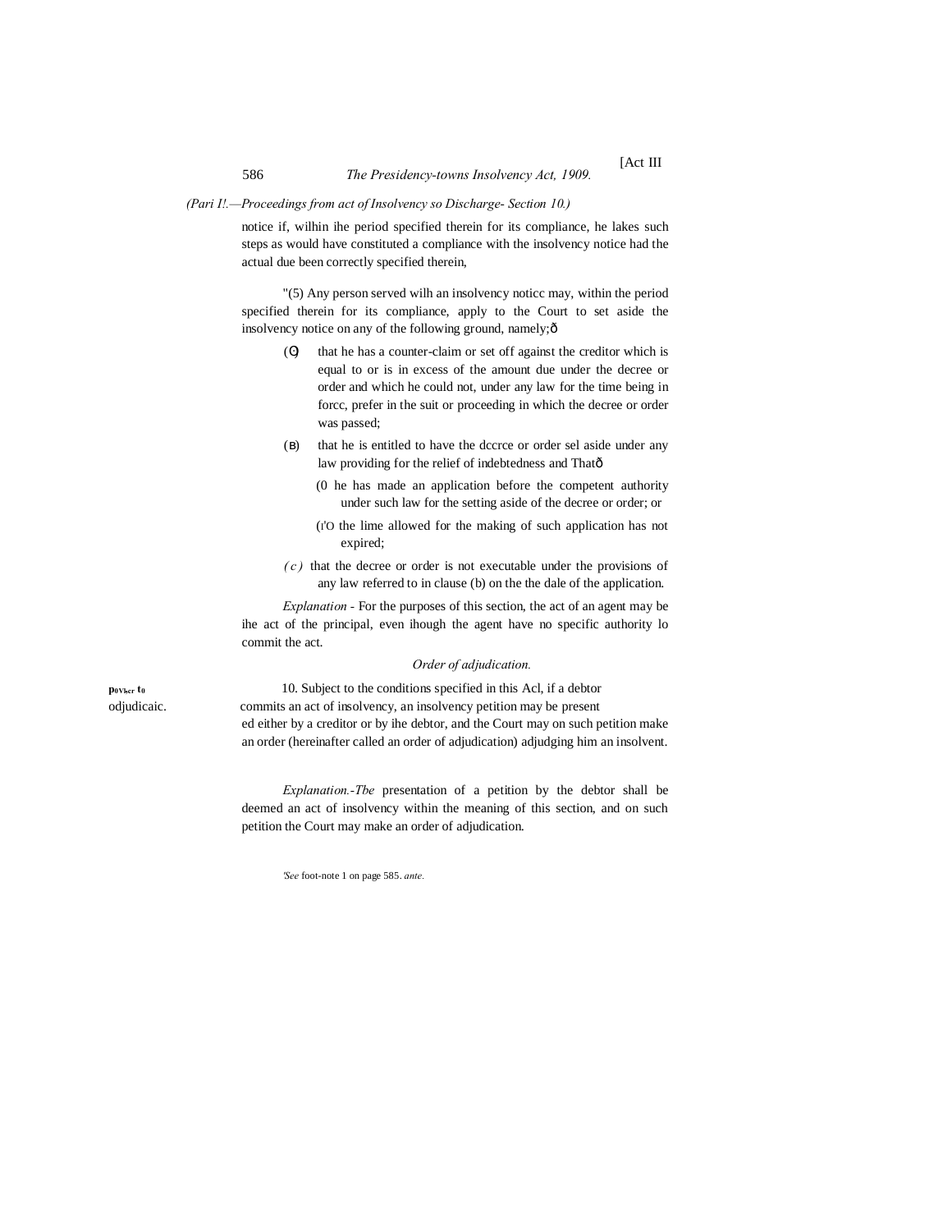[Act III

*(Pari I!.—Proceedings from act of Insolvency so Discharge- Section 10.)*

notice if, wilhin ihe period specified therein for its compliance, he lakes such steps as would have constituted a compliance with the insolvency notice had the actual due been correctly specified therein,

"(5) Any person served wilh an insolvency noticc may, within the period specified therein for its compliance, apply to the Court to set aside the insolvency notice on any of the following ground, namely; $\delta$ 

- ( ) that he has a counter-claim or set off against the creditor which is equal to or is in excess of the amount due under the decree or order and which he could not, under any law for the time being in forcc, prefer in the suit or proceeding in which the decree or order was passed;
- ( ) that he is entitled to have the dccrce or order sel aside under any law providing for the relief of indebtedness and Thatô
	- (0 he has made an application before the competent authority under such law for the setting aside of the decree or order; or
	- (I'O the lime allowed for the making of such application has not expired;
- *( c )* that the decree or order is not executable under the provisions of any law referred to in clause (b) on the the dale of the application.

*Explanation -* For the purposes of this section, the act of an agent may be ihe act of the principal, even ihough the agent have no specific authority lo commit the act.

#### *Order of adjudication.*

**p<sub>0Vbcr</sub> t**<sub>0</sub> 10. Subject to the conditions specified in this Acl, if a debtor odjudicaic. commits an act of insolvency, an insolvency petition may be present ed either by a creditor or by ihe debtor, and the Court may on such petition make an order (hereinafter called an order of adjudication) adjudging him an insolvent.

> *Explanation.-Tbe* presentation of a petition by the debtor shall be deemed an act of insolvency within the meaning of this section, and on such petition the Court may make an order of adjudication.

*'See* foot-note 1 on page 585. *ante.*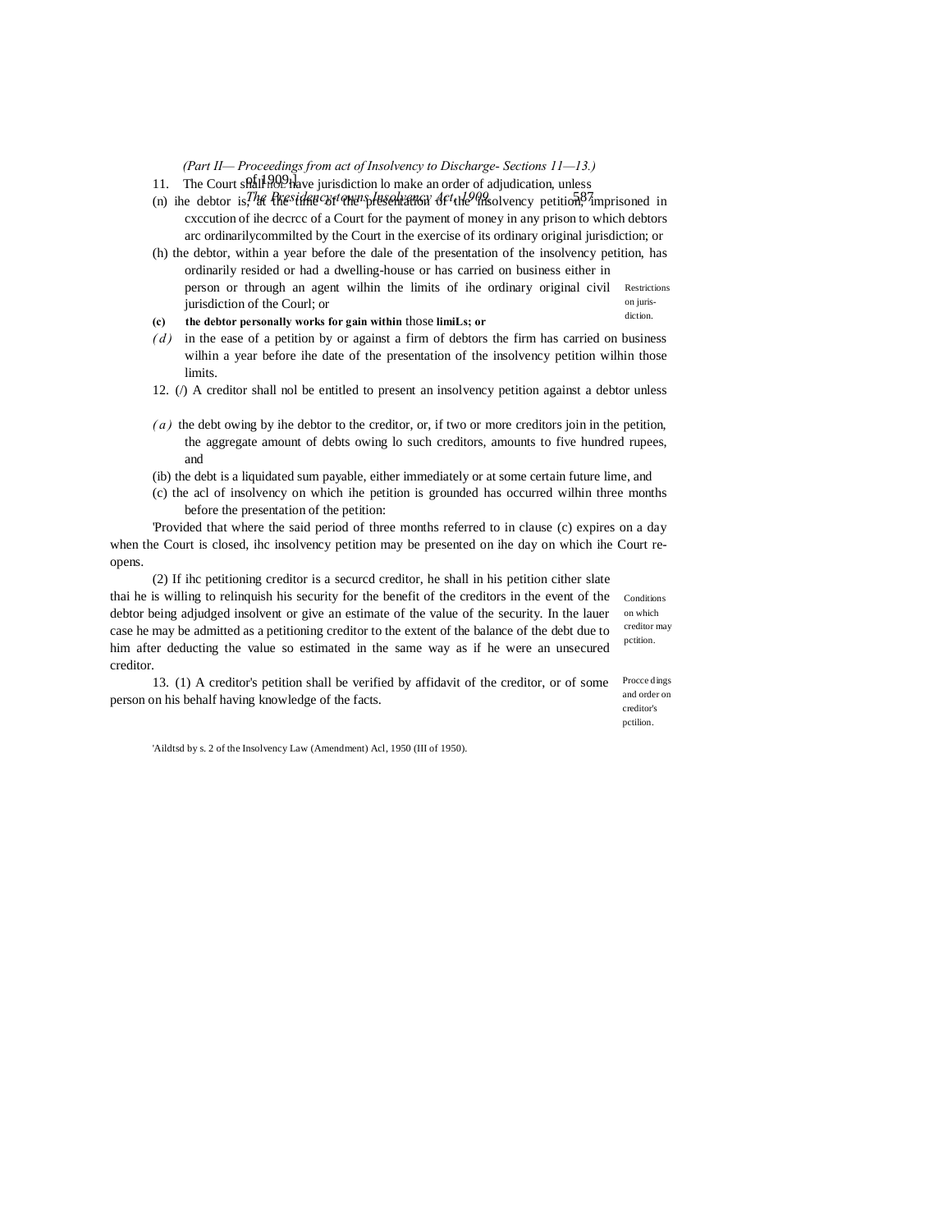## *(Part II— Proceedings from act of Insolvency to Discharge- Sections 11—13.)*

- 11. The Court shall Hole have jurisdiction lo make an order of adjudication, unless
- (n) ihe debtor is,<sup>Th</sup>a Riesidency<sup>+</sup> (New Haselvancy de<sup>t</sup> the msolvency petition<sup>87</sup> imprisoned in cxccution of ihe decrcc of a Court for the payment of money in any prison to which debtors arc ordinarilycommilted by the Court in the exercise of its ordinary original jurisdiction; or
- **Restrictions** on jurisdiction. (h) the debtor, within a year before the dale of the presentation of the insolvency petition, has ordinarily resided or had a dwelling-house or has carried on business either in person or through an agent wilhin the limits of ihe ordinary original civil jurisdiction of the Courl; or
- **(c) the debtor personally works for gain within** those **limiLs; or**
- *( d )* in the ease of a petition by or against a firm of debtors the firm has carried on business wilhin a year before ihe date of the presentation of the insolvency petition wilhin those limits.
- 12.  $\left(\frac{1}{2}\right)$  A creditor shall nol be entitled to present an insolvency petition against a debtor unless
- *( a )* the debt owing by ihe debtor to the creditor, or, if two or more creditors join in the petition, the aggregate amount of debts owing lo such creditors, amounts to five hundred rupees, and
- (ib) the debt is a liquidated sum payable, either immediately or at some certain future lime, and
- (c) the acl of insolvency on which ihe petition is grounded has occurred wilhin three months before the presentation of the petition:

'Provided that where the said period of three months referred to in clause (c) expires on a day when the Court is closed, ihc insolvency petition may be presented on ihe day on which ihe Court reopens.

Conditions on which creditor may pctition. (2) If ihc petitioning creditor is a securcd creditor, he shall in his petition cither slate thai he is willing to relinquish his security for the benefit of the creditors in the event of the debtor being adjudged insolvent or give an estimate of the value of the security. In the lauer case he may be admitted as a petitioning creditor to the extent of the balance of the debt due to him after deducting the value so estimated in the same way as if he were an unsecured creditor.

13. (1) A creditor's petition shall be verified by affidavit of the creditor, or of some person on his behalf having knowledge of the facts.

Procce dings and order on creditor's pctilion.

'Aildtsd by s. 2 of the Insolvency Law (Amendment) Acl, 1950 (III of 1950).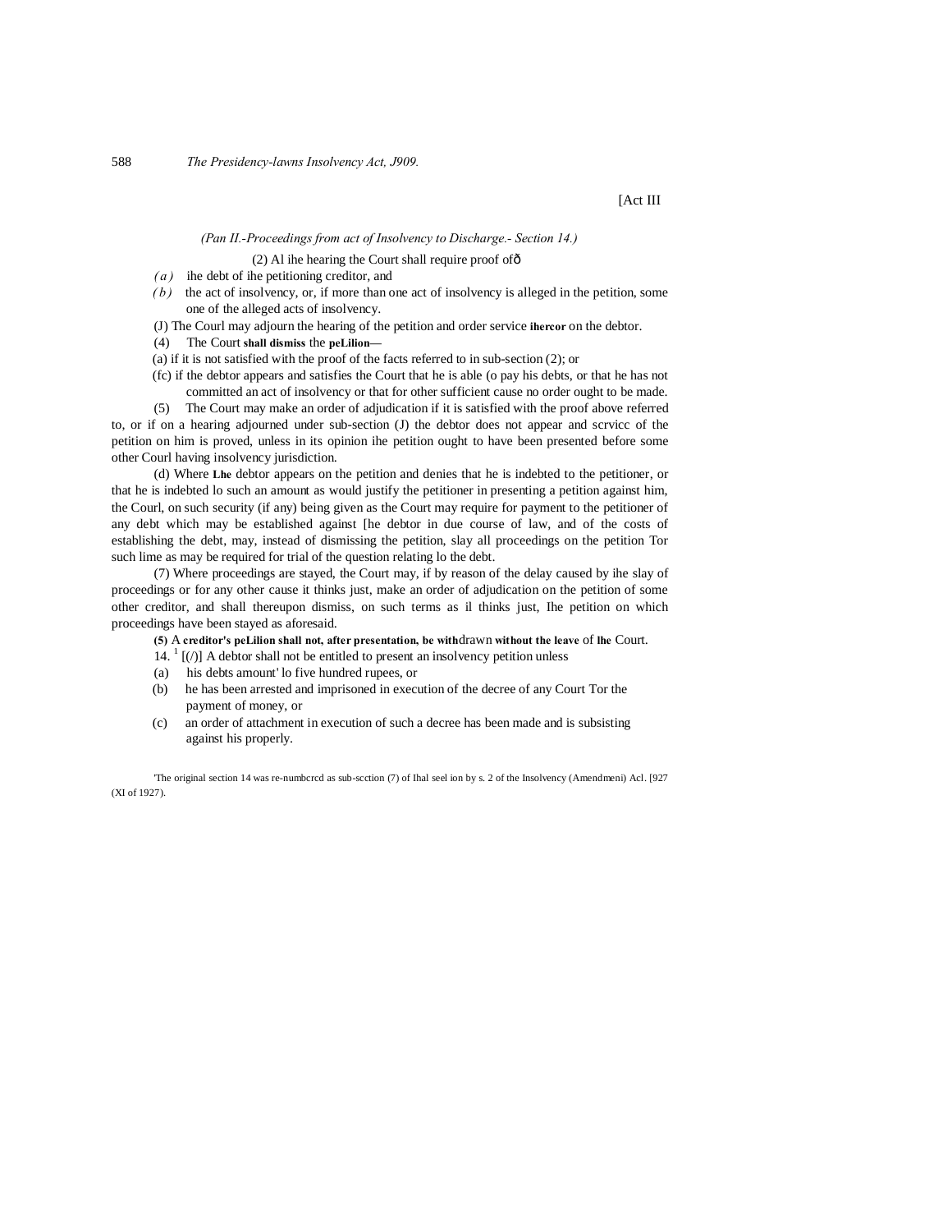#### [Act III

#### *(Pan II.-Proceedings from act of Insolvency to Discharge.- Section 14.)*

 $(2)$  Al ihe hearing the Court shall require proof of $\delta$ 

- *( a )* ihe debt of ihe petitioning creditor, and
- *( b )* the act of insolvency, or, if more than one act of insolvency is alleged in the petition, some one of the alleged acts of insolvency.
- (J) The Courl may adjourn the hearing of the petition and order service **ihercor** on the debtor.
- (4) The Court **shall dismiss** the **peLilion—**
- (a) if it is not satisfied with the proof of the facts referred to in sub-section (2); or
- (fc) if the debtor appears and satisfies the Court that he is able (o pay his debts, or that he has not committed an act of insolvency or that for other sufficient cause no order ought to be made.

(5) The Court may make an order of adjudication if it is satisfied with the proof above referred to, or if on a hearing adjourned under sub-section (J) the debtor does not appear and scrvicc of the petition on him is proved, unless in its opinion ihe petition ought to have been presented before some other Courl having insolvency jurisdiction.

(d) Where **Lhe** debtor appears on the petition and denies that he is indebted to the petitioner, or that he is indebted lo such an amount as would justify the petitioner in presenting a petition against him, the Courl, on such security (if any) being given as the Court may require for payment to the petitioner of any debt which may be established against [he debtor in due course of law, and of the costs of establishing the debt, may, instead of dismissing the petition, slay all proceedings on the petition Tor such lime as may be required for trial of the question relating lo the debt.

(7) Where proceedings are stayed, the Court may, if by reason of the delay caused by ihe slay of proceedings or for any other cause it thinks just, make an order of adjudication on the petition of some other creditor, and shall thereupon dismiss, on such terms as il thinks just, Ihe petition on which proceedings have been stayed as aforesaid.

**(5)** A **creditor's peLilion shall not, after presentation, be with**drawn **without the leave** of **lhe** Court.

- $14.$   $\left[$  ( $\right]$ ) A debtor shall not be entitled to present an insolvency petition unless
- (a) his debts amount' lo five hundred rupees, or
- (b) he has been arrested and imprisoned in execution of the decree of any Court Tor the payment of money, or
- (c) an order of attachment in execution of such a decree has been made and is subsisting against his properly.

'The original section 14 was re-numbcrcd as sub-scction (7) of Ihal seel ion by s. 2 of the Insolvency (Amendmeni) Acl. [927 (XI of 1927).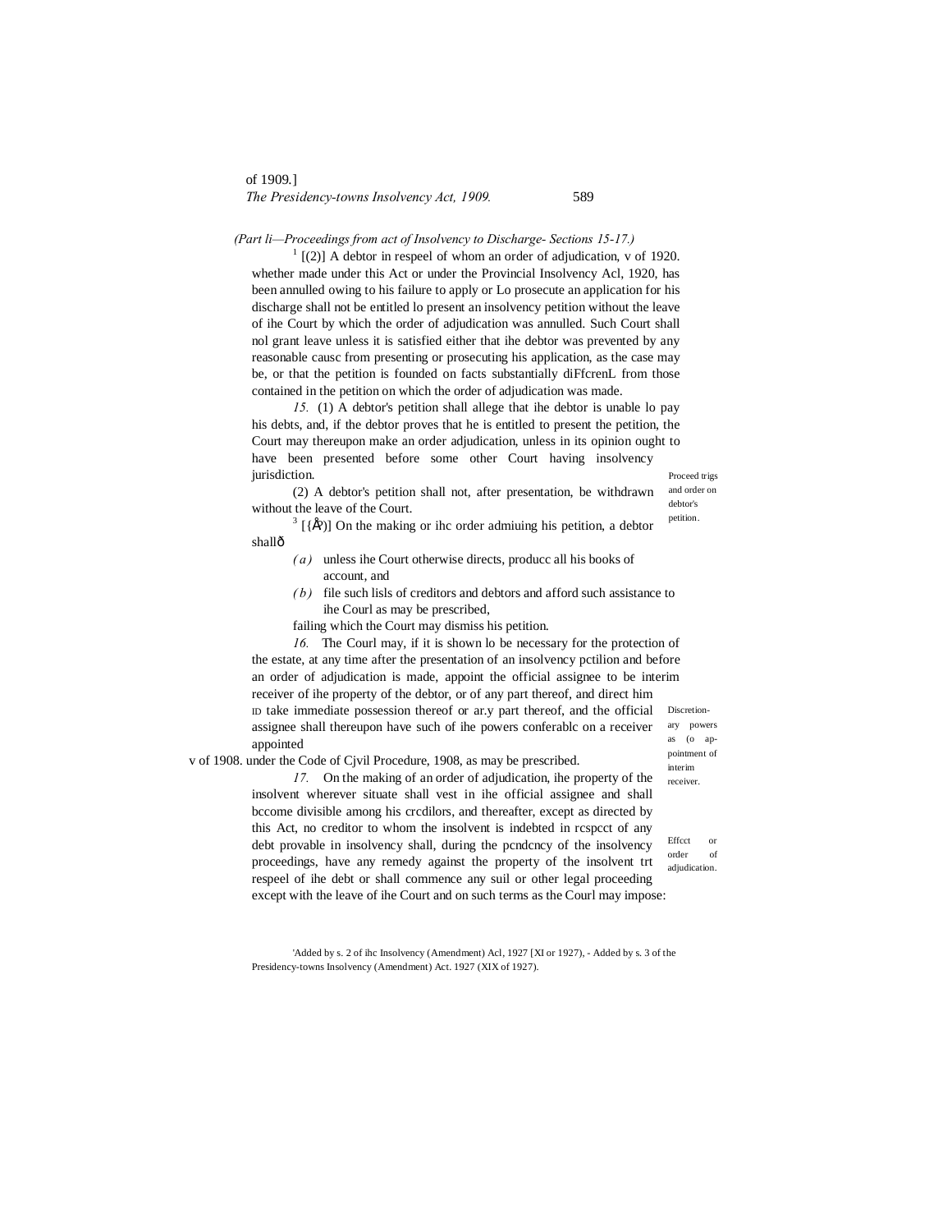of 1909.] *The Presidency-towns Insolvency Act, 1909.* 589

*(Part li—Proceedings from act of Insolvency to Discharge- Sections 15-17.)*

 $1$  [(2)] A debtor in respeel of whom an order of adjudication, v of 1920. whether made under this Act or under the Provincial Insolvency Acl, 1920, has been annulled owing to his failure to apply or Lo prosecute an application for his discharge shall not be entitled lo present an insolvency petition without the leave of ihe Court by which the order of adjudication was annulled. Such Court shall nol grant leave unless it is satisfied either that ihe debtor was prevented by any reasonable causc from presenting or prosecuting his application, as the case may be, or that the petition is founded on facts substantially diFfcrenL from those contained in the petition on which the order of adjudication was made.

*15.* (1) A debtor's petition shall allege that ihe debtor is unable lo pay his debts, and, if the debtor proves that he is entitled to present the petition, the Court may thereupon make an order adjudication, unless in its opinion ought to have been presented before some other Court having insolvency jurisdiction.

Proceed trigs and order on

debtor's petition. (2) A debtor's petition shall not, after presentation, be withdrawn without the leave of the Court.

 $3 \left[ \frac{1}{2} \right]$  On the making or ihc order admiuing his petition, a debtor shallô

- *( a )* unless ihe Court otherwise directs, producc all his books of account, and
- *( b )* file such lisls of creditors and debtors and afford such assistance to ihe Courl as may be prescribed,

failing which the Court may dismiss his petition.

Discretion-*16.* The Courl may, if it is shown lo be necessary for the protection of the estate, at any time after the presentation of an insolvency pctilion and before an order of adjudication is made, appoint the official assignee to be interim receiver of ihe property of the debtor, or of any part thereof, and direct him ID take immediate possession thereof or ar.y part thereof, and the official assignee shall thereupon have such of ihe powers conferablc on a receiver appointed

v of 1908. under the Code of Cjvil Procedure, 1908, as may be prescribed.

*17.* On the making of an order of adjudication, ihe property of the insolvent wherever situate shall vest in ihe official assignee and shall bccome divisible among his crcdilors, and thereafter, except as directed by this Act, no creditor to whom the insolvent is indebted in rcspcct of any debt provable in insolvency shall, during the pcndcncy of the insolvency proceedings, have any remedy against the property of the insolvent trt respeel of ihe debt or shall commence any suil or other legal proceeding except with the leave of ihe Court and on such terms as the Courl may impose:

ary powers as (o appointment of interim receiver.

Effcct or order of adjudication.

'Added by s. 2 of ihc Insolvency (Amendment) Acl, 1927 [XI or 1927), - Added by s. 3 of the Presidency-towns Insolvency (Amendment) Act. 1927 (XIX of 1927).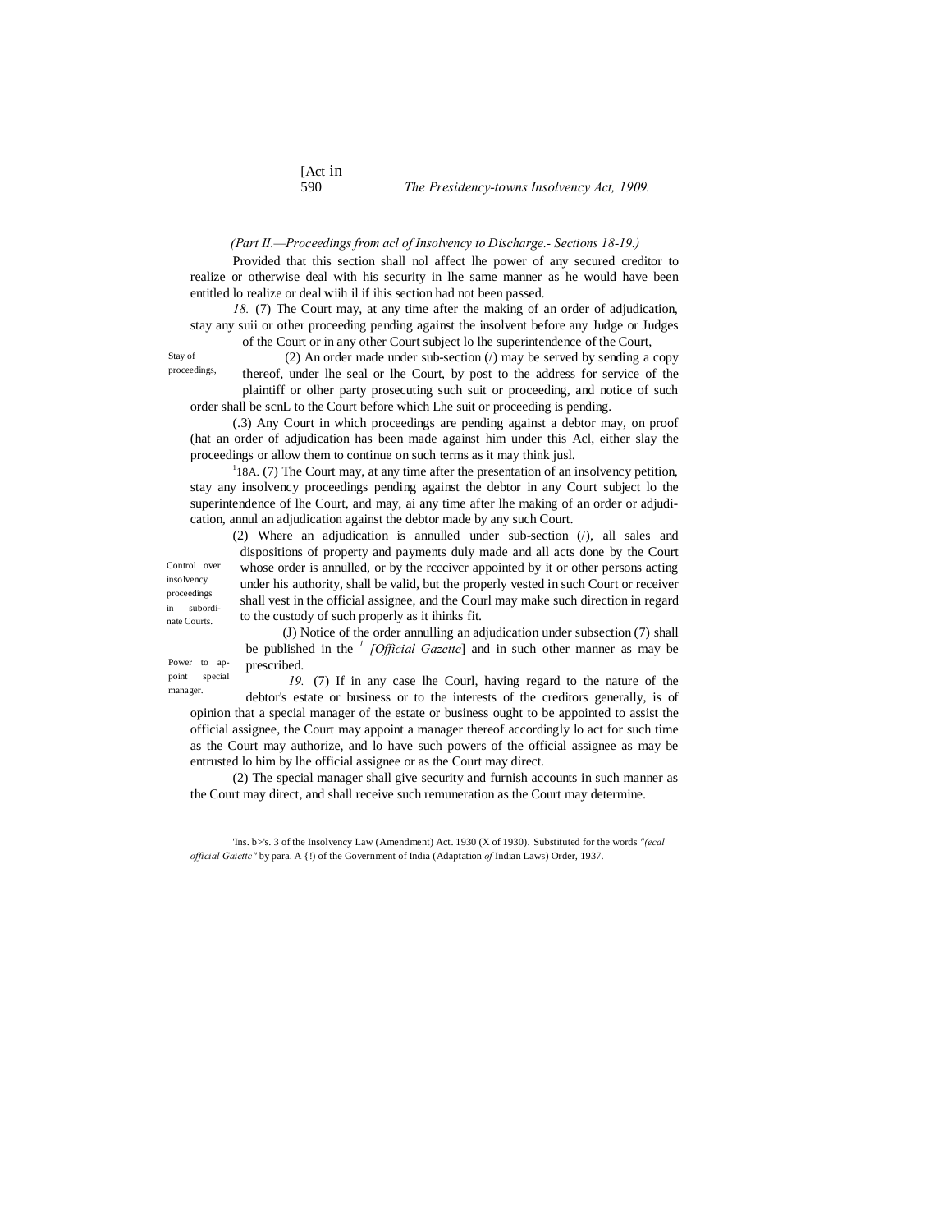## [Act in  $\frac{500}{ }$ 590 *The Presidency-towns Insolvency Act, 1909.*

## *(Part II.—Proceedings from acl of Insolvency to Discharge.- Sections 18-19.)*

Provided that this section shall nol affect lhe power of any secured creditor to realize or otherwise deal with his security in lhe same manner as he would have been entitled lo realize or deal wiih il if ihis section had not been passed.

*18.* (7) The Court may, at any time after the making of an order of adjudication, stay any suii or other proceeding pending against the insolvent before any Judge or Judges of the Court or in any other Court subject lo lhe superintendence of the Court,

Stay of proceedings,

(2) An order made under sub-section (/) may be served by sending a copy thereof, under lhe seal or lhe Court, by post to the address for service of the

plaintiff or olher party prosecuting such suit or proceeding, and notice of such order shall be scnL to the Court before which Lhe suit or proceeding is pending.

(.3) Any Court in which proceedings are pending against a debtor may, on proof (hat an order of adjudication has been made against him under this Acl, either slay the proceedings or allow them to continue on such terms as it may think jusl.

 $18A$ . (7) The Court may, at any time after the presentation of an insolvency petition, stay any insolvency proceedings pending against the debtor in any Court subject lo the superintendence of lhe Court, and may, ai any time after lhe making of an order or adjudication, annul an adjudication against the debtor made by any such Court.

Control over insolvency proceedings in subordinate Courts.

Power to appoint special manager.

(2) Where an adjudication is annulled under sub-section (/), all sales and dispositions of property and payments duly made and all acts done by the Court whose order is annulled, or by the rccciver appointed by it or other persons acting under his authority, shall be valid, but the properly vested in such Court or receiver shall vest in the official assignee, and the Courl may make such direction in regard to the custody of such properly as it ihinks fit.

(J) Notice of the order annulling an adjudication under subsection (7) shall be published in the *<sup>1</sup> [Official Gazette*] and in such other manner as may be prescribed.

*19.* (7) If in any case lhe Courl, having regard to the nature of the debtor's estate or business or to the interests of the creditors generally, is of

opinion that a special manager of the estate or business ought to be appointed to assist the official assignee, the Court may appoint a manager thereof accordingly lo act for such time as the Court may authorize, and lo have such powers of the official assignee as may be entrusted lo him by lhe official assignee or as the Court may direct.

(2) The special manager shall give security and furnish accounts in such manner as the Court may direct, and shall receive such remuneration as the Court may determine.

'Ins. b>'s. 3 of the Insolvency Law (Amendment) Act. 1930 (X of 1930). 'Substituted for the words *"(ecal official Gaicttc"* by para. A {!) of the Government of India (Adaptation *of* Indian Laws) Order, 1937.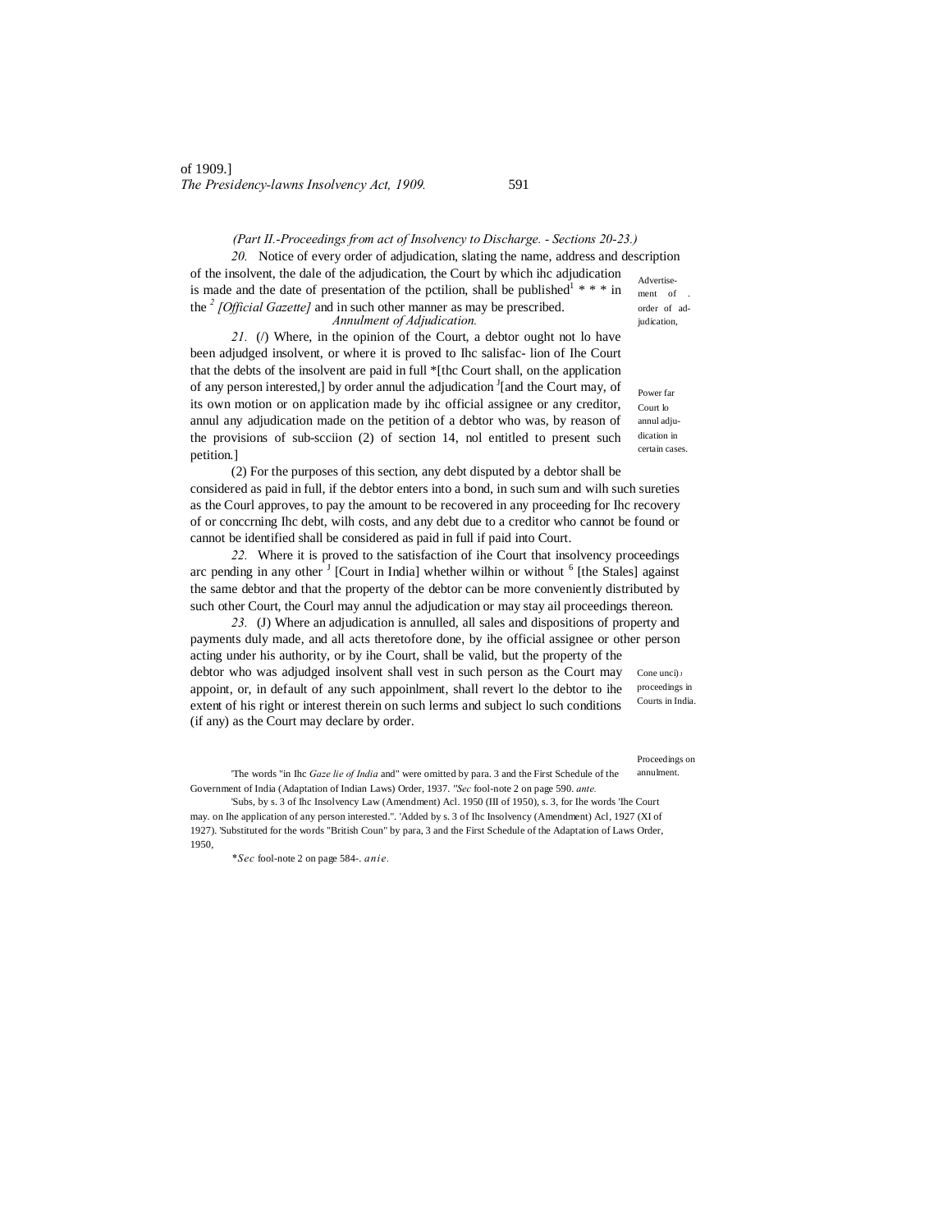## of 1909.] *The Presidency-lawns Insolvency Act, 1909.* 591

# *(Part II.-Proceedings from act of Insolvency to Discharge. - Sections 20-23.) 20.* Notice of every order of adjudication, slating the name, address and description

Advertiseof the insolvent, the dale of the adjudication, the Court by which ihc adjudication is made and the date of presentation of the pctilion, shall be published<sup>1</sup>  $* * * in$ the *<sup>2</sup> [Official Gazette]* and in such other manner as may be prescribed. *Annulment of Adjudication.*

21. (*I*) Where, in the opinion of the Court, a debtor ought not lo have been adjudged insolvent, or where it is proved to Ihc salisfac- lion of Ihe Court that the debts of the insolvent are paid in full \*[thc Court shall, on the application of any person interested,] by order annul the adjudication <sup>J</sup>[and the Court may, of its own motion or on application made by ihc official assignee or any creditor, annul any adjudication made on the petition of a debtor who was, by reason of the provisions of sub-scciion (2) of section 14, nol entitled to present such petition.]

(2) For the purposes of this section, any debt disputed by a debtor shall be considered as paid in full, if the debtor enters into a bond, in such sum and wilh such sureties as the Courl approves, to pay the amount to be recovered in any proceeding for Ihc recovery of or conccrning Ihc debt, wilh costs, and any debt due to a creditor who cannot be found or cannot be identified shall be considered as paid in full if paid into Court.

*22.* Where it is proved to the satisfaction of ihe Court that insolvency proceedings arc pending in any other  $<sup>J</sup>$  [Court in India] whether wilhin or without  $<sup>6</sup>$  [the Stales] against</sup></sup> the same debtor and that the property of the debtor can be more conveniently distributed by such other Court, the Courl may annul the adjudication or may stay ail proceedings thereon.

Cone unci) J proceedings in Courts in India. *23.* (J) Where an adjudication is annulled, all sales and dispositions of property and payments duly made, and all acts theretofore done, by ihe official assignee or other person acting under his authority, or by ihe Court, shall be valid, but the property of the debtor who was adjudged insolvent shall vest in such person as the Court may appoint, or, in default of any such appoinlment, shall revert lo the debtor to ihe extent of his right or interest therein on such lerms and subject lo such conditions (if any) as the Court may declare by order.

> Proceedings on annulment.

'The words "in Ihc *Gaze lie of India* and" were omitted by para. 3 and the First Schedule of the Government of India (Adaptation of Indian Laws) Order, 1937. *''Sec* fool-note 2 on page 590. *ante.*

'Subs, by s. 3 of Ihc Insolvency Law (Amendment) Acl. 1950 (III of 1950), s. 3, for Ihe words 'Ihe Court may. on Ihe application of any person interested.". 'Added by s. 3 of Ihc Insolvency (Amendment) Acl, 1927 (XI of 1927). 'Substituted for the words "British Coun" by para, 3 and the First Schedule of the Adaptation of Laws Order, 1950,

*\*Sec* fool-note 2 on page 584-. *anie.*

ment of order of adjudication,

Power far Court lo annul adjudication in certain cases.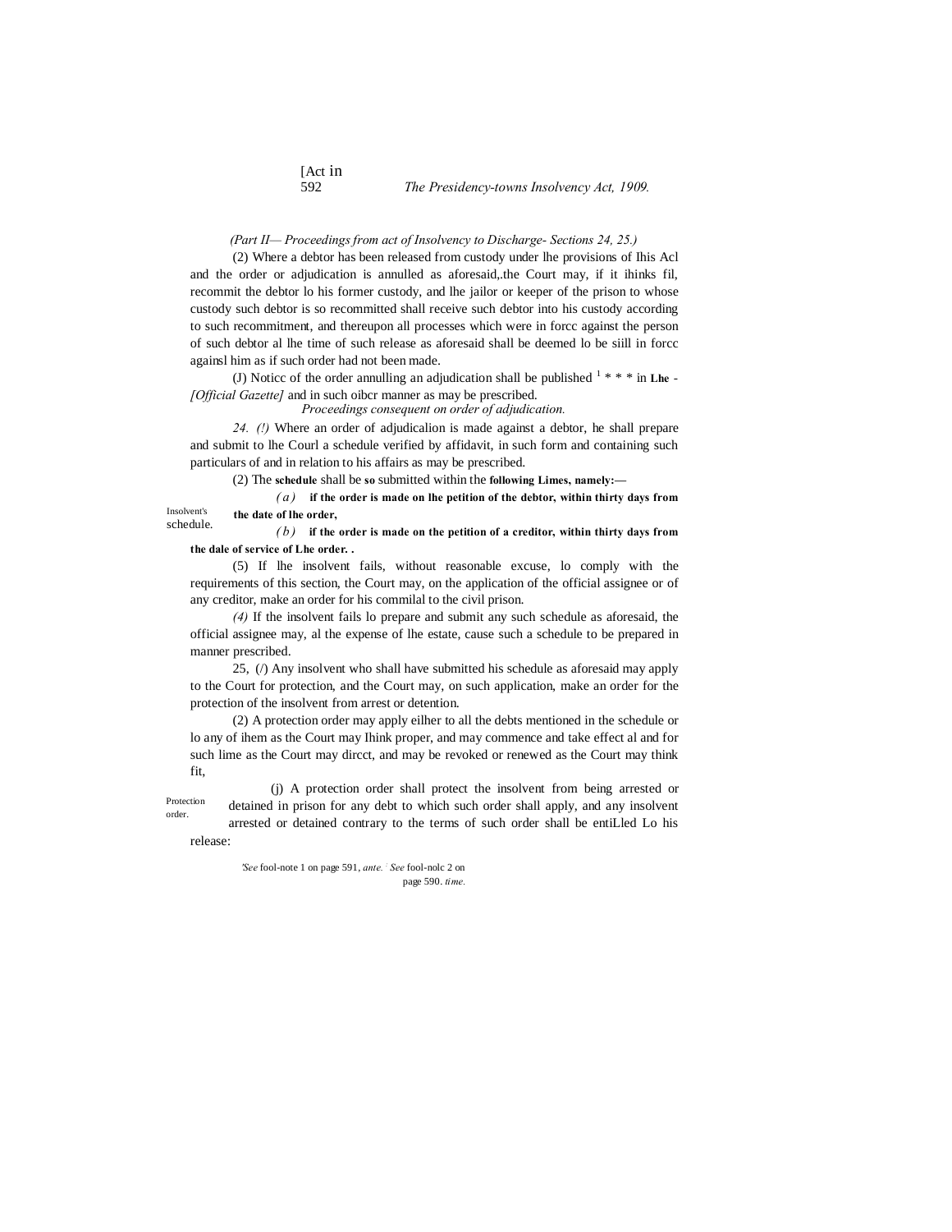[Act in  $\frac{502}{ }$ 592 *The Presidency-towns Insolvency Act, 1909.*

*(Part II— Proceedings from act of Insolvency to Discharge- Sections 24, 25.)*

(2) Where a debtor has been released from custody under lhe provisions of Ihis Acl and the order or adjudication is annulled as aforesaid,.the Court may, if it ihinks fil, recommit the debtor lo his former custody, and lhe jailor or keeper of the prison to whose custody such debtor is so recommitted shall receive such debtor into his custody according to such recommitment, and thereupon all processes which were in forcc against the person of such debtor al lhe time of such release as aforesaid shall be deemed lo be siill in forcc againsl him as if such order had not been made.

(J) Notice of the order annulling an adjudication shall be published  $1$  \* \* \* in Lhe -*[Official Gazette]* and in such oibcr manner as may be prescribed.

*Proceedings consequent on order of adjudication.*

*24. (!)* Where an order of adjudicalion is made against a debtor, he shall prepare and submit to lhe Courl a schedule verified by affidavit, in such form and containing such particulars of and in relation to his affairs as may be prescribed.

(2) The **schedule** shall be **so** submitted within the **following Limes, namely:—**

Insolvent's *( a )* **if the order is made on lhe petition of the debtor, within thirty days from the date of lhe order,**

schedule. *( b )* **if the order is made on the petition of a creditor, within thirty days from the dale of service of Lhe order. .**

(5) If lhe insolvent fails, without reasonable excuse, lo comply with the requirements of this section, the Court may, on the application of the official assignee or of any creditor, make an order for his commilal to the civil prison.

*(4)* If the insolvent fails lo prepare and submit any such schedule as aforesaid, the official assignee may, al the expense of lhe estate, cause such a schedule to be prepared in manner prescribed.

25, (/) Any insolvent who shall have submitted his schedule as aforesaid may apply to the Court for protection, and the Court may, on such application, make an order for the protection of the insolvent from arrest or detention.

(2) A protection order may apply eilher to all the debts mentioned in the schedule or lo any of ihem as the Court may Ihink proper, and may commence and take effect al and for such lime as the Court may dircct, and may be revoked or renewed as the Court may think fit,

Protection (j) A protection order shall protect the insolvent from being arrested or detained in prison for any debt to which such order shall apply, and any insolvent arrested or detained contrary to the terms of such order shall be entiLled Lo his release:

> *'See* fool-note 1 on page 591, *ante. : See* fool-nolc 2 on page 590. *time.*

order.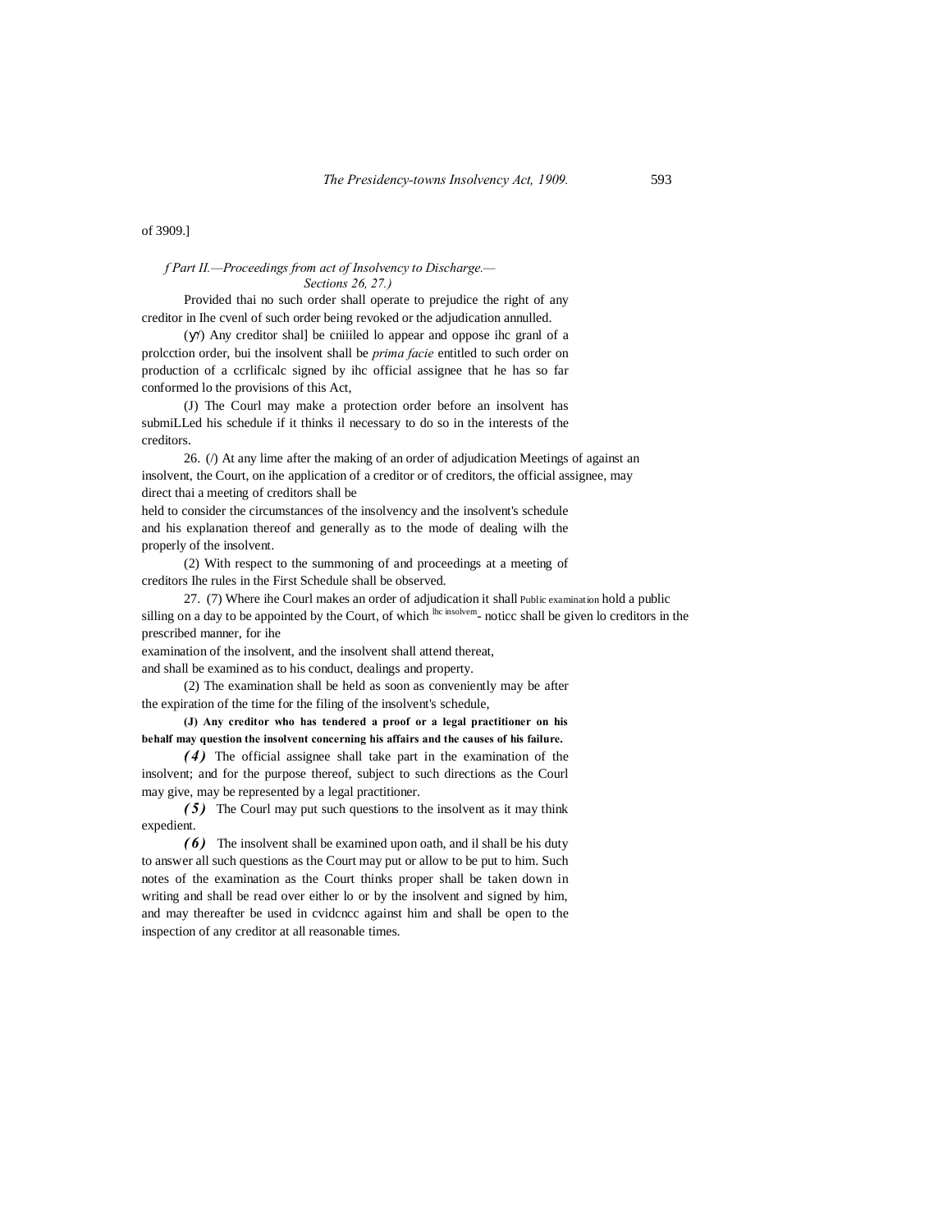of 3909.]

## *f Part II.—Proceedings from act of Insolvency to Discharge.— Sections 26, 27.)*

Provided thai no such order shall operate to prejudice the right of any creditor in Ihe cvenl of such order being revoked or the adjudication annulled.

( /) Any creditor shal] be cniiiled lo appear and oppose ihc granl of a prolcction order, bui the insolvent shall be *prima facie* entitled to such order on production of a ccrlificalc signed by ihc official assignee that he has so far conformed lo the provisions of this Act,

(J) The Courl may make a protection order before an insolvent has submiLLed his schedule if it thinks il necessary to do so in the interests of the creditors.

26. (/) At any lime after the making of an order of adjudication Meetings of against an insolvent, the Court, on ihe application of a creditor or of creditors, the official assignee, may direct thai a meeting of creditors shall be

held to consider the circumstances of the insolvency and the insolvent's schedule and his explanation thereof and generally as to the mode of dealing wilh the properly of the insolvent.

(2) With respect to the summoning of and proceedings at a meeting of creditors Ihe rules in the First Schedule shall be observed.

27. (7) Where ihe Courl makes an order of adjudication it shall Public examination hold a public silling on a day to be appointed by the Court, of which <sup>lhc insolvem</sup>- notice shall be given lo creditors in the prescribed manner, for ihe

examination of the insolvent, and the insolvent shall attend thereat,

and shall be examined as to his conduct, dealings and property.

(2) The examination shall be held as soon as conveniently may be after the expiration of the time for the filing of the insolvent's schedule,

**(J) Any creditor who has tendered a proof or a legal practitioner on his behalf may question the insolvent concerning his affairs and the causes of his failure.**

*( 4 )* The official assignee shall take part in the examination of the insolvent; and for the purpose thereof, subject to such directions as the Courl may give, may be represented by a legal practitioner.

*( 5 )* The Courl may put such questions to the insolvent as it may think expedient.

*( 6 )* The insolvent shall be examined upon oath, and il shall be his duty to answer all such questions as the Court may put or allow to be put to him. Such notes of the examination as the Court thinks proper shall be taken down in writing and shall be read over either lo or by the insolvent and signed by him, and may thereafter be used in cvidcncc against him and shall be open to the inspection of any creditor at all reasonable times.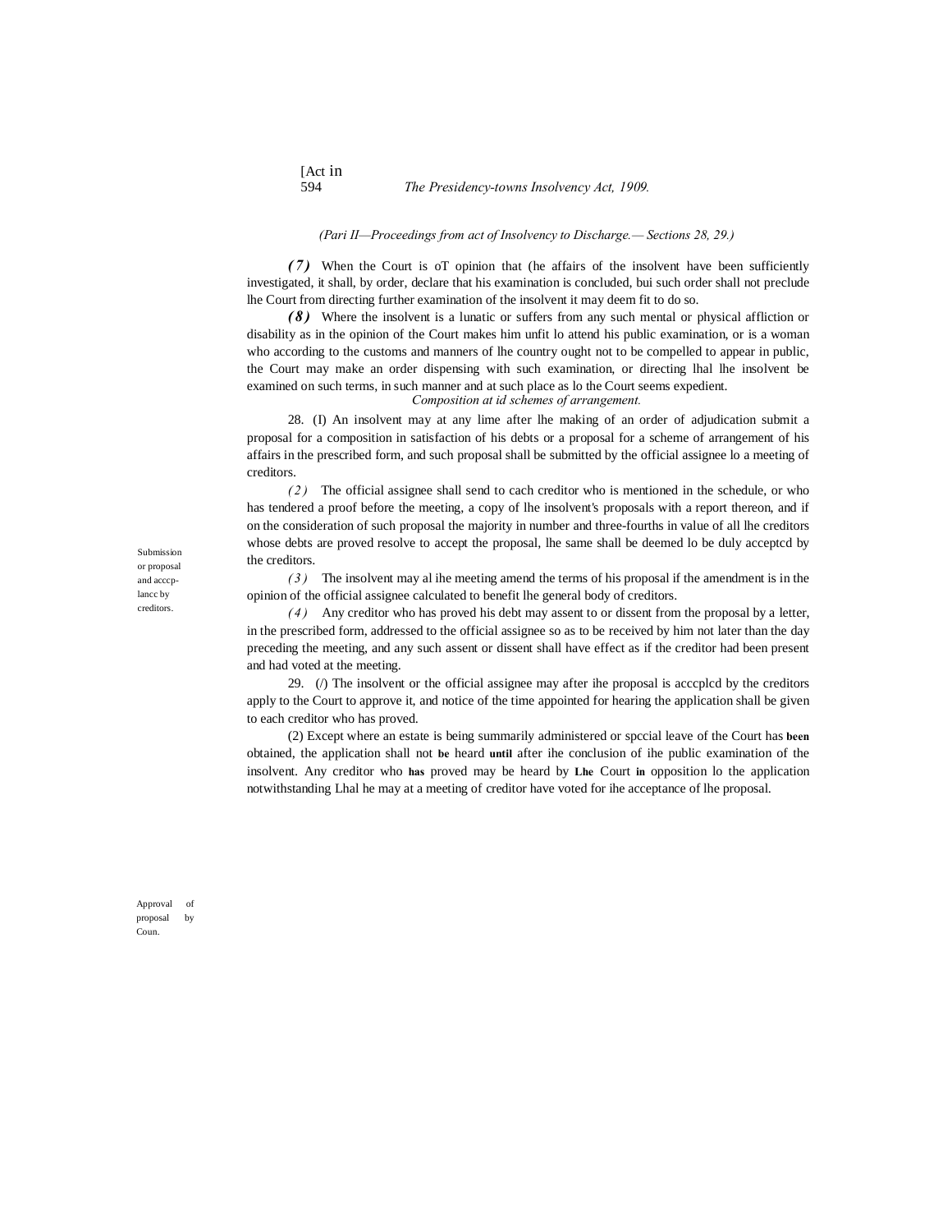## [Act in  $594$ 594 *The Presidency-towns Insolvency Act, 1909.*

#### *(Pari II—Proceedings from act of Insolvency to Discharge.— Sections 28, 29.)*

*( 7 )* When the Court is oT opinion that (he affairs of the insolvent have been sufficiently investigated, it shall, by order, declare that his examination is concluded, bui such order shall not preclude lhe Court from directing further examination of the insolvent it may deem fit to do so.

*( 8 )* Where the insolvent is a lunatic or suffers from any such mental or physical affliction or disability as in the opinion of the Court makes him unfit lo attend his public examination, or is a woman who according to the customs and manners of lhe country ought not to be compelled to appear in public, the Court may make an order dispensing with such examination, or directing lhal lhe insolvent be examined on such terms, in such manner and at such place as lo the Court seems expedient. *Composition at id schemes of arrangement.*

28. (I) An insolvent may at any lime after lhe making of an order of adjudication submit a proposal for a composition in satisfaction of his debts or a proposal for a scheme of arrangement of his affairs in the prescribed form, and such proposal shall be submitted by the official assignee lo a meeting of creditors.

*( 2 )* The official assignee shall send to cach creditor who is mentioned in the schedule, or who has tendered a proof before the meeting, a copy of lhe insolvent's proposals with a report thereon, and if on the consideration of such proposal the majority in number and three-fourths in value of all lhe creditors whose debts are proved resolve to accept the proposal, lhe same shall be deemed lo be duly acceptcd by the creditors.

*( 3 )* The insolvent may al ihe meeting amend the terms of his proposal if the amendment is in the opinion of the official assignee calculated to benefit lhe general body of creditors.

*( 4 )* Any creditor who has proved his debt may assent to or dissent from the proposal by a letter, in the prescribed form, addressed to the official assignee so as to be received by him not later than the day preceding the meeting, and any such assent or dissent shall have effect as if the creditor had been present and had voted at the meeting.

29. (/) The insolvent or the official assignee may after ihe proposal is acccplcd by the creditors apply to the Court to approve it, and notice of the time appointed for hearing the application shall be given to each creditor who has proved.

(2) Except where an estate is being summarily administered or spccial leave of the Court has **been** obtained, the application shall not **be** heard **until** after ihe conclusion of ihe public examination of the insolvent. Any creditor who **has** proved may be heard by **Lhe** Court **in** opposition lo the application notwithstanding Lhal he may at a meeting of creditor have voted for ihe acceptance of lhe proposal.

Approval of proposal by Coun.

Submission or proposal and acccplancc by creditors.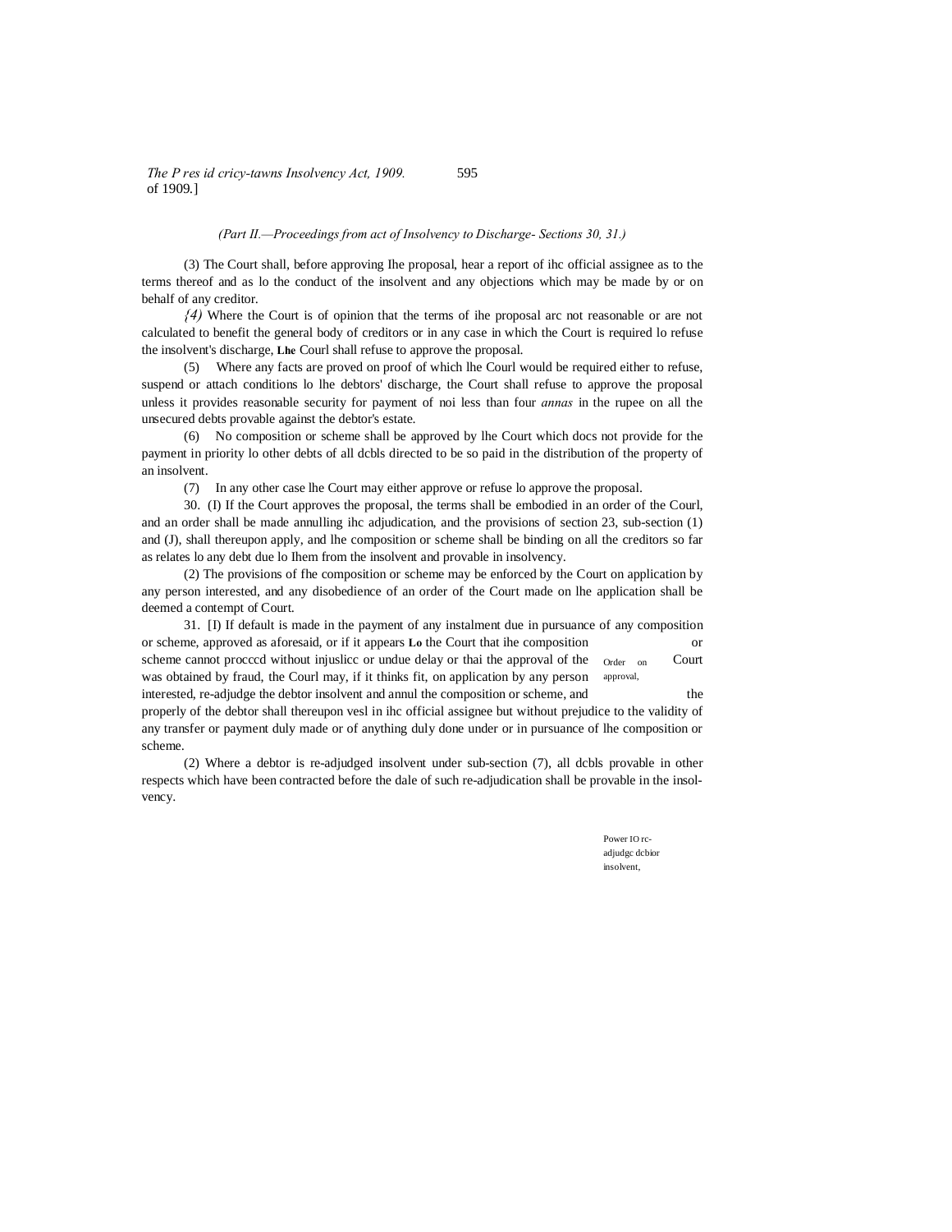*The P res id cricy-tawns Insolvency Act, 1909.* 595 of 1909.]

#### *(Part II.—Proceedings from act of Insolvency to Discharge- Sections 30, 31.)*

(3) The Court shall, before approving Ihe proposal, hear a report of ihc official assignee as to the terms thereof and as lo the conduct of the insolvent and any objections which may be made by or on behalf of any creditor.

*{4)* Where the Court is of opinion that the terms of ihe proposal arc not reasonable or are not calculated to benefit the general body of creditors or in any case in which the Court is required lo refuse the insolvent's discharge, **Lhe** Courl shall refuse to approve the proposal.

(5) Where any facts are proved on proof of which lhe Courl would be required either to refuse, suspend or attach conditions lo lhe debtors' discharge, the Court shall refuse to approve the proposal unless it provides reasonable security for payment of noi less than four *annas* in the rupee on all the unsecured debts provable against the debtor's estate.

(6) No composition or scheme shall be approved by lhe Court which docs not provide for the payment in priority lo other debts of all dcbls directed to be so paid in the distribution of the property of an insolvent.

(7) In any other case lhe Court may either approve or refuse lo approve the proposal.

30. (I) If the Court approves the proposal, the terms shall be embodied in an order of the Courl, and an order shall be made annulling ihc adjudication, and the provisions of section 23, sub-section (1) and (J), shall thereupon apply, and lhe composition or scheme shall be binding on all the creditors so far as relates lo any debt due lo Ihem from the insolvent and provable in insolvency.

(2) The provisions of fhe composition or scheme may be enforced by the Court on application by any person interested, and any disobedience of an order of the Court made on lhe application shall be deemed a contempt of Court.

scheme cannot procced without injuslice or undue delay or thai the approval of the <sub>Order on</sub> Court was obtained by fraud, the Courl may, if it thinks fit, on application by any person approval, 31. [I) If default is made in the payment of any instalment due in pursuance of any composition or scheme, approved as aforesaid, or if it appears **Lo** the Court that ihe composition or interested, re-adjudge the debtor insolvent and annul the composition or scheme, and the

properly of the debtor shall thereupon vesl in ihc official assignee but without prejudice to the validity of any transfer or payment duly made or of anything duly done under or in pursuance of lhe composition or scheme.

(2) Where a debtor is re-adjudged insolvent under sub-section (7), all dcbls provable in other respects which have been contracted before the dale of such re-adjudication shall be provable in the insolvency.

> Power IO rcadjudgc dcbior insolvent,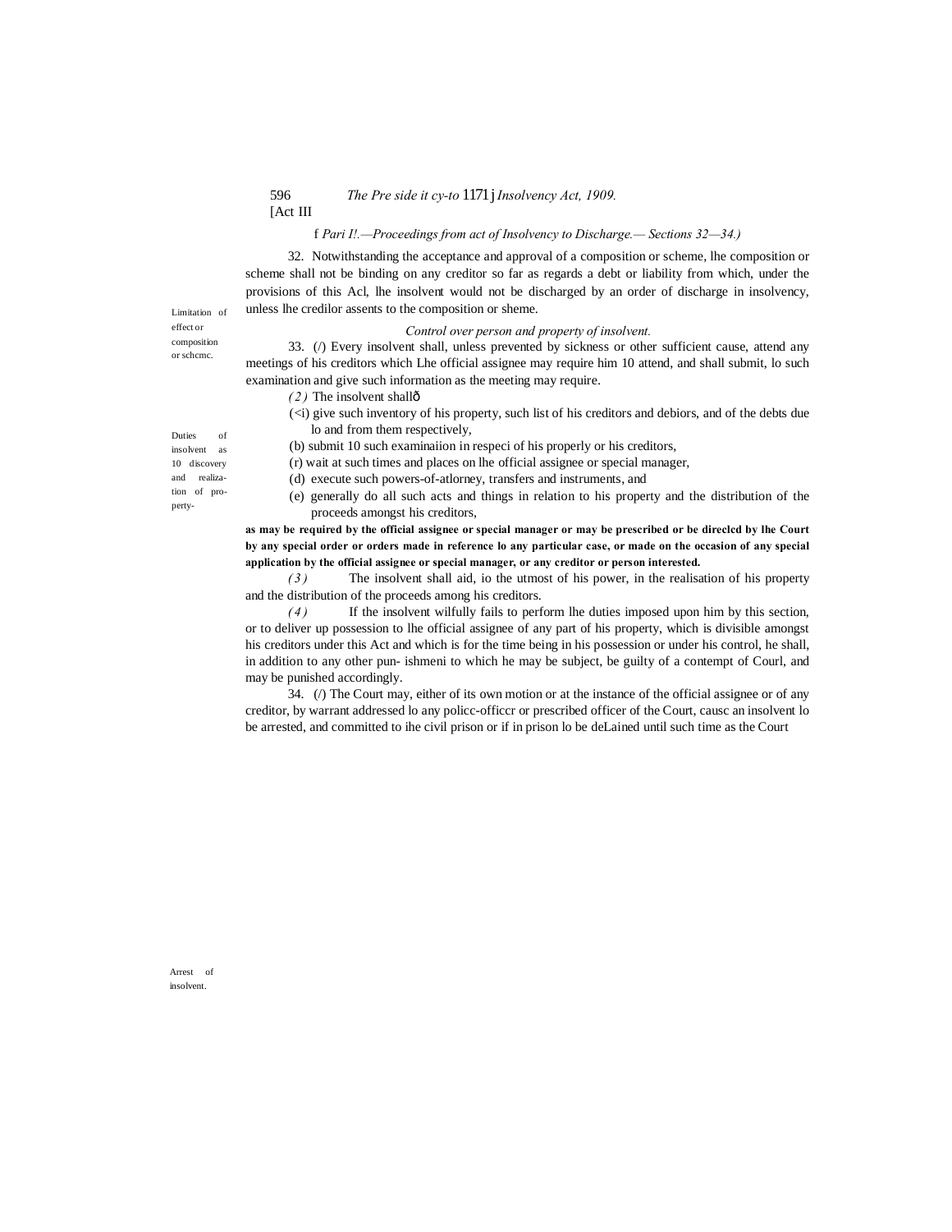## 596 *The Pre side it cy-to* 1171 j*Insolvency Act, 1909.*

[Act III

#### f *Pari I!.—Proceedings from act of Insolvency to Discharge.— Sections 32—34.)*

32. Notwithstanding the acceptance and approval of a composition or scheme, lhe composition or scheme shall not be binding on any creditor so far as regards a debt or liability from which, under the provisions of this Acl, lhe insolvent would not be discharged by an order of discharge in insolvency, unless lhe credilor assents to the composition or sheme.

## *Control over person and property of insolvent.*

33. (/) Every insolvent shall, unless prevented by sickness or other sufficient cause, attend any meetings of his creditors which Lhe official assignee may require him 10 attend, and shall submit, lo such examination and give such information as the meeting may require.

*( 2 )* The insolvent shall—

- (<i) give such inventory of his property, such list of his creditors and debiors, and of the debts due lo and from them respectively,
- (b) submit 10 such examinaiion in respeci of his properly or his creditors,

(r) wait at such times and places on lhe official assignee or special manager,

(d) execute such powers-of-atlorney, transfers and instruments, and

(e) generally do all such acts and things in relation to his property and the distribution of the proceeds amongst his creditors,

**as may be required by the official assignee or special manager or may be prescribed or be direclcd by lhe Court by any special order or orders made in reference lo any particular case, or made on the occasion of any special application by the official assignee or special manager, or any creditor or person interested.**

*( 3 )* The insolvent shall aid, io the utmost of his power, in the realisation of his property and the distribution of the proceeds among his creditors.

*( 4 )* If the insolvent wilfully fails to perform lhe duties imposed upon him by this section, or to deliver up possession to lhe official assignee of any part of his property, which is divisible amongst his creditors under this Act and which is for the time being in his possession or under his control, he shall, in addition to any other pun- ishmeni to which he may be subject, be guilty of a contempt of Courl, and may be punished accordingly.

34. (/) The Court may, either of its own motion or at the instance of the official assignee or of any creditor, by warrant addressed lo any policc-officcr or prescribed officer of the Court, causc an insolvent lo be arrested, and committed to ihe civil prison or if in prison lo be deLained until such time as the Court

Limitation of effect or composition or schcmc.

Duties of insolvent as 10 discovery and realization of property-

Arrest of insolvent.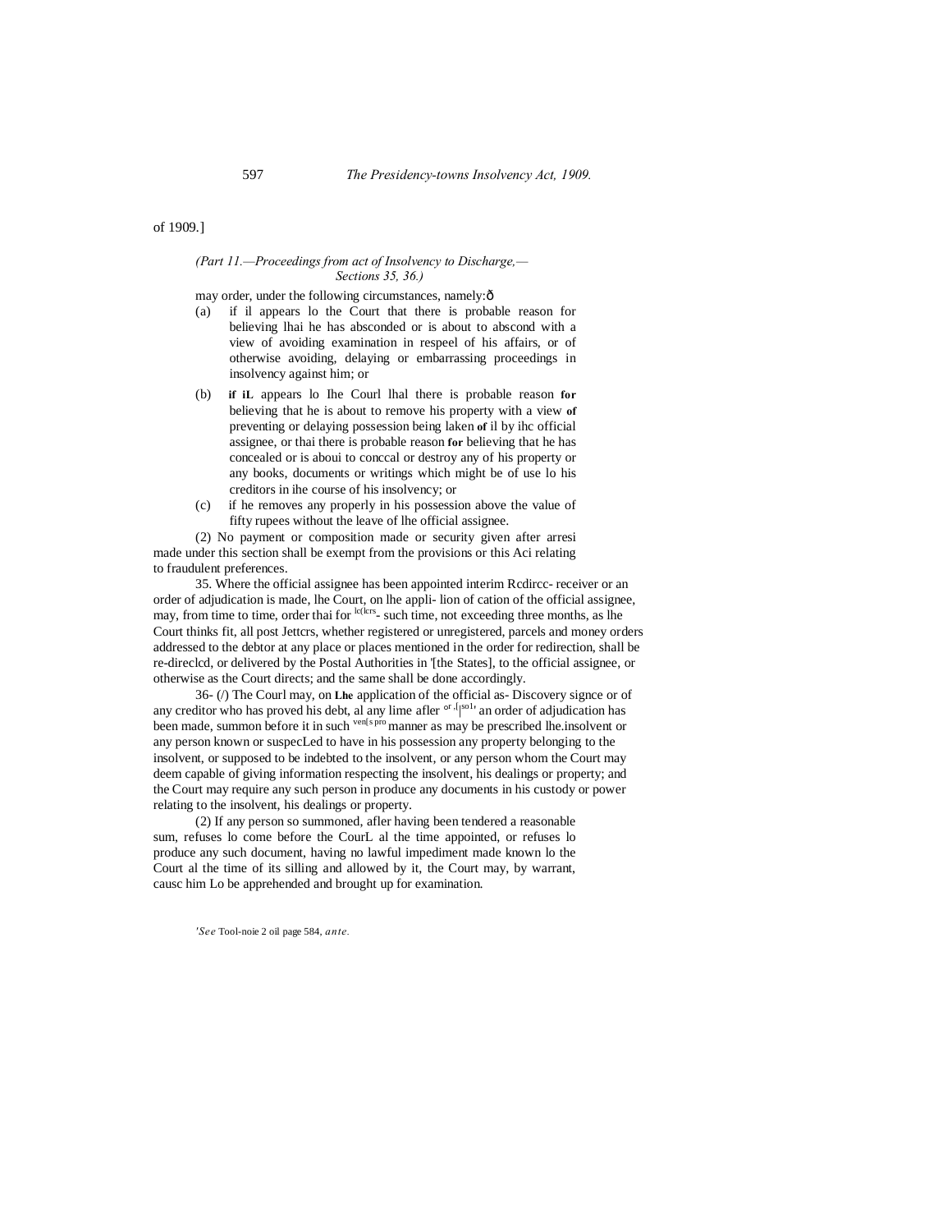of 1909.]

#### *(Part 11.—Proceedings from act of Insolvency to Discharge,— Sections 35, 36.)*

may order, under the following circumstances, namely: $\delta$ 

- (a) if il appears lo the Court that there is probable reason for believing lhai he has absconded or is about to abscond with a view of avoiding examination in respeel of his affairs, or of otherwise avoiding, delaying or embarrassing proceedings in insolvency against him; or
- (b) **if iL** appears lo Ihe Courl lhal there is probable reason **for**  believing that he is about to remove his property with a view **of** preventing or delaying possession being laken **of** il by ihc official assignee, or thai there is probable reason **for** believing that he has concealed or is aboui to conccal or destroy any of his property or any books, documents or writings which might be of use lo his creditors in ihe course of his insolvency; or
- (c) if he removes any properly in his possession above the value of fifty rupees without the leave of lhe official assignee.

(2) No payment or composition made or security given after arresi made under this section shall be exempt from the provisions or this Aci relating to fraudulent preferences.

35. Where the official assignee has been appointed interim Rcdircc- receiver or an order of adjudication is made, lhe Court, on lhe appli- lion of cation of the official assignee, may, from time to time, order thai for  $\frac{lc(krs)}{s}$  such time, not exceeding three months, as lhe Court thinks fit, all post Jettcrs, whether registered or unregistered, parcels and money orders addressed to the debtor at any place or places mentioned in the order for redirection, shall be re-direclcd, or delivered by the Postal Authorities in '[the States], to the official assignee, or otherwise as the Court directs; and the same shall be done accordingly.

36- (/) The Courl may, on **Lhe** application of the official as- Discovery signce or of any creditor who has proved his debt, al any lime afler  $\mathfrak{S}^{1,[S01]}$  an order of adjudication has been made, summon before it in such ven[s pro manner as may be prescribed lhe.insolvent or any person known or suspecLed to have in his possession any property belonging to the insolvent, or supposed to be indebted to the insolvent, or any person whom the Court may deem capable of giving information respecting the insolvent, his dealings or property; and the Court may require any such person in produce any documents in his custody or power relating to the insolvent, his dealings or property.

(2) If any person so summoned, afler having been tendered a reasonable sum, refuses lo come before the CourL al the time appointed, or refuses lo produce any such document, having no lawful impediment made known lo the Court al the time of its silling and allowed by it, the Court may, by warrant, causc him Lo be apprehended and brought up for examination.

*'See* Tool-noie 2 oil page 584, *ante.*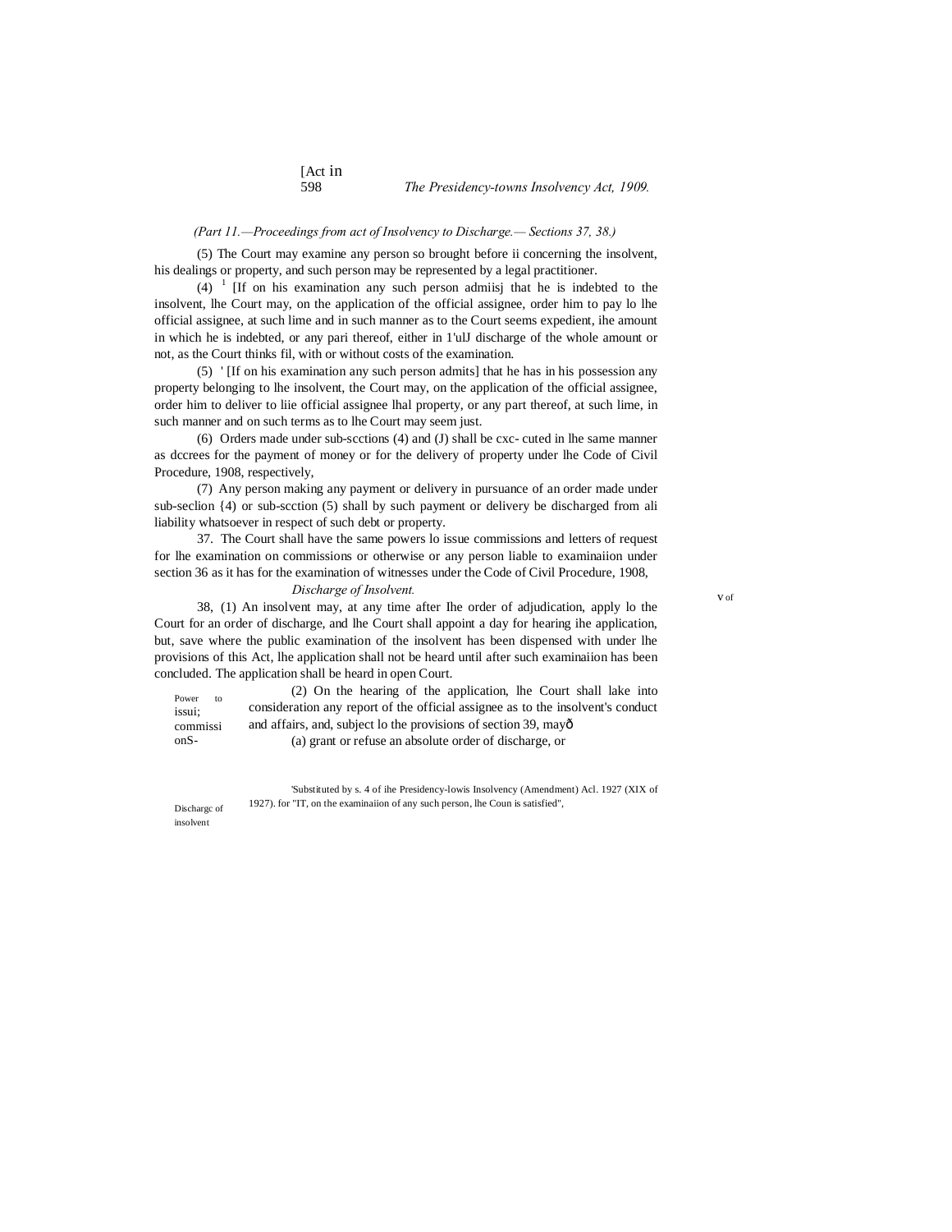## *(Part 11.—Proceedings from act of Insolvency to Discharge.— Sections 37, 38.)*

(5) The Court may examine any person so brought before ii concerning the insolvent, his dealings or property, and such person may be represented by a legal practitioner.

 $(4)$  <sup>1</sup> [If on his examination any such person admiisj that he is indebted to the insolvent, lhe Court may, on the application of the official assignee, order him to pay lo lhe official assignee, at such lime and in such manner as to the Court seems expedient, ihe amount in which he is indebted, or any pari thereof, either in 1'ulJ discharge of the whole amount or not, as the Court thinks fil, with or without costs of the examination.

(5) ' [If on his examination any such person admits] that he has in his possession any property belonging to lhe insolvent, the Court may, on the application of the official assignee, order him to deliver to liie official assignee lhal property, or any part thereof, at such lime, in such manner and on such terms as to lhe Court may seem just.

(6) Orders made under sub-scctions (4) and (J) shall be cxc- cuted in lhe same manner as dccrees for the payment of money or for the delivery of property under lhe Code of Civil Procedure, 1908, respectively,

(7) Any person making any payment or delivery in pursuance of an order made under sub-seclion {4) or sub-scction (5) shall by such payment or delivery be discharged from ali liability whatsoever in respect of such debt or property.

37. The Court shall have the same powers lo issue commissions and letters of request for lhe examination on commissions or otherwise or any person liable to examinaiion under section 36 as it has for the examination of witnesses under the Code of Civil Procedure, 1908,

# *Discharge of Insolvent.*

38, (1) An insolvent may, at any time after Ihe order of adjudication, apply lo the Court for an order of discharge, and lhe Court shall appoint a day for hearing ihe application, but, save where the public examination of the insolvent has been dispensed with under lhe provisions of this Act, lhe application shall not be heard until after such examinaiion has been concluded. The application shall be heard in open Court.

Power issui; commissi onS-(2) On the hearing of the application, lhe Court shall lake into consideration any report of the official assignee as to the insolvent's conduct and affairs, and, subject lo the provisions of section 39, mayô (a) grant or refuse an absolute order of discharge, or

Dischargc of 'Substituted by s. 4 of ihe Presidency-lowis Insolvency (Amendment) Acl. 1927 (XIX of 1927). for "IT, on the examinaiion of any such person, lhe Coun is satisfied",

insolvent

v of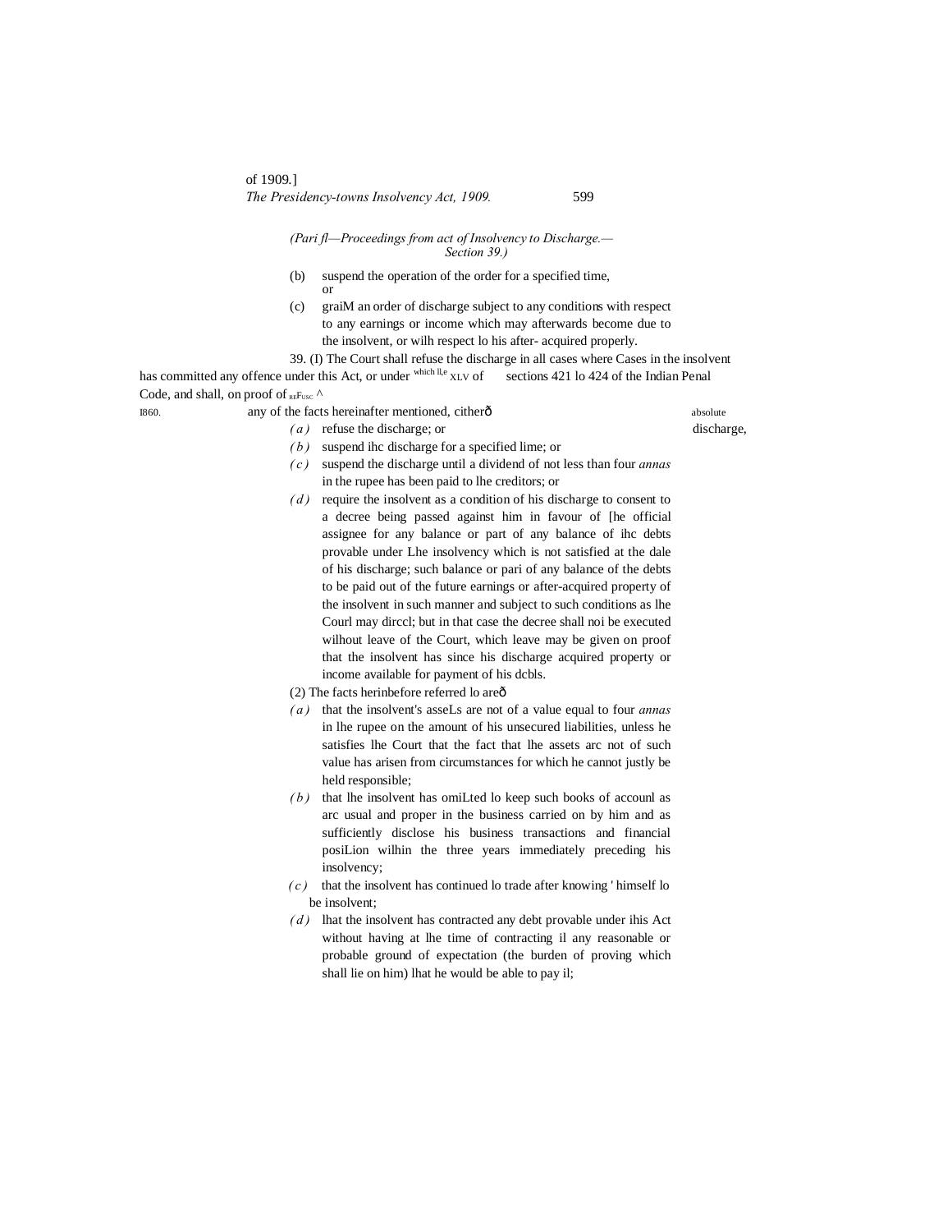of 1909.] *The Presidency-towns Insolvency Act, 1909.* 599

#### *(Pari fl—Proceedings from act of Insolvency to Discharge.— Section 39.)*

- (b) suspend the operation of the order for a specified time, or
- (c) graiM an order of discharge subject to any conditions with respect to any earnings or income which may afterwards become due to the insolvent, or wilh respect lo his after- acquired properly.

39. (I) The Court shall refuse the discharge in all cases where Cases in the insolvent has committed any offence under this Act, or under which ll,e XLV of sections 421 lo 424 of the Indian Penal Code, and shall, on proof of  $_{RE}F_{USC}$  ^

- I860. **any of the facts hereinafter mentioned, cither** absolute absolute
	- *(a)* refuse the discharge; or discharge,
	- *( b )* suspend ihc discharge for a specified lime; or
	- *( c )* suspend the discharge until a dividend of not less than four *annas* in the rupee has been paid to lhe creditors; or
	- *( d )* require the insolvent as a condition of his discharge to consent to a decree being passed against him in favour of [he official assignee for any balance or part of any balance of ihc debts provable under Lhe insolvency which is not satisfied at the dale of his discharge; such balance or pari of any balance of the debts to be paid out of the future earnings or after-acquired property of the insolvent in such manner and subject to such conditions as lhe Courl may dirccl; but in that case the decree shall noi be executed wilhout leave of the Court, which leave may be given on proof that the insolvent has since his discharge acquired property or income available for payment of his dcbls.
	- $(2)$  The facts herinbefore referred lo are $\hat{0}$
	- *( a )* that the insolvent's asseLs are not of a value equal to four *annas* in lhe rupee on the amount of his unsecured liabilities, unless he satisfies lhe Court that the fact that lhe assets arc not of such value has arisen from circumstances for which he cannot justly be held responsible;
	- *( b )* that lhe insolvent has omiLted lo keep such books of accounl as arc usual and proper in the business carried on by him and as sufficiently disclose his business transactions and financial posiLion wilhin the three years immediately preceding his insolvency;
	- *( c )* that the insolvent has continued lo trade after knowing ' himself lo be insolvent;
	- *(d)* lhat the insolvent has contracted any debt provable under ihis Act without having at lhe time of contracting il any reasonable or probable ground of expectation (the burden of proving which shall lie on him) lhat he would be able to pay il;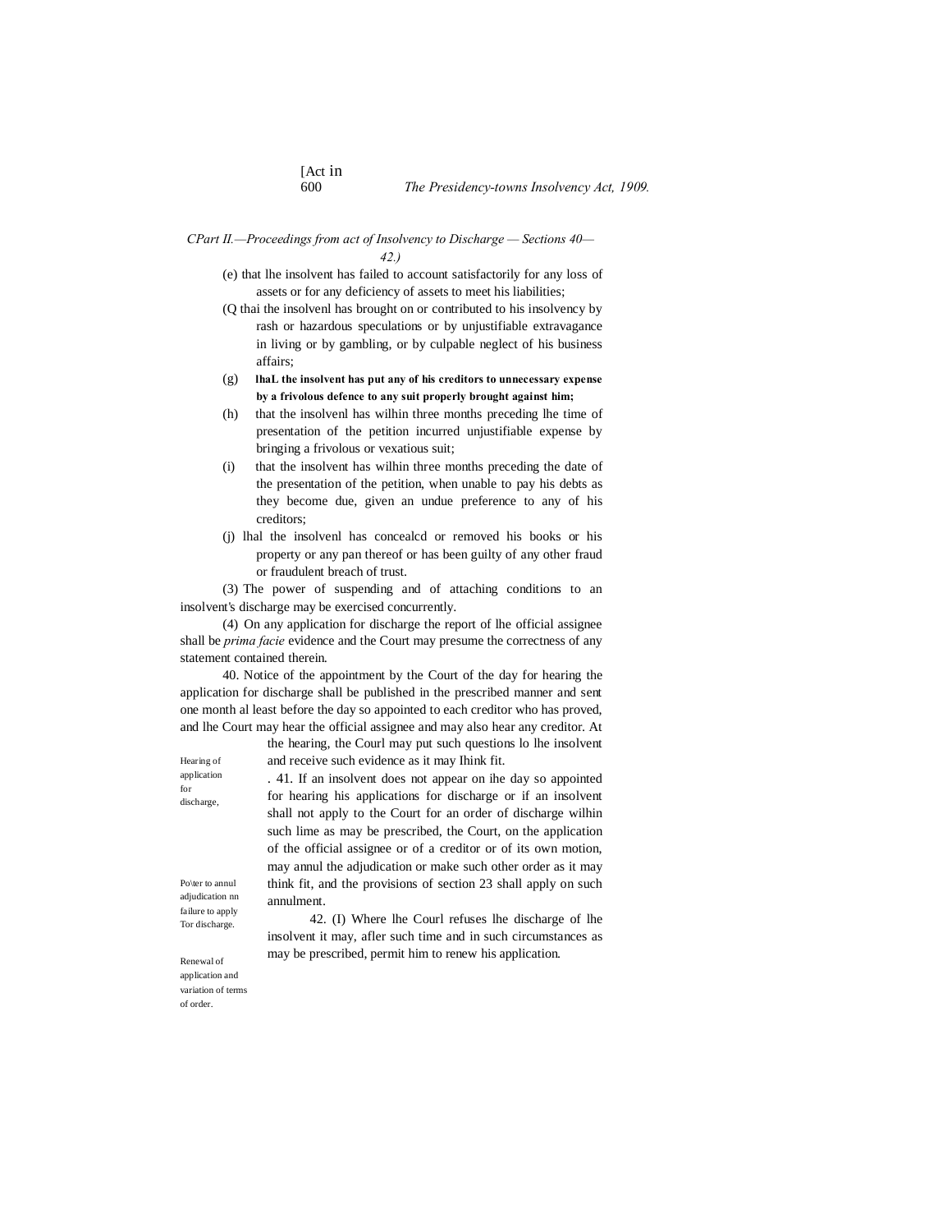*CPart II.—Proceedings from act of Insolvency to Discharge — Sections 40— 42.)*

- (e) that lhe insolvent has failed to account satisfactorily for any loss of assets or for any deficiency of assets to meet his liabilities;
- (Q thai the insolvenl has brought on or contributed to his insolvency by rash or hazardous speculations or by unjustifiable extravagance in living or by gambling, or by culpable neglect of his business affairs;
- (g) **lhaL the insolvent has put any of his creditors to unnecessary expense by a frivolous defence to any suit properly brought against him;**
- (h) that the insolvenl has wilhin three months preceding lhe time of presentation of the petition incurred unjustifiable expense by bringing a frivolous or vexatious suit;
- (i) that the insolvent has wilhin three months preceding the date of the presentation of the petition, when unable to pay his debts as they become due, given an undue preference to any of his creditors;
- (j) lhal the insolvenl has concealcd or removed his books or his property or any pan thereof or has been guilty of any other fraud or fraudulent breach of trust.

(3) The power of suspending and of attaching conditions to an insolvent's discharge may be exercised concurrently.

(4) On any application for discharge the report of lhe official assignee shall be *prima facie* evidence and the Court may presume the correctness of any statement contained therein.

40. Notice of the appointment by the Court of the day for hearing the application for discharge shall be published in the prescribed manner and sent one month al least before the day so appointed to each creditor who has proved, and lhe Court may hear the official assignee and may also hear any creditor. At

> the hearing, the Courl may put such questions lo lhe insolvent and receive such evidence as it may Ihink fit.

Hearing of application for discharge,

. 41. If an insolvent does not appear on ihe day so appointed for hearing his applications for discharge or if an insolvent shall not apply to the Court for an order of discharge wilhin such lime as may be prescribed, the Court, on the application of the official assignee or of a creditor or of its own motion, may annul the adjudication or make such other order as it may think fit, and the provisions of section 23 shall apply on such annulment.

Po\ter to annul adjudication nn failure to apply Tor discharge.

42. (I) Where lhe Courl refuses lhe discharge of lhe insolvent it may, afler such time and in such circumstances as may be prescribed, permit him to renew his application.

Renewal of application and variation of terms of order.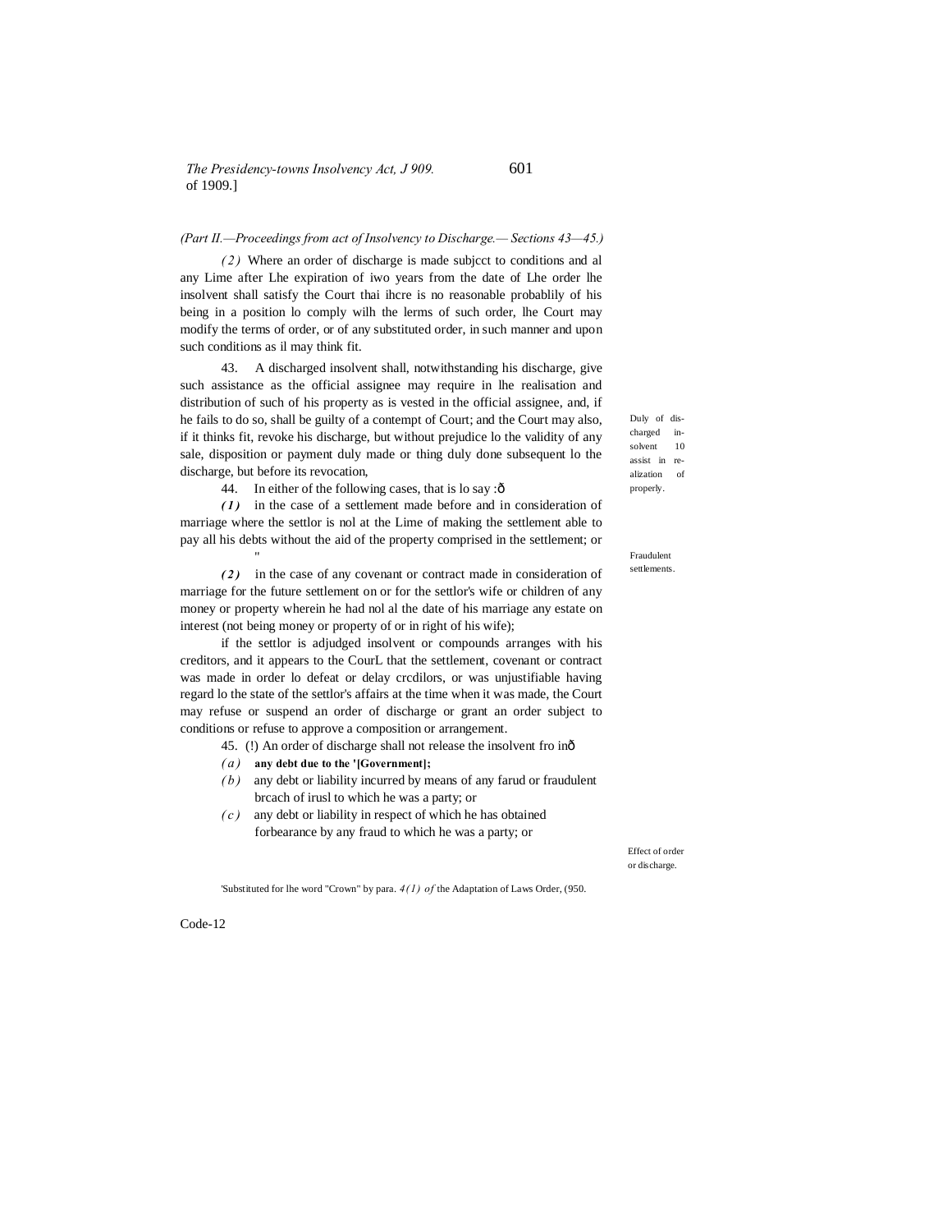## *(Part II.—Proceedings from act of Insolvency to Discharge.— Sections 43—45.)*

*( 2 )* Where an order of discharge is made subjcct to conditions and al any Lime after Lhe expiration of iwo years from the date of Lhe order lhe insolvent shall satisfy the Court thai ihcre is no reasonable probablily of his being in a position lo comply wilh the lerms of such order, lhe Court may modify the terms of order, or of any substituted order, in such manner and upon such conditions as il may think fit.

43. A discharged insolvent shall, notwithstanding his discharge, give such assistance as the official assignee may require in lhe realisation and distribution of such of his property as is vested in the official assignee, and, if he fails to do so, shall be guilty of a contempt of Court; and the Court may also, if it thinks fit, revoke his discharge, but without prejudice lo the validity of any sale, disposition or payment duly made or thing duly done subsequent lo the discharge, but before its revocation,

44. In either of the following cases, that is lo say :  $\delta$ 

*( 1 )* in the case of a settlement made before and in consideration of marriage where the settlor is nol at the Lime of making the settlement able to pay all his debts without the aid of the property comprised in the settlement; or

*( 2 )* in the case of any covenant or contract made in consideration of marriage for the future settlement on or for the settlor's wife or children of any money or property wherein he had nol al the date of his marriage any estate on interest (not being money or property of or in right of his wife);

if the settlor is adjudged insolvent or compounds arranges with his creditors, and it appears to the CourL that the settlement, covenant or contract was made in order lo defeat or delay crcdilors, or was unjustifiable having regard lo the state of the settlor's affairs at the time when it was made, the Court may refuse or suspend an order of discharge or grant an order subject to conditions or refuse to approve a composition or arrangement.

- 45. (!) An order of discharge shall not release the insolvent fro inô
- *( a )* **any debt due to the '[Government];**

"

- *( b )* any debt or liability incurred by means of any farud or fraudulent brcach of irusl to which he was a party; or
- *( c )* any debt or liability in respect of which he has obtained forbearance by any fraud to which he was a party; or

Effect of order or discharge.

'Substituted for lhe word "Crown" by para. *4(1) of* the Adaptation of Laws Order, (950.

Duly of discharged insolvent 10 assist in realization of properly.

Fraudulent settlements.

Code-12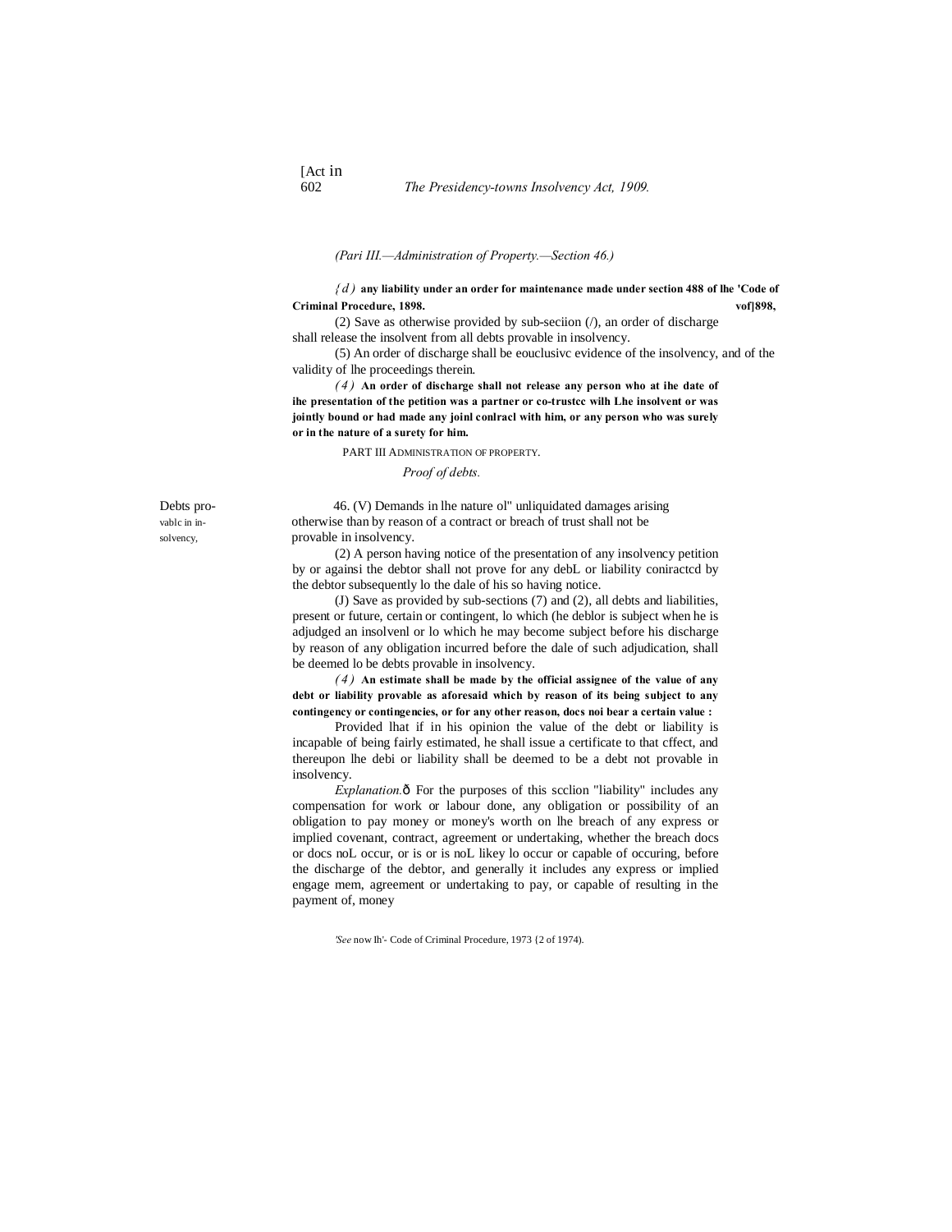*(Pari III.—Administration of Property.—Section 46.)*

*{ d )* **any liability under an order for maintenance made under section 488 of lhe 'Code of Criminal Procedure, 1898. vof]898,**

(2) Save as otherwise provided by sub-seciion (/), an order of discharge shall release the insolvent from all debts provable in insolvency.

(5) An order of discharge shall be eouclusivc evidence of the insolvency, and of the validity of lhe proceedings therein.

*( 4 )* **An order of discharge shall not release any person who at ihe date of ihe presentation of the petition was a partner or co-trustcc wilh Lhe insolvent or was jointly bound or had made any joinl conlracl with him, or any person who was surely or in the nature of a surety for him.**

PART III ADMINISTRATION OF PROPERTY.

*Proof of debts.*

Debts pro- 46. (V) Demands in lhe nature ol" unliquidated damages arising vablc in in- otherwise than by reason of a contract or breach of trust shall not be solvency, provable in insolvency.

> (2) A person having notice of the presentation of any insolvency petition by or againsi the debtor shall not prove for any debL or liability coniractcd by the debtor subsequently lo the dale of his so having notice.

> (J) Save as provided by sub-sections (7) and (2), all debts and liabilities, present or future, certain or contingent, lo which (he deblor is subject when he is adjudged an insolvenl or lo which he may become subject before his discharge by reason of any obligation incurred before the dale of such adjudication, shall be deemed lo be debts provable in insolvency.

> *( 4 )* **An estimate shall be made by the official assignee of the value of any debt or liability provable as aforesaid which by reason of its being subject to any contingency or contingencies, or for any other reason, docs noi bear a certain value :**

> Provided lhat if in his opinion the value of the debt or liability is incapable of being fairly estimated, he shall issue a certificate to that cffect, and thereupon lhe debi or liability shall be deemed to be a debt not provable in insolvency.

> *Explanation.* $ô$  For the purposes of this scclion "liability" includes any compensation for work or labour done, any obligation or possibility of an obligation to pay money or money's worth on lhe breach of any express or implied covenant, contract, agreement or undertaking, whether the breach docs or docs noL occur, or is or is noL likey lo occur or capable of occuring, before the discharge of the debtor, and generally it includes any express or implied engage mem, agreement or undertaking to pay, or capable of resulting in the payment of, money

*'See* now Ih'- Code of Criminal Procedure, 1973 {2 of 1974).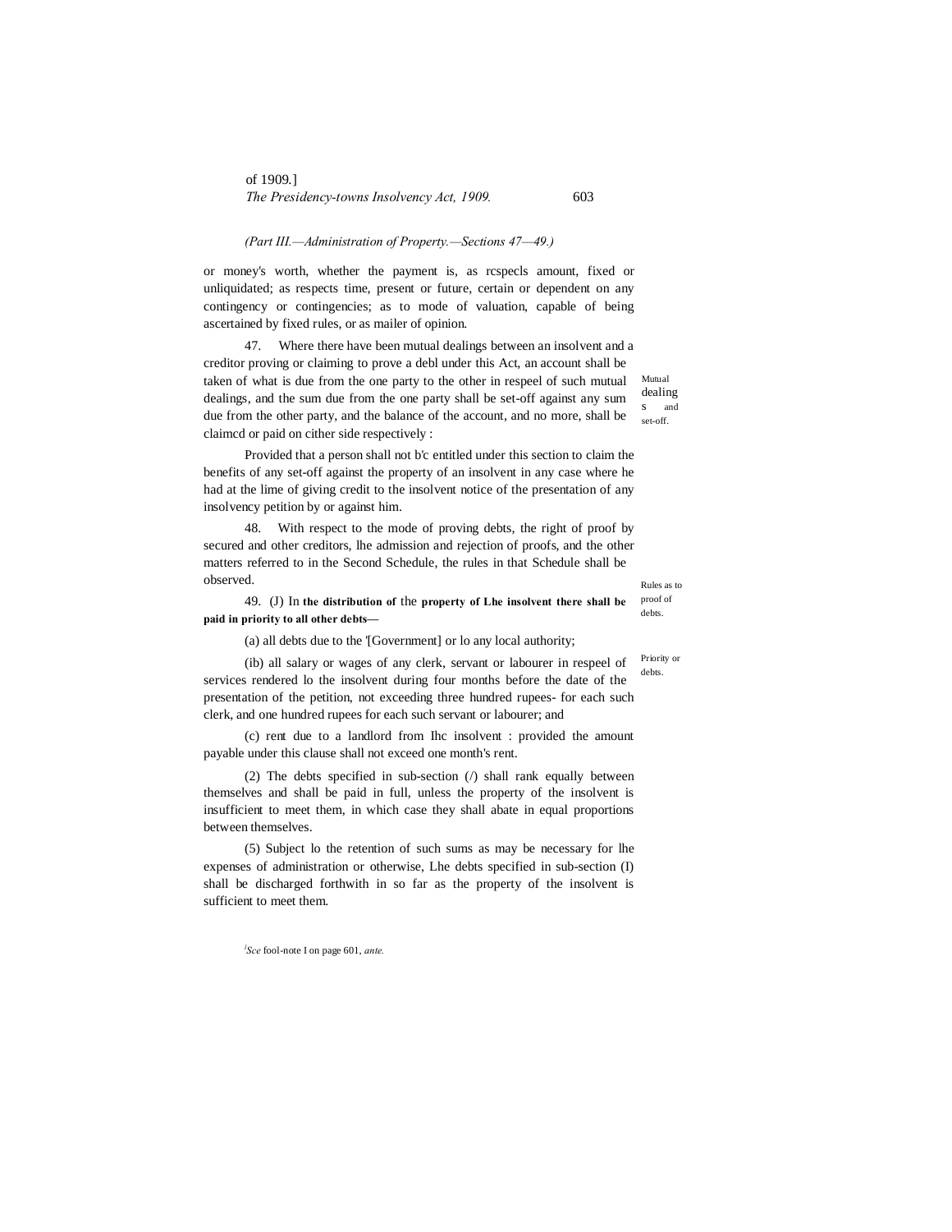#### *(Part III.—Administration of Property.—Sections 47—49.)*

or money's worth, whether the payment is, as rcspecls amount, fixed or unliquidated; as respects time, present or future, certain or dependent on any contingency or contingencies; as to mode of valuation, capable of being ascertained by fixed rules, or as mailer of opinion.

Mutual dealing s and set-off. 47. Where there have been mutual dealings between an insolvent and a creditor proving or claiming to prove a debl under this Act, an account shall be taken of what is due from the one party to the other in respeel of such mutual dealings, and the sum due from the one party shall be set-off against any sum due from the other party, and the balance of the account, and no more, shall be claimcd or paid on cither side respectively :

Provided that a person shall not b'c entitled under this section to claim the benefits of any set-off against the property of an insolvent in any case where he had at the lime of giving credit to the insolvent notice of the presentation of any insolvency petition by or against him.

48. With respect to the mode of proving debts, the right of proof by secured and other creditors, lhe admission and rejection of proofs, and the other matters referred to in the Second Schedule, the rules in that Schedule shall be observed.

49. (J) In **the distribution of** the **property of Lhe insolvent there shall be paid in priority to all other debts—**

(a) all debts due to the '[Government] or lo any local authority;

(ib) all salary or wages of any clerk, servant or labourer in respeel of services rendered lo the insolvent during four months before the date of the presentation of the petition, not exceeding three hundred rupees- for each such clerk, and one hundred rupees for each such servant or labourer; and

(c) rent due to a landlord from Ihc insolvent : provided the amount payable under this clause shall not exceed one month's rent.

(2) The debts specified in sub-section (/) shall rank equally between themselves and shall be paid in full, unless the property of the insolvent is insufficient to meet them, in which case they shall abate in equal proportions between themselves.

(5) Subject lo the retention of such sums as may be necessary for lhe expenses of administration or otherwise, Lhe debts specified in sub-section (I) shall be discharged forthwith in so far as the property of the insolvent is sufficient to meet them.

*l Sce* fool-note I on page 601, *ante.*

Rules as to proof of debts.

Priority or debts.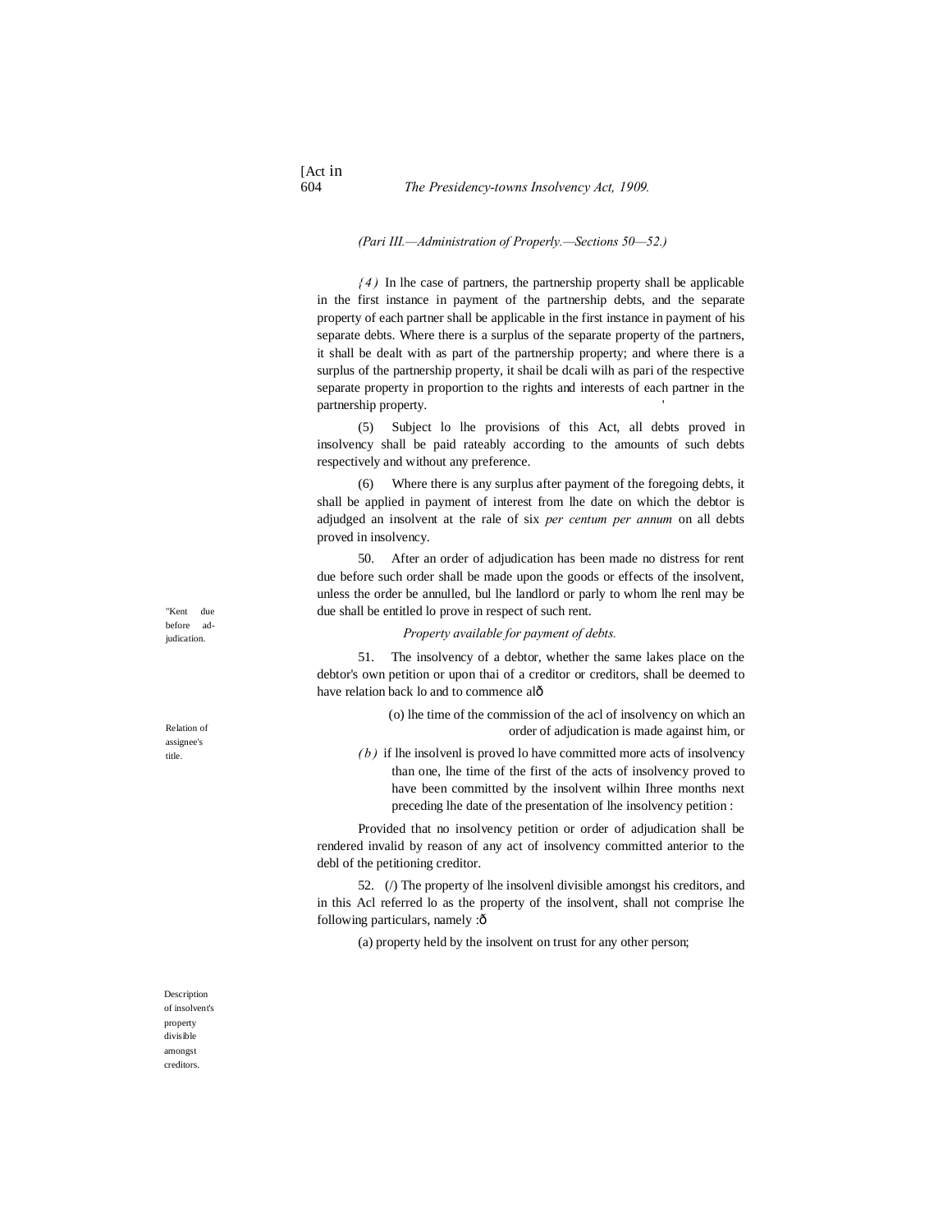## 604 *The Presidency-towns Insolvency Act, 1909.*

[Act in  $604$ 

#### *(Pari III.—Administration of Properly.—Sections 50—52.)*

*{ 4 )* In lhe case of partners, the partnership property shall be applicable in the first instance in payment of the partnership debts, and the separate property of each partner shall be applicable in the first instance in payment of his separate debts. Where there is a surplus of the separate property of the partners, it shall be dealt with as part of the partnership property; and where there is a surplus of the partnership property, it shail be dcali wilh as pari of the respective separate property in proportion to the rights and interests of each partner in the partnership property.

(5) Subject lo lhe provisions of this Act, all debts proved in insolvency shall be paid rateably according to the amounts of such debts respectively and without any preference.

(6) Where there is any surplus after payment of the foregoing debts, it shall be applied in payment of interest from lhe date on which the debtor is adjudged an insolvent at the rale of six *per centum per annum* on all debts proved in insolvency.

50. After an order of adjudication has been made no distress for rent due before such order shall be made upon the goods or effects of the insolvent, unless the order be annulled, bul lhe landlord or parly to whom lhe renl may be due shall be entitled lo prove in respect of such rent.

## *Property available for payment of debts.*

51. The insolvency of a debtor, whether the same lakes place on the debtor's own petition or upon thai of a creditor or creditors, shall be deemed to have relation back lo and to commence alô

> (o) lhe time of the commission of the acl of insolvency on which an order of adjudication is made against him, or

*( b )* if lhe insolvenl is proved lo have committed more acts of insolvency than one, lhe time of the first of the acts of insolvency proved to have been committed by the insolvent wilhin Ihree months next preceding lhe date of the presentation of lhe insolvency petition :

Provided that no insolvency petition or order of adjudication shall be rendered invalid by reason of any act of insolvency committed anterior to the debl of the petitioning creditor.

52. (/) The property of lhe insolvenl divisible amongst his creditors, and in this Acl referred lo as the property of the insolvent, shall not comprise lhe following particulars, namely : ô

(a) property held by the insolvent on trust for any other person;

Description of insolvent's property divisible amongst creditors.

"Kent due before adjudication.

Relation of assignee's title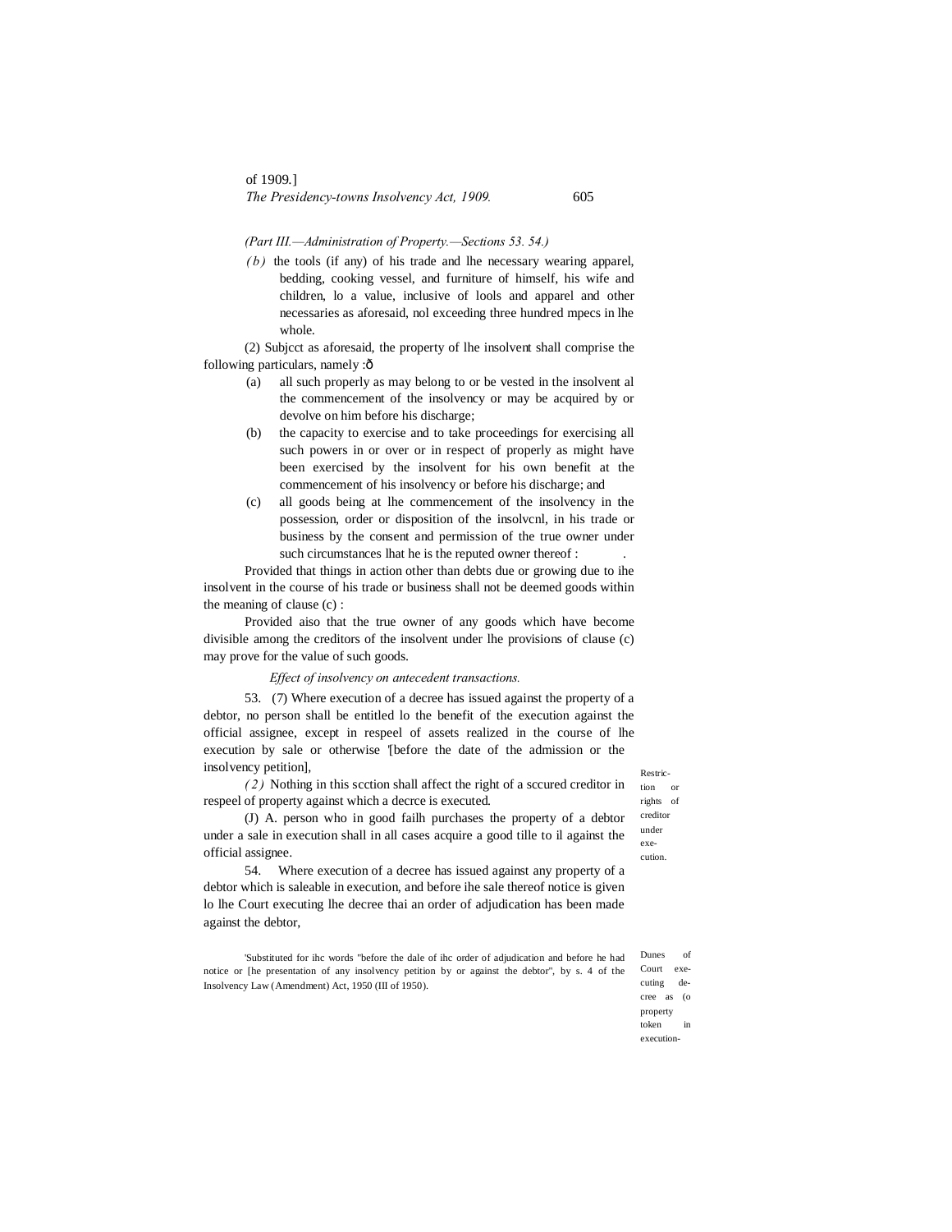#### *(Part III.—Administration of Property.—Sections 53. 54.)*

 $(b)$  the tools (if any) of his trade and lhe necessary wearing apparel, bedding, cooking vessel, and furniture of himself, his wife and children, lo a value, inclusive of lools and apparel and other necessaries as aforesaid, nol exceeding three hundred mpecs in lhe whole.

(2) Subjcct as aforesaid, the property of lhe insolvent shall comprise the following particulars, namely : $\hat{o}$ 

- (a) all such properly as may belong to or be vested in the insolvent al the commencement of the insolvency or may be acquired by or devolve on him before his discharge;
- (b) the capacity to exercise and to take proceedings for exercising all such powers in or over or in respect of properly as might have been exercised by the insolvent for his own benefit at the commencement of his insolvency or before his discharge; and
- (c) all goods being at lhe commencement of the insolvency in the possession, order or disposition of the insolvcnl, in his trade or business by the consent and permission of the true owner under such circumstances lhat he is the reputed owner thereof :

Provided that things in action other than debts due or growing due to ihe insolvent in the course of his trade or business shall not be deemed goods within the meaning of clause (c) :

Provided aiso that the true owner of any goods which have become divisible among the creditors of the insolvent under lhe provisions of clause (c) may prove for the value of such goods.

#### *Effect of insolvency on antecedent transactions.*

53. (7) Where execution of a decree has issued against the property of a debtor, no person shall be entitled lo the benefit of the execution against the official assignee, except in respeel of assets realized in the course of lhe execution by sale or otherwise '[before the date of the admission or the insolvency petition],

*( 2 )* Nothing in this scction shall affect the right of a sccured creditor in respeel of property against which a decrce is executed.

(J) A. person who in good failh purchases the property of a debtor under a sale in execution shall in all cases acquire a good tille to il against the official assignee.

54. Where execution of a decree has issued against any property of a debtor which is saleable in execution, and before ihe sale thereof notice is given lo lhe Court executing lhe decree thai an order of adjudication has been made against the debtor,

'Substituted for ihc words "before the dale of ihc order of adjudication and before he had notice or [he presentation of any insolvency petition by or against the debtor", by s. 4 of the Insolvency Law (Amendment) Act, 1950 (III of 1950).

Restriction or rights of creditor under execution.

Dunes of Court executing decree as (o property token in execution-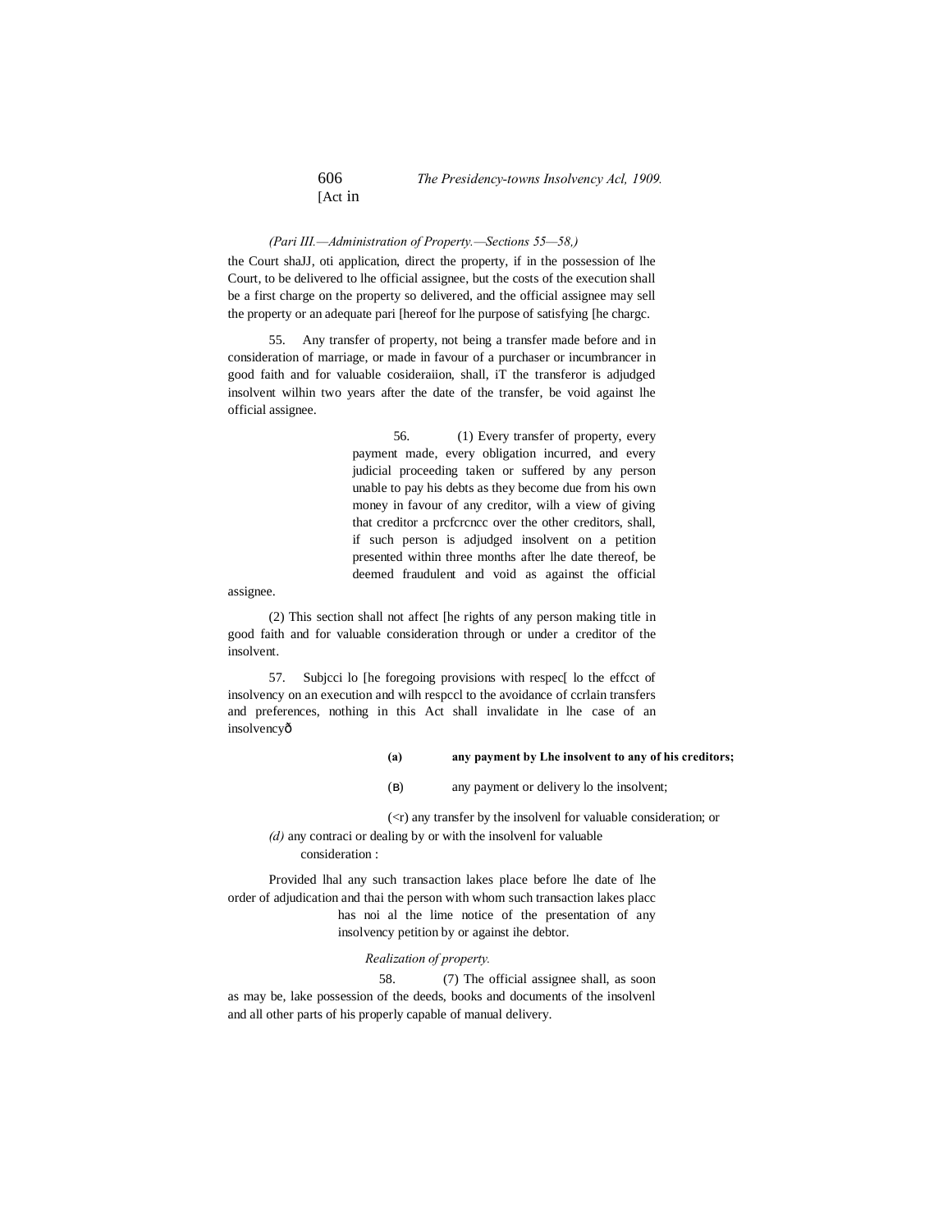# 606 *The Presidency-towns Insolvency Acl, 1909.* [Act in

#### *(Pari III.—Administration of Property.—Sections 55—58,)*

the Court shaJJ, oti application, direct the property, if in the possession of lhe Court, to be delivered to lhe official assignee, but the costs of the execution shall be a first charge on the property so delivered, and the official assignee may sell the property or an adequate pari [hereof for lhe purpose of satisfying [he chargc.

55. Any transfer of property, not being a transfer made before and in consideration of marriage, or made in favour of a purchaser or incumbrancer in good faith and for valuable cosideraiion, shall, iT the transferor is adjudged insolvent wilhin two years after the date of the transfer, be void against lhe official assignee.

> 56. (1) Every transfer of property, every payment made, every obligation incurred, and every judicial proceeding taken or suffered by any person unable to pay his debts as they become due from his own money in favour of any creditor, wilh a view of giving that creditor a preference over the other creditors, shall, if such person is adjudged insolvent on a petition presented within three months after lhe date thereof, be deemed fraudulent and void as against the official

#### assignee.

(2) This section shall not affect [he rights of any person making title in good faith and for valuable consideration through or under a creditor of the insolvent.

57. Subjcci lo [he foregoing provisions with respec[ lo the effcct of insolvency on an execution and wilh respccl to the avoidance of ccrlain transfers and preferences, nothing in this Act shall invalidate in lhe case of an insolvencyô

#### **(а) any payment by Lhe insolvent to any of his creditors;**

( ) any payment or delivery lo the insolvent;

 $(\langle r \rangle)$  any transfer by the insolvenl for valuable consideration; or

*(d)* any contraci or dealing by or with the insolvenl for valuable consideration :

Provided lhal any such transaction lakes place before lhe date of lhe order of adjudication and thai the person with whom such transaction lakes placc has noi al the lime notice of the presentation of any insolvency petition by or against ihe debtor.

## *Realization of property.*

58. (7) The official assignee shall, as soon as may be, lake possession of the deeds, books and documents of the insolvenl and all other parts of his properly capable of manual delivery.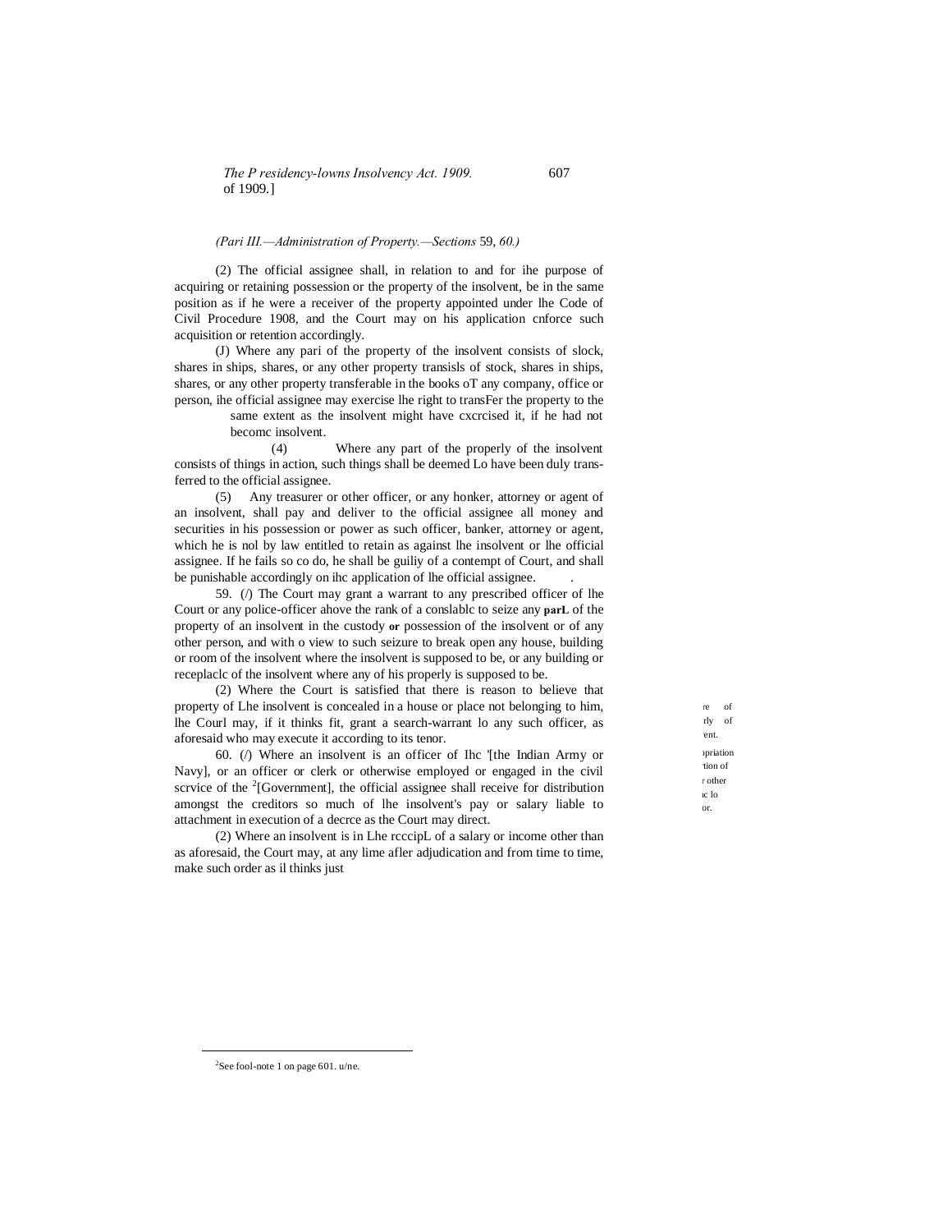*The P residency-lowns Insolvency Act. 1909.* 607 of 1909.]

#### *(Pari III.—Administration of Property.—Sections* 59, *60.)*

(2) The official assignee shall, in relation to and for ihe purpose of acquiring or retaining possession or the property of the insolvent, be in the same position as if he were a receiver of the property appointed under lhe Code of Civil Procedure 1908, and the Court may on his application cnforce such acquisition or retention accordingly.

(J) Where any pari of the property of the insolvent consists of slock, shares in ships, shares, or any other property transisls of stock, shares in ships, shares, or any other property transferable in the books oT any company, office or person, ihe official assignee may exercise lhe right to transFer the property to the same extent as the insolvent might have cxcrcised it, if he had not

becomc insolvent.

(4) Where any part of the properly of the insolvent consists of things in action, such things shall be deemed Lo have been duly transferred to the official assignee.

(5) Any treasurer or other officer, or any honker, attorney or agent of an insolvent, shall pay and deliver to the official assignee all money and securities in his possession or power as such officer, banker, attorney or agent, which he is nol by law entitled to retain as against lhe insolvent or lhe official assignee. If he fails so co do, he shall be guiliy of a contempt of Court, and shall be punishable accordingly on ihc application of lhe official assignee. .

59. (/) The Court may grant a warrant to any prescribed officer of lhe Court or any police-officer ahove the rank of a conslablc to seize any **parL** of the property of an insolvent in the custody **or** possession of the insolvent or of any other person, and with o view to such seizure to break open any house, building or room of the insolvent where the insolvent is supposed to be, or any building or receplaclc of the insolvent where any of his properly is supposed to be.

(2) Where the Court is satisfied that there is reason to believe that property of Lhe insolvent is concealed in a house or place not belonging to him, lhe Courl may, if it thinks fit, grant a search-warrant lo any such officer, as aforesaid who may execute it according to its tenor.

60. (/) Where an insolvent is an officer of Ihc '[the Indian Army or Navy], or an officer or clerk or otherwise employed or engaged in the civil scrvice of the  $2$ [Government], the official assignee shall receive for distribution amongst the creditors so much of lhe insolvent's pay or salary liable to attachment in execution of a decrce as the Court may direct.

(2) Where an insolvent is in Lhe rcccipL of a salary or income other than as aforesaid, the Court may, at any lime afler adjudication and from time to time, make such order as il thinks just

re of rly of ent. *priation* tion of r other incomc lo or.

 $\frac{1}{2}$  $2$ See fool-note 1 on page 601. u/ne.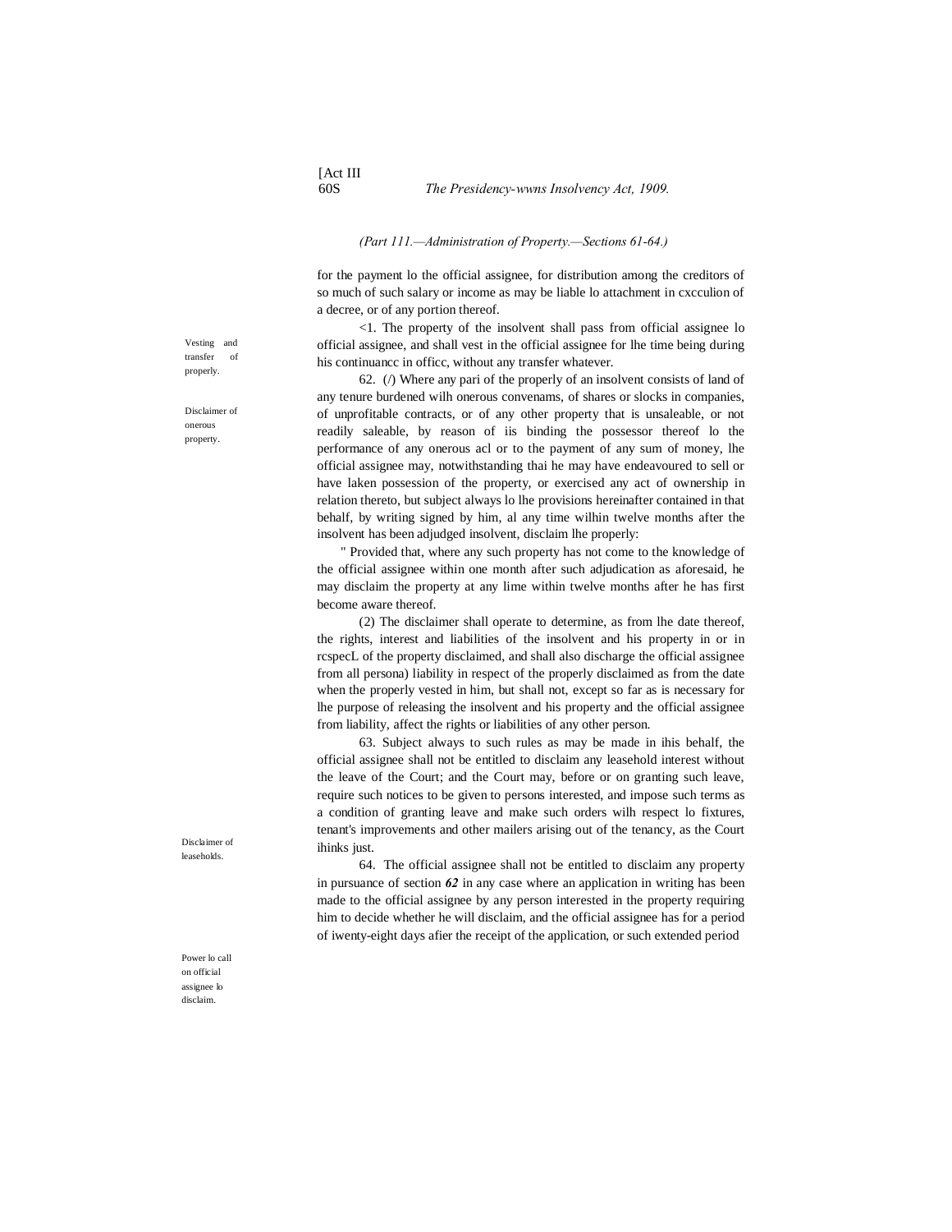#### [Act III 60S *The Presidency-wwns Insolvency Act, 1909.*

#### *(Part 111.—Administration of Property.—Sections 61-64.)*

for the payment lo the official assignee, for distribution among the creditors of so much of such salary or income as may be liable lo attachment in cxcculion of a decree, or of any portion thereof.

<1. The property of the insolvent shall pass from official assignee lo official assignee, and shall vest in the official assignee for lhe time being during his continuancc in officc, without any transfer whatever.

62. (/) Where any pari of the properly of an insolvent consists of land of any tenure burdened wilh onerous convenams, of shares or slocks in companies, of unprofitable contracts, or of any other property that is unsaleable, or not readily saleable, by reason of iis binding the possessor thereof lo the performance of any onerous acl or to the payment of any sum of money, lhe official assignee may, notwithstanding thai he may have endeavoured to sell or have laken possession of the property, or exercised any act of ownership in relation thereto, but subject always lo lhe provisions hereinafter contained in that behalf, by writing signed by him, al any time wilhin twelve months after the insolvent has been adjudged insolvent, disclaim lhe properly:

" Provided that, where any such property has not come to the knowledge of the official assignee within one month after such adjudication as aforesaid, he may disclaim the property at any lime within twelve months after he has first become aware thereof.

(2) The disclaimer shall operate to determine, as from lhe date thereof, the rights, interest and liabilities of the insolvent and his property in or in rcspecL of the property disclaimed, and shall also discharge the official assignee from all persona) liability in respect of the properly disclaimed as from the date when the properly vested in him, but shall not, except so far as is necessary for lhe purpose of releasing the insolvent and his property and the official assignee from liability, affect the rights or liabilities of any other person.

63. Subject always to such rules as may be made in ihis behalf, the official assignee shall not be entitled to disclaim any leasehold interest without the leave of the Court; and the Court may, before or on granting such leave, require such notices to be given to persons interested, and impose such terms as a condition of granting leave and make such orders wilh respect lo fixtures, tenant's improvements and other mailers arising out of the tenancy, as the Court ihinks just.

64. The official assignee shall not be entitled to disclaim any property in pursuance of section *62* in any case where an application in writing has been made to the official assignee by any person interested in the property requiring him to decide whether he will disclaim, and the official assignee has for a period of iwenty-eight days afier the receipt of the application, or such extended period

Vesting and transfer of properly.

Disclaimer of onerous property.

Disclaimer of leaseholds.

Power lo call on official assignee lo disclaim.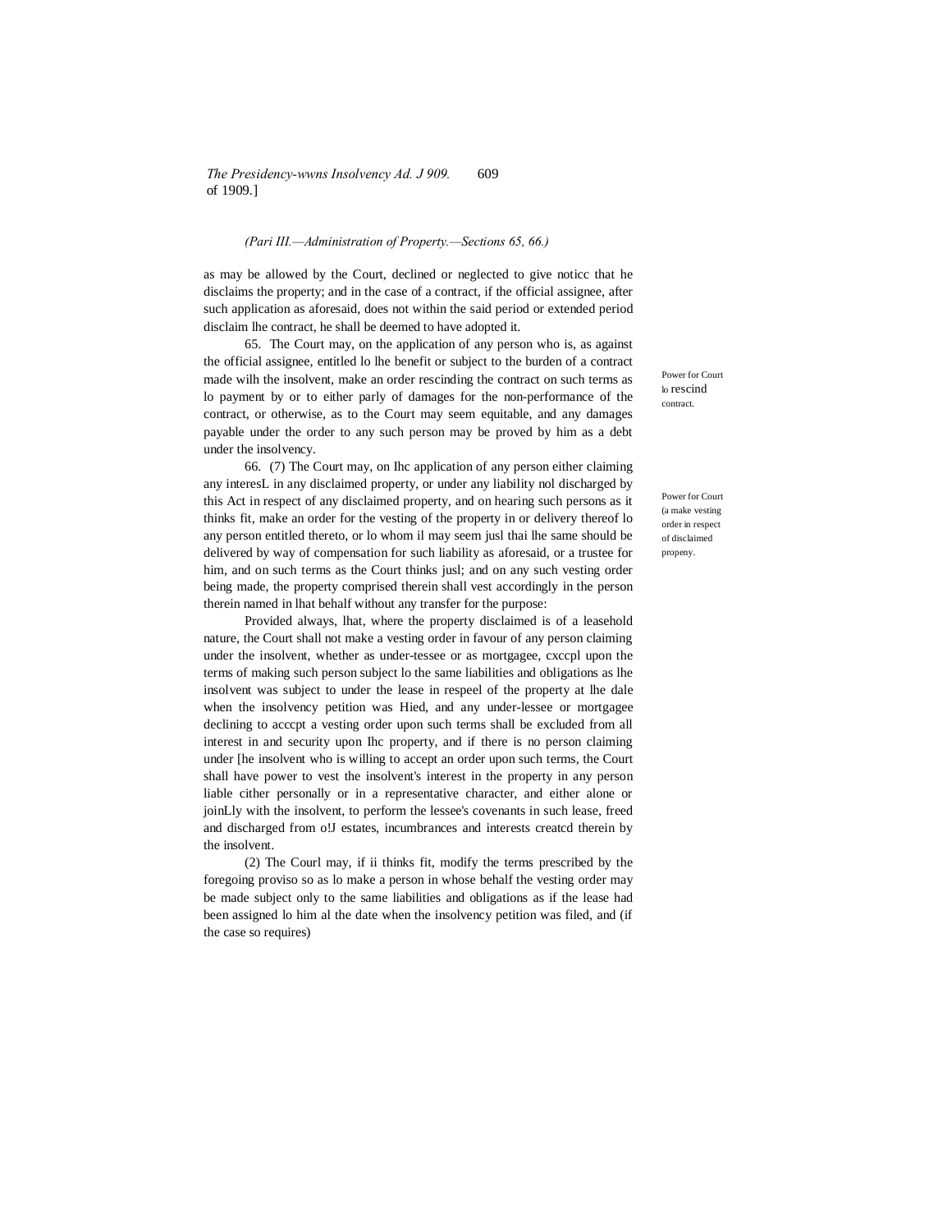*The Presidency-wwns Insolvency Ad. J 909.* 609 of 1909.]

#### *(Pari III.—Administration of Property.—Sections 65, 66.)*

as may be allowed by the Court, declined or neglected to give noticc that he disclaims the property; and in the case of a contract, if the official assignee, after such application as aforesaid, does not within the said period or extended period disclaim lhe contract, he shall be deemed to have adopted it.

65. The Court may, on the application of any person who is, as against the official assignee, entitled lo lhe benefit or subject to the burden of a contract made wilh the insolvent, make an order rescinding the contract on such terms as lo payment by or to either parly of damages for the non-performance of the contract, or otherwise, as to the Court may seem equitable, and any damages payable under the order to any such person may be proved by him as a debt under the insolvency.

66. (7) The Court may, on Ihc application of any person either claiming any interesL in any disclaimed property, or under any liability nol discharged by this Act in respect of any disclaimed property, and on hearing such persons as it thinks fit, make an order for the vesting of the property in or delivery thereof lo any person entitled thereto, or lo whom il may seem jusl thai lhe same should be delivered by way of compensation for such liability as aforesaid, or a trustee for him, and on such terms as the Court thinks jusl; and on any such vesting order being made, the property comprised therein shall vest accordingly in the person therein named in lhat behalf without any transfer for the purpose:

Provided always, lhat, where the property disclaimed is of a leasehold nature, the Court shall not make a vesting order in favour of any person claiming under the insolvent, whether as under-tessee or as mortgagee, cxccpl upon the terms of making such person subject lo the same liabilities and obligations as lhe insolvent was subject to under the lease in respeel of the property at lhe dale when the insolvency petition was Hied, and any under-lessee or mortgagee declining to acccpt a vesting order upon such terms shall be excluded from all interest in and security upon Ihc property, and if there is no person claiming under [he insolvent who is willing to accept an order upon such terms, the Court shall have power to vest the insolvent's interest in the property in any person liable cither personally or in a representative character, and either alone or joinLly with the insolvent, to perform the lessee's covenants in such lease, freed and discharged from o!J estates, incumbrances and interests creatcd therein by the insolvent.

(2) The Courl may, if ii thinks fit, modify the terms prescribed by the foregoing proviso so as lo make a person in whose behalf the vesting order may be made subject only to the same liabilities and obligations as if the lease had been assigned lo him al the date when the insolvency petition was filed, and (if the case so requires)

Power for Court lo rescind contract.

Power for Court (a make vesting order in respect of disclaimed propeny.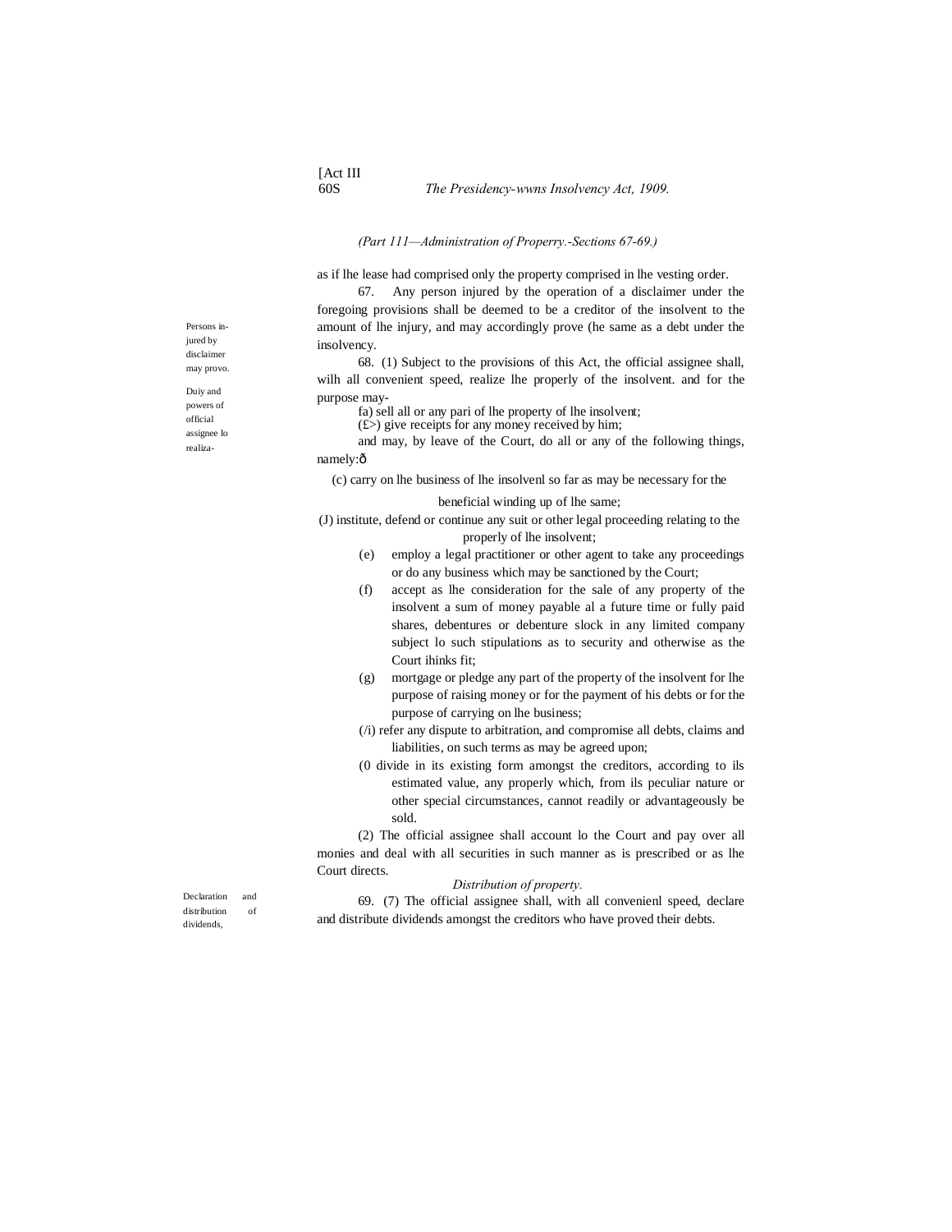# [Act III 60S *The Presidency-wwns Insolvency Act, 1909.*

#### *(Part 111—Administration of Properry.-Sections 67-69.)*

as if lhe lease had comprised only the property comprised in lhe vesting order.

67. Any person injured by the operation of a disclaimer under the foregoing provisions shall be deemed to be a creditor of the insolvent to the amount of lhe injury, and may accordingly prove (he same as a debt under the insolvency.

68. (1) Subject to the provisions of this Act, the official assignee shall, wilh all convenient speed, realize lhe properly of the insolvent. and for the purpose may-

fa) sell all or any pari of lhe property of lhe insolvent;

 $(f$ ) give receipts for any money received by him;

and may, by leave of the Court, do all or any of the following things, namely:ô

(c) carry on lhe business of lhe insolvenl so far as may be necessary for the

beneficial winding up of lhe same;

(J) institute, defend or continue any suit or other legal proceeding relating to the properly of lhe insolvent;

- (e) employ a legal practitioner or other agent to take any proceedings or do any business which may be sanctioned by the Court;
- (f) accept as lhe consideration for the sale of any property of the insolvent a sum of money payable al a future time or fully paid shares, debentures or debenture slock in any limited company subject lo such stipulations as to security and otherwise as the Court ihinks fit;
- (g) mortgage or pledge any part of the property of the insolvent for lhe purpose of raising money or for the payment of his debts or for the purpose of carrying on lhe business;
- (/i) refer any dispute to arbitration, and compromise all debts, claims and liabilities, on such terms as may be agreed upon;
- (0 divide in its existing form amongst the creditors, according to ils estimated value, any properly which, from ils peculiar nature or other special circumstances, cannot readily or advantageously be sold.

(2) The official assignee shall account lo the Court and pay over all monies and deal with all securities in such manner as is prescribed or as lhe Court directs.

# *Distribution of property.*

Declaration and distribution of dividends,

69. (7) The official assignee shall, with all convenienl speed, declare and distribute dividends amongst the creditors who have proved their debts.

Persons injured by disclaimer may provo.

Duiy and powers of official assignee lo realiza-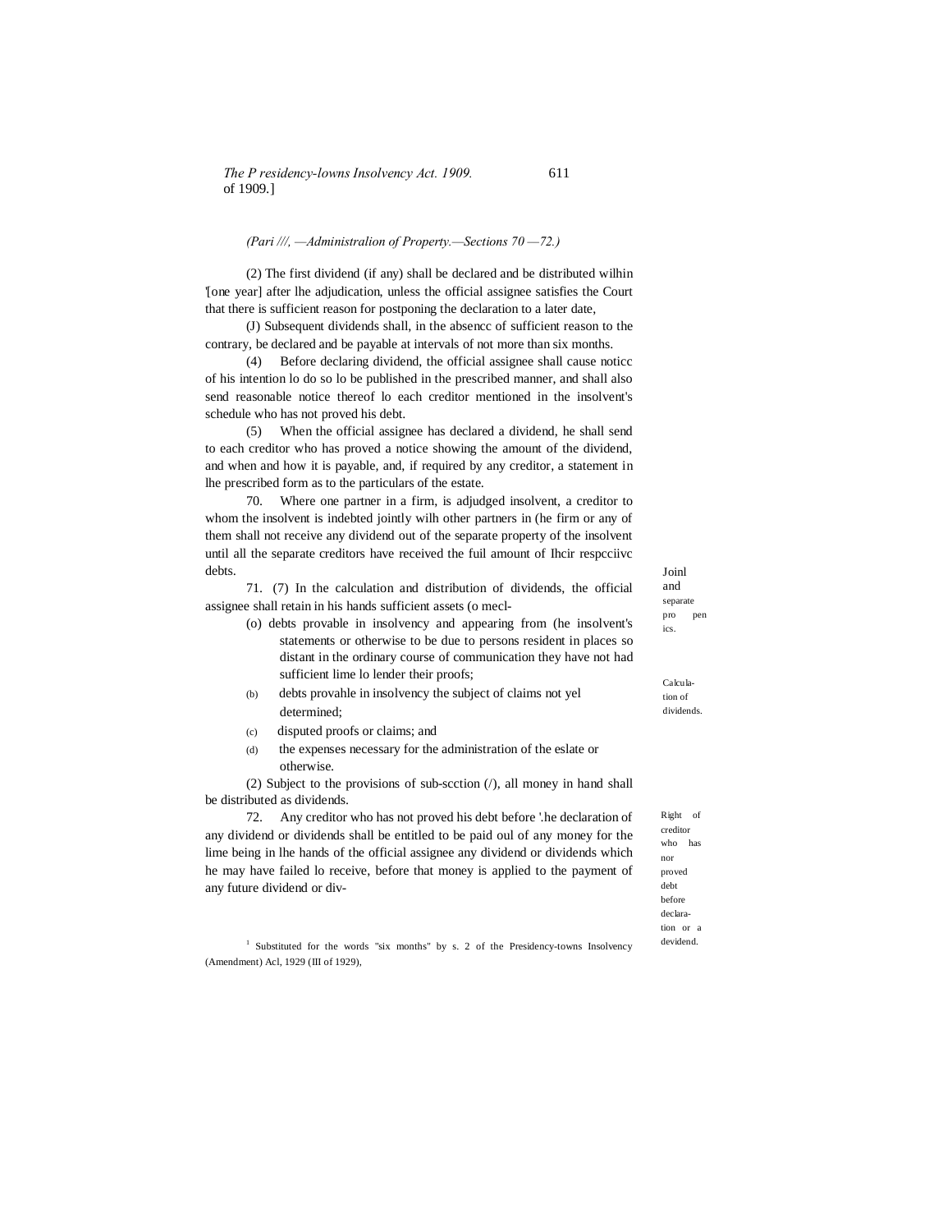*The P residency-lowns Insolvency Act. 1909.* 611 of 1909.]

#### *(Pari ///, —Administralion of Property.—Sections 70 —72.)*

(2) The first dividend (if any) shall be declared and be distributed wilhin '[one year] after lhe adjudication, unless the official assignee satisfies the Court that there is sufficient reason for postponing the declaration to a later date,

(J) Subsequent dividends shall, in the absencc of sufficient reason to the contrary, be declared and be payable at intervals of not more than six months.

(4) Before declaring dividend, the official assignee shall cause noticc of his intention lo do so lo be published in the prescribed manner, and shall also send reasonable notice thereof lo each creditor mentioned in the insolvent's schedule who has not proved his debt.

(5) When the official assignee has declared a dividend, he shall send to each creditor who has proved a notice showing the amount of the dividend, and when and how it is payable, and, if required by any creditor, a statement in lhe prescribed form as to the particulars of the estate.

70. Where one partner in a firm, is adjudged insolvent, a creditor to whom the insolvent is indebted jointly wilh other partners in (he firm or any of them shall not receive any dividend out of the separate property of the insolvent until all the separate creditors have received the fuil amount of Ihcir respcciivc debts.

71. (7) In the calculation and distribution of dividends, the official assignee shall retain in his hands sufficient assets (o mecl-

- (o) debts provable in insolvency and appearing from (he insolvent's statements or otherwise to be due to persons resident in places so distant in the ordinary course of communication they have not had sufficient lime lo lender their proofs;
- (b) debts provahle in insolvency the subject of claims not yel determined;
- (c) disputed proofs or claims; and
- (d) the expenses necessary for the administration of the eslate or otherwise.

(2) Subject to the provisions of sub-scction (/), all money in hand shall be distributed as dividends.

72. Any creditor who has not proved his debt before '.he declaration of any dividend or dividends shall be entitled to be paid oul of any money for the lime being in lhe hands of the official assignee any dividend or dividends which he may have failed lo receive, before that money is applied to the payment of any future dividend or div-

<sup>1</sup> Substituted for the words "six months" by s. 2 of the Presidency-towns Insolvency (Amendment) Acl, 1929 (III of 1929),

Joinl and separate pro pen ics.

Calculation of dividends.

Right of creditor who has nor proved debt before declaration or a devidend.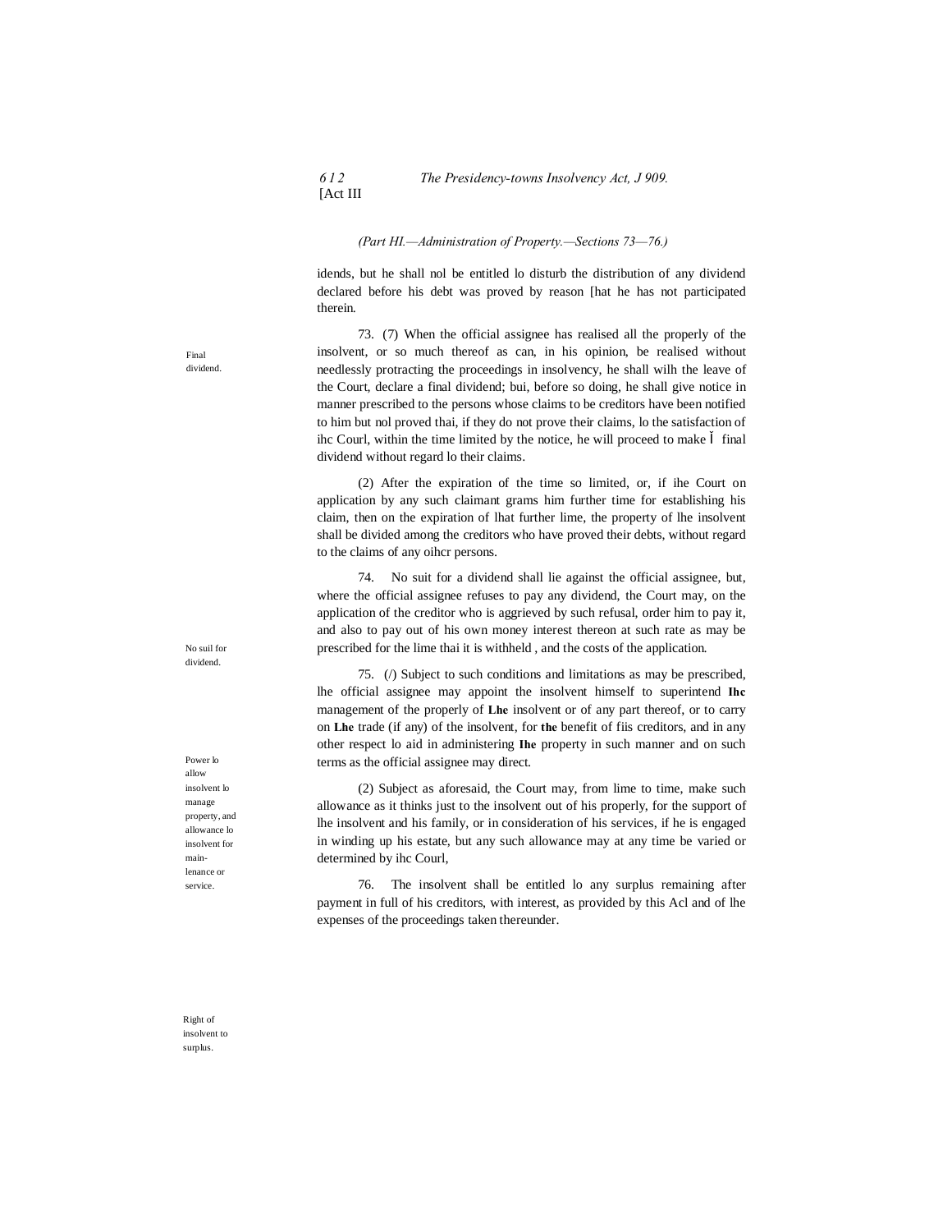# *6 1 2 The Presidency-towns Insolvency Act, J 909.* [Act III

#### *(Part HI.—Administration of Property.—Sections 73—76.)*

idends, but he shall nol be entitled lo disturb the distribution of any dividend declared before his debt was proved by reason [hat he has not participated therein.

73. (7) When the official assignee has realised all the properly of the insolvent, or so much thereof as can, in his opinion, be realised without needlessly protracting the proceedings in insolvency, he shall wilh the leave of the Court, declare a final dividend; bui, before so doing, he shall give notice in manner prescribed to the persons whose claims to be creditors have been notified to him but nol proved thai, if they do not prove their claims, lo the satisfaction of ihc Courl, within the time limited by the notice, he will proceed to make final dividend without regard lo their claims.

(2) After the expiration of the time so limited, or, if ihe Court on application by any such claimant grams him further time for establishing his claim, then on the expiration of lhat further lime, the property of lhe insolvent shall be divided among the creditors who have proved their debts, without regard to the claims of any oihcr persons.

74. No suit for a dividend shall lie against the official assignee, but, where the official assignee refuses to pay any dividend, the Court may, on the application of the creditor who is aggrieved by such refusal, order him to pay it, and also to pay out of his own money interest thereon at such rate as may be prescribed for the lime thai it is withheld , and the costs of the application.

75. (/) Subject to such conditions and limitations as may be prescribed, lhe official assignee may appoint the insolvent himself to superintend **Ihc** management of the properly of **Lhe** insolvent or of any part thereof, or to carry on **Lhe** trade (if any) of the insolvent, for **the** benefit of fiis creditors, and in any other respect lo aid in administering **Ihe** property in such manner and on such terms as the official assignee may direct.

(2) Subject as aforesaid, the Court may, from lime to time, make such allowance as it thinks just to the insolvent out of his properly, for the support of lhe insolvent and his family, or in consideration of his services, if he is engaged in winding up his estate, but any such allowance may at any time be varied or determined by ihc Courl,

76. The insolvent shall be entitled lo any surplus remaining after payment in full of his creditors, with interest, as provided by this Acl and of lhe expenses of the proceedings taken thereunder.

Final dividend.

No suil for dividend.

Power lo allow insolvent lo manage property, and allowance lo insolvent for mainlenance or service.

Right of insolvent to surplus.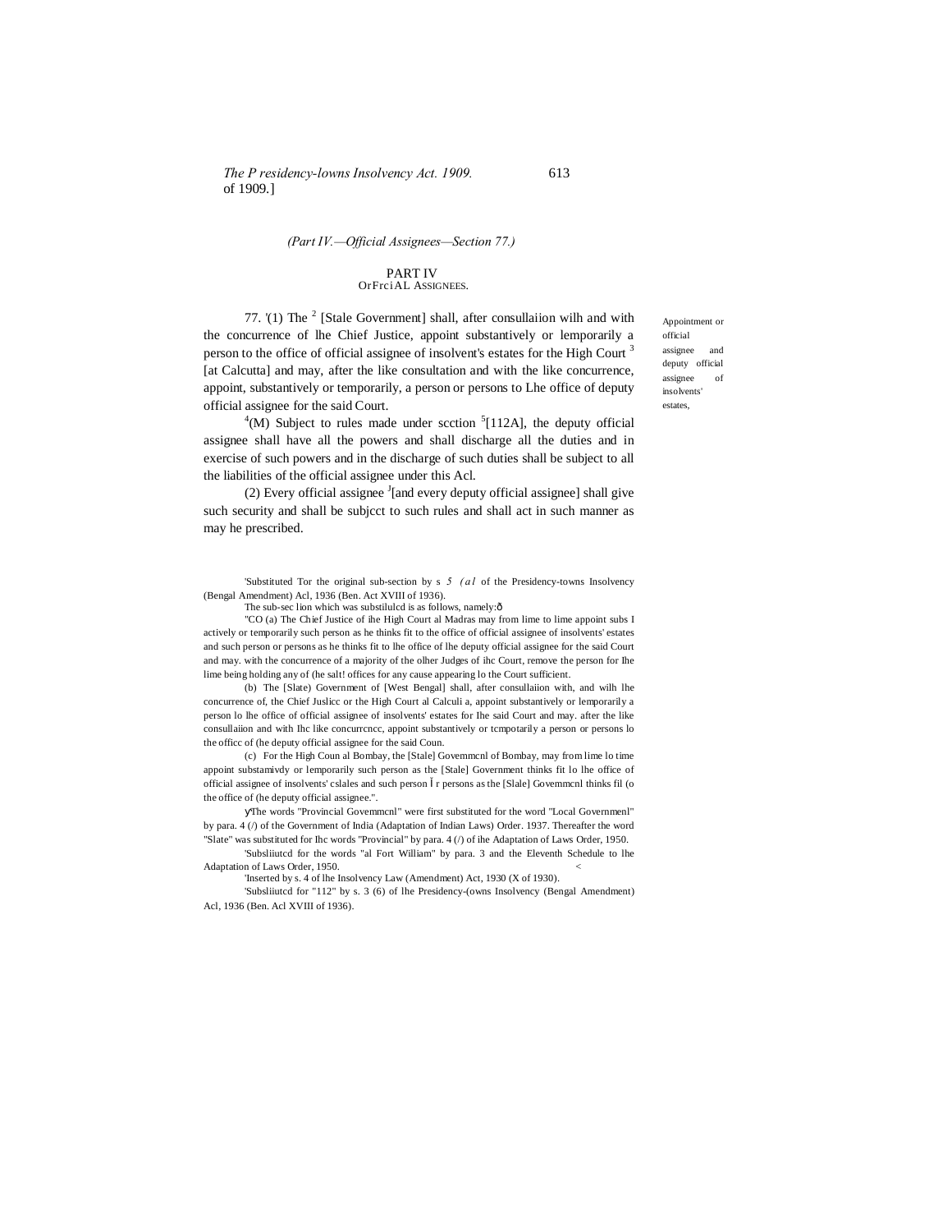*The P residency-lowns Insolvency Act. 1909.* 613 of 1909.]

#### *(Part IV.—Official Assignees—Section 77.)*

#### PART IV OrFrciAL ASSIGNEES.

77. '(1) The <sup>2</sup> [Stale Government] shall, after consullation wilh and with the concurrence of lhe Chief Justice, appoint substantively or lemporarily a person to the office of official assignee of insolvent's estates for the High Court<sup>3</sup> [at Calcutta] and may, after the like consultation and with the like concurrence, appoint, substantively or temporarily, a person or persons to Lhe office of deputy official assignee for the said Court.

 $^{4}$ (M) Subject to rules made under scction  $^{5}$ [112A], the deputy official assignee shall have all the powers and shall discharge all the duties and in exercise of such powers and in the discharge of such duties shall be subject to all the liabilities of the official assignee under this Acl.

(2) Every official assignee  $<sup>J</sup>$  [and every deputy official assignee] shall give</sup> such security and shall be subjcct to such rules and shall act in such manner as may he prescribed.

'Substituted Tor the original sub-section by s 5 (al of the Presidency-towns Insolvency (Bengal Amendment) Acl, 1936 (Ben. Act XVIII of 1936).

The sub-sec lion which was substilulcd is as follows, namely: $\hat{o}$ 

"CO (a) The Chief Justice of ihe High Court al Madras may from lime to lime appoint subs I actively or temporarily such person as he thinks fit to the office of official assignee of insolvents' estates and such person or persons as he thinks fit to lhe office of lhe deputy official assignee for the said Court and may. with the concurrence of a majority of the olher Judges of ihc Court, remove the person for Ihe lime being holding any of (he salt! offices for any cause appearing lo the Court sufficient.

(b) The [Slate) Government of [West Bengal] shall, after consullaiion with, and wilh lhe concurrence of, the Chief Juslicc or the High Court al Calculi a, appoint substantively or lemporarily a person lo lhe office of official assignee of insolvents' estates for Ihe said Court and may. after the like consullaiion and with Ihc like concurrcncc, appoint substantively or tcmpotarily a person or persons lo the officc of (he deputy official assignee for the said Coun.

(c) For the High Coun al Bombay, the [Stale] Govemmcnl of Bombay, may from lime lo time appoint substamivdy or lemporarily such person as the [Stale] Government thinks fit lo lhe office of official assignee of insolvents' cslales and such person r persons as the [Slale] Govemmcnl thinks fil (o the office of (he deputy official assignee.".

The words "Provincial Govemmcnl" were first substituted for the word "Local Governmenl" by para. 4 (/) of the Government of India (Adaptation of Indian Laws) Order. 1937. Thereafter the word "Slate" was substituted for Ihc words "Provincial" by para. 4 (/) of ihe Adaptation of Laws Order, 1950.

'Subsliiutcd for the words "al Fort William" by para. 3 and the Eleventh Schedule to lhe Adaptation of Laws Order, 1950. <

'Inserted by s. 4 of lhe Insolvency Law (Amendment) Act, 1930 (X of 1930).

'Subsliiutcd for "112" by s. 3 (6) of lhe Presidency-(owns Insolvency (Bengal Amendment) Acl, 1936 (Ben. Acl XVIII of 1936).

Appointment or official assignee and deputy official assignee of insolvents' estates,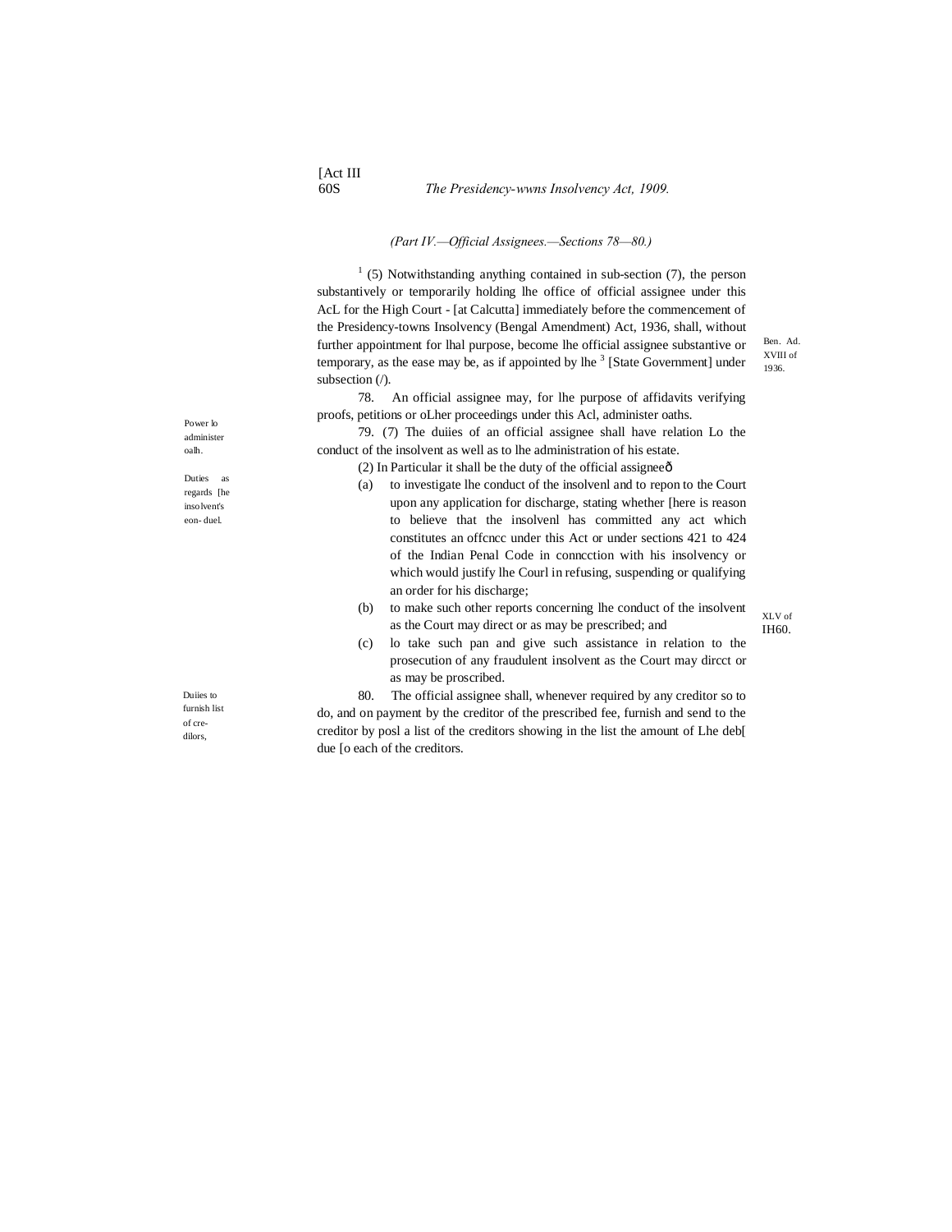# [Act III 60S *The Presidency-wwns Insolvency Act, 1909.*

#### *(Part IV.—Official Assignees.—Sections 78—80.)*

 $1$  (5) Notwithstanding anything contained in sub-section (7), the person substantively or temporarily holding lhe office of official assignee under this AcL for the High Court - [at Calcutta] immediately before the commencement of the Presidency-towns Insolvency (Bengal Amendment) Act, 1936, shall, without further appointment for lhal purpose, become lhe official assignee substantive or temporary, as the ease may be, as if appointed by lhe<sup>3</sup> [State Government] under subsection (/).

Ben. Ad. XVIII of 1936.

XLV of IH60.

78. An official assignee may, for lhe purpose of affidavits verifying proofs, petitions or oLher proceedings under this Acl, administer oaths.

79. (7) The duiies of an official assignee shall have relation Lo the conduct of the insolvent as well as to lhe administration of his estate.

 $(2)$  In Particular it shall be the duty of the official assignee $\hat{\text{o}}$ 

- (a) to investigate lhe conduct of the insolvenl and to repon to the Court upon any application for discharge, stating whether [here is reason to believe that the insolvenl has committed any act which constitutes an offcncc under this Act or under sections 421 to 424 of the Indian Penal Code in conncction with his insolvency or which would justify lhe Courl in refusing, suspending or qualifying an order for his discharge;
- (b) to make such other reports concerning lhe conduct of the insolvent as the Court may direct or as may be prescribed; and
- (c) lo take such pan and give such assistance in relation to the prosecution of any fraudulent insolvent as the Court may dircct or as may be proscribed.

80. The official assignee shall, whenever required by any creditor so to do, and on payment by the creditor of the prescribed fee, furnish and send to the creditor by posl a list of the creditors showing in the list the amount of Lhe deb[ due [o each of the creditors.

Power lo administer oalh.

Duties as regards [he insolvent's eon- duel.

Duiies to furnish list of credilors,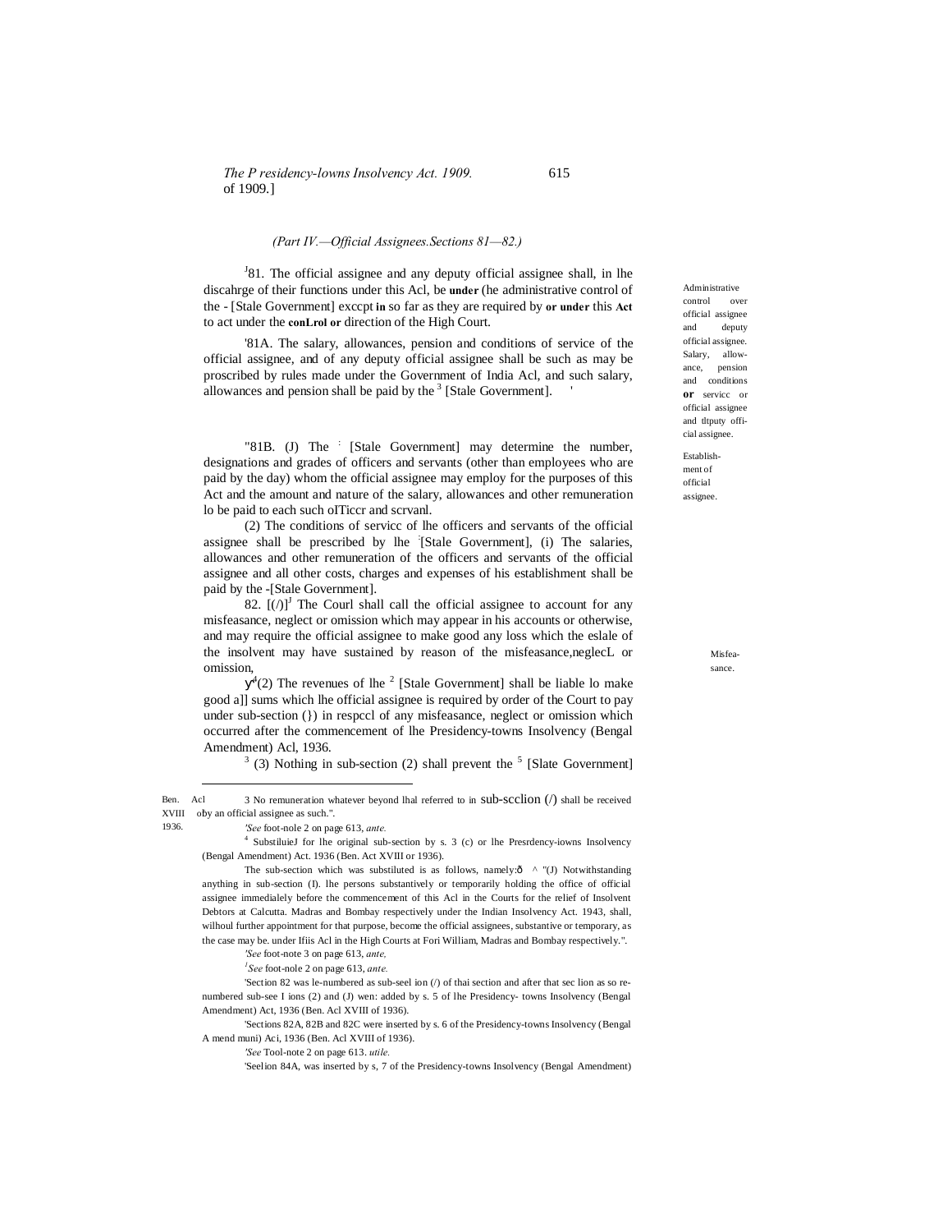*The P residency-lowns Insolvency Act. 1909.* 615 of 1909.]

#### *(Part IV.—Official Assignees.Sections 81—82.)*

<sup>J</sup>81. The official assignee and any deputy official assignee shall, in lhe discahrge of their functions under this Acl, be **under** (he administrative control of the - [Stale Government] exccpt **in** so far as they are required by **or under** this **Act** to act under the **conLrol or** direction of the High Court.

'81A. The salary, allowances, pension and conditions of service of the official assignee, and of any deputy official assignee shall be such as may be proscribed by rules made under the Government of India Acl, and such salary, allowances and pension shall be paid by the  $3$  [Stale Government].

"81B. (J) The : [Stale Government] may determine the number, designations and grades of officers and servants (other than employees who are paid by the day) whom the official assignee may employ for the purposes of this Act and the amount and nature of the salary, allowances and other remuneration lo be paid to each such oITiccr and scrvanl.

(2) The conditions of servicc of lhe officers and servants of the official assignee shall be prescribed by lhe : [Stale Government], (i) The salaries, allowances and other remuneration of the officers and servants of the official assignee and all other costs, charges and expenses of his establishment shall be paid by the -[Stale Government].

82.  $[(')^]$  The Courl shall call the official assignee to account for any misfeasance, neglect or omission which may appear in his accounts or otherwise, and may require the official assignee to make good any loss which the eslale of the insolvent may have sustained by reason of the misfeasance,neglecL or omission,4

 $(2)$  The revenues of lhe <sup>2</sup> [Stale Government] shall be liable lo make good a]] sums which lhe official assignee is required by order of the Court to pay under sub-section (}) in respccl of any misfeasance, neglect or omission which occurred after the commencement of lhe Presidency-towns Insolvency (Bengal Amendment) Acl, 1936.

 $3$  (3) Nothing in sub-section (2) shall prevent the  $5$  [Slate Government]

1936.

<sup>4</sup> SubstiluieJ for lhe original sub-section by s. 3 (c) or lhe Presrdency-iowns Insolvency (Bengal Amendment) Act. 1936 (Ben. Act XVIII or 1936).

'Section 82 was le-numbered as sub-seel ion (/) of thai section and after that sec lion as so renumbered sub-see I ions (2) and (J) wen: added by s. 5 of lhe Presidency- towns Insolvency (Bengal Amendment) Act, 1936 (Ben. Acl XVIII of 1936).

'Sections 82A, 82B and 82C were inserted by s. 6 of the Presidency-towns Insolvency (Bengal A mend muni) Aci, 1936 (Ben. Acl XVIII of 1936).

'Seelion 84A, was inserted by s, 7 of the Presidency-towns Insolvency (Bengal Amendment)

Administrative control over official assignee and deputy official assignee. Salary, allowance, pension and conditions **or** servicc or official assignee and tltputy official assignee.

Establishment of official assignee.

> Misfeasance.

Ben. Acl **XVIII**  3 No remuneration whatever beyond lhal referred to in sub-scclion (/) shall be received by an official assignee as such.".

*<sup>&#</sup>x27;See* foot-nole 2 on page 613, *ante.*

The sub-section which was substiluted is as follows, namely: $\hat{o} \wedge$  "(J) Notwithstanding anything in sub-section (I). lhe persons substantively or temporarily holding the office of official assignee immedialely before the commencement of this Acl in the Courts for the relief of Insolvent Debtors at Calcutta. Madras and Bombay respectively under the Indian Insolvency Act. 1943, shall, wilhoul further appointment for that purpose, become the official assignees, substantive or temporary, as the case may be. under Ifiis Acl in the High Courts at Fori William, Madras and Bombay respectively.".

*<sup>&#</sup>x27;See* foot-note 3 on page 613, *ante,*

*<sup>1</sup> See* foot-nole 2 on page 613, *ante.*

*<sup>&#</sup>x27;See* Tool-note 2 on page 613. *utile.*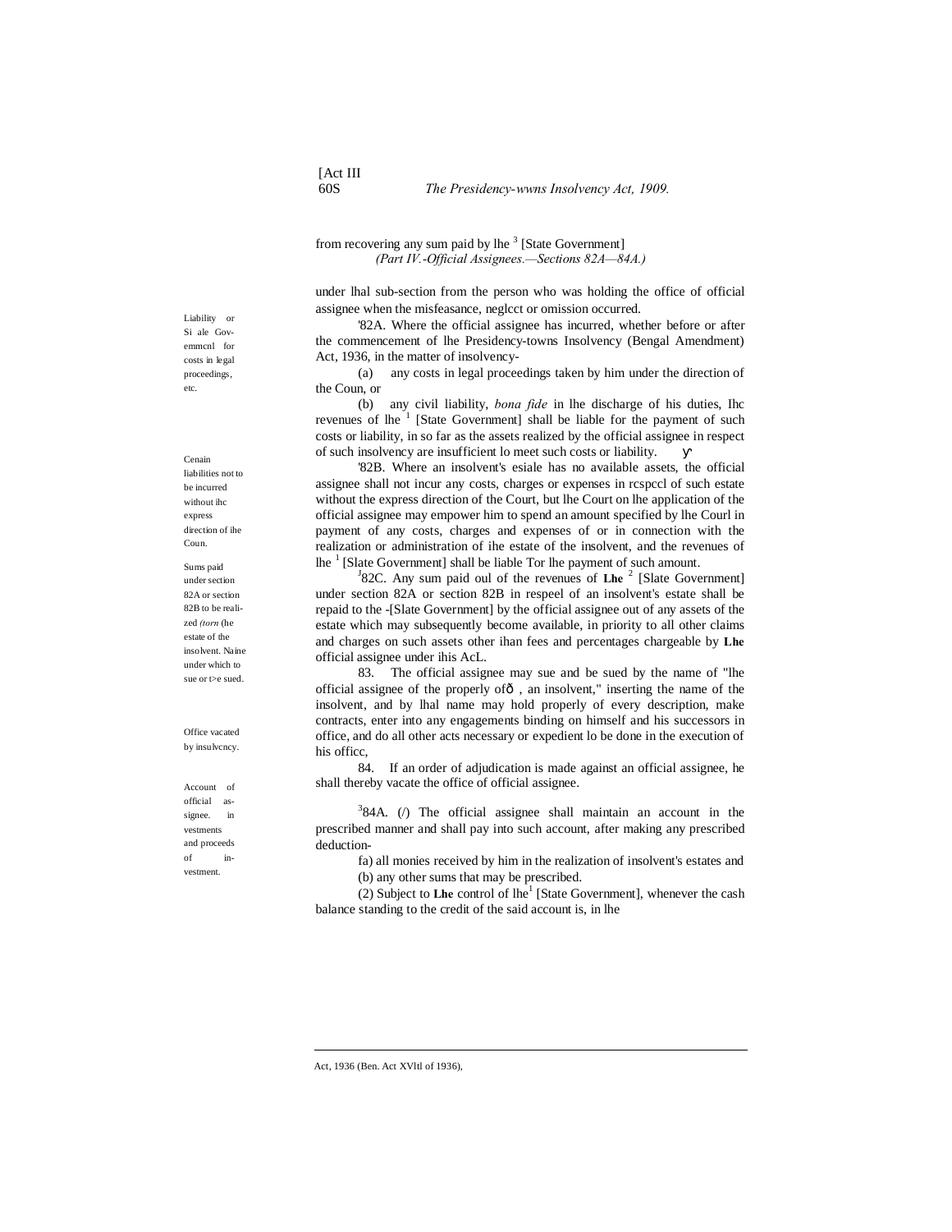#### [Act III 60S *The Presidency-wwns Insolvency Act, 1909.*

#### from recovering any sum paid by lhe  $3$  [State Government] *(Part IV.-Official Assignees.—Sections 82A—84A.)*

under lhal sub-section from the person who was holding the office of official assignee when the misfeasance, neglcct or omission occurred.

'82A. Where the official assignee has incurred, whether before or after the commencement of lhe Presidency-towns Insolvency (Bengal Amendment) Act, 1936, in the matter of insolvency-

(a) any costs in legal proceedings taken by him under the direction of the Coun, or

(b) any civil liability, *bona fide* in lhe discharge of his duties, Ihc revenues of lhe  $1$  [State Government] shall be liable for the payment of such costs or liability, in so far as the assets realized by the official assignee in respect of such insolvency are insufficient lo meet such costs or liability.

'82B. Where an insolvent's esiale has no available assets, the official assignee shall not incur any costs, charges or expenses in rcspccl of such estate without the express direction of the Court, but lhe Court on lhe application of the official assignee may empower him to spend an amount specified by lhe Courl in payment of any costs, charges and expenses of or in connection with the realization or administration of ihe estate of the insolvent, and the revenues of lhe  $<sup>1</sup>$  [Slate Government] shall be liable Tor lhe payment of such amount.</sup>

<sup>J</sup>82C. Any sum paid oul of the revenues of Lhe<sup>2</sup> [Slate Government] under section 82A or section 82B in respeel of an insolvent's estate shall be repaid to the -[Slate Government] by the official assignee out of any assets of the estate which may subsequently become available, in priority to all other claims and charges on such assets other ihan fees and percentages chargeable by **Lhe** official assignee under ihis AcL.

83. The official assignee may sue and be sued by the name of "lhe official assignee of the properly of—, an insolvent," inserting the name of the insolvent, and by lhal name may hold properly of every description, make contracts, enter into any engagements binding on himself and his successors in office, and do all other acts necessary or expedient lo be done in the execution of his officc,

84. If an order of adjudication is made against an official assignee, he shall thereby vacate the office of official assignee.

 $384A.$  ( $\ell$ ) The official assignee shall maintain an account in the prescribed manner and shall pay into such account, after making any prescribed deduction-

fa) all monies received by him in the realization of insolvent's estates and

(b) any other sums that may be prescribed.

(2) Subject to **Lhe** control of  $\text{Ihe}^1$  [State Government], whenever the cash balance standing to the credit of the said account is, in lhe

Liability or Si ale Govemmcnl for costs in legal proceedings, etc.

**Cenair** liabilities not to be incurred without ihc express direction of ihe Coun.

Sums paid under section 82A or section 82B to be realized *(torn* (he estate of the insolvent. Naine under which to sue or t>e sued.

Office vacated by insulvcncy.

Account of official assignee. in vestments and proceeds of investment.

Act, 1936 (Ben. Act XVltl of 1936),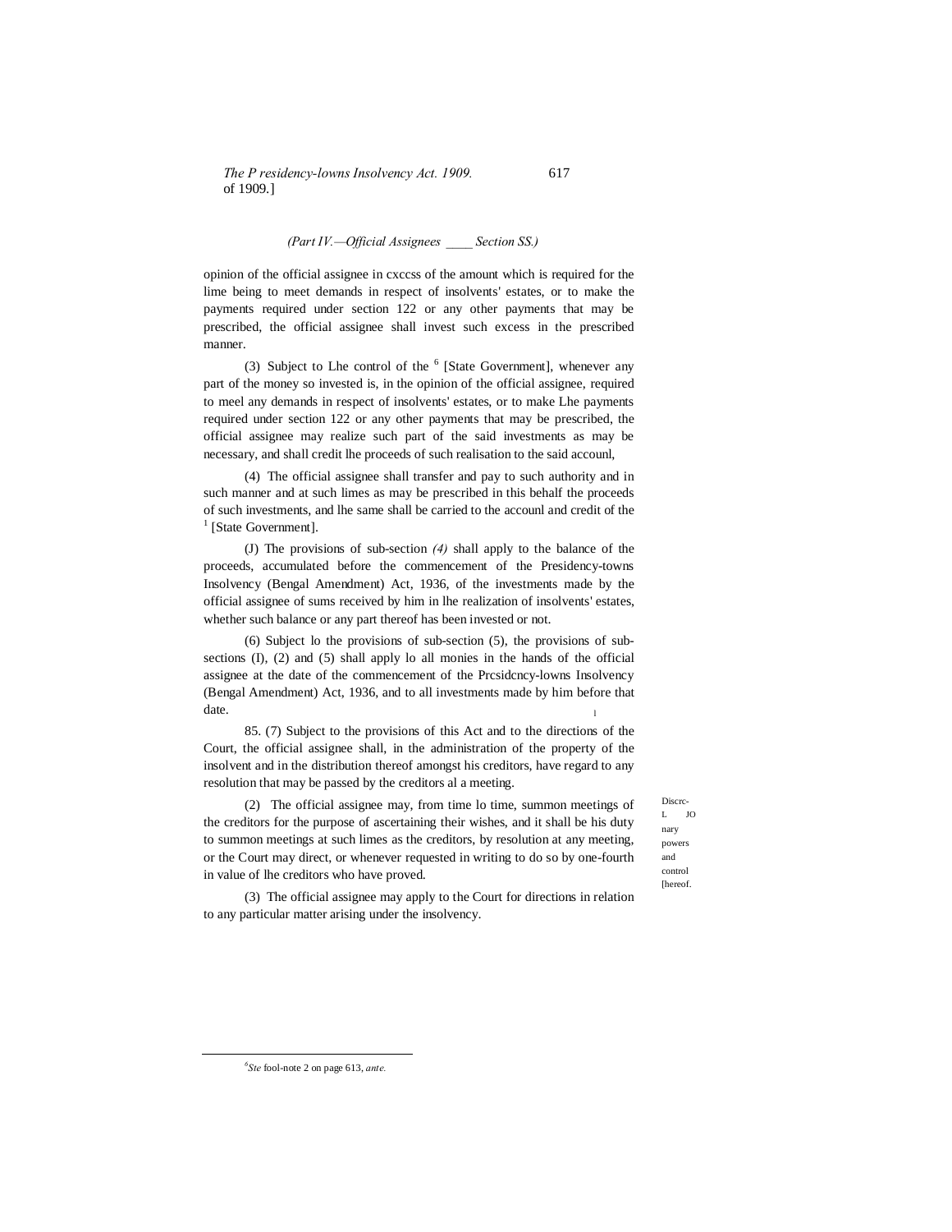*The P residency-lowns Insolvency Act. 1909.* 617 of 1909.]

#### *(Part IV.—Official Assignees \_\_\_\_ Section SS.)*

opinion of the official assignee in cxccss of the amount which is required for the lime being to meet demands in respect of insolvents' estates, or to make the payments required under section 122 or any other payments that may be prescribed, the official assignee shall invest such excess in the prescribed manner.

(3) Subject to Lhe control of the  $<sup>6</sup>$  [State Government], whenever any</sup> part of the money so invested is, in the opinion of the official assignee, required to meel any demands in respect of insolvents' estates, or to make Lhe payments required under section 122 or any other payments that may be prescribed, the official assignee may realize such part of the said investments as may be necessary, and shall credit lhe proceeds of such realisation to the said accounl,

(4) The official assignee shall transfer and pay to such authority and in such manner and at such limes as may be prescribed in this behalf the proceeds of such investments, and lhe same shall be carried to the accounl and credit of the <sup>1</sup> [State Government].

(J) The provisions of sub-section *(4)* shall apply to the balance of the proceeds, accumulated before the commencement of the Presidency-towns Insolvency (Bengal Amendment) Act, 1936, of the investments made by the official assignee of sums received by him in lhe realization of insolvents' estates, whether such balance or any part thereof has been invested or not.

(6) Subject lo the provisions of sub-section (5), the provisions of subsections (I), (2) and (5) shall apply lo all monies in the hands of the official assignee at the date of the commencement of the Prcsidcncy-lowns Insolvency (Bengal Amendment) Act, 1936, and to all investments made by him before that date.

85. (7) Subject to the provisions of this Act and to the directions of the Court, the official assignee shall, in the administration of the property of the insolvent and in the distribution thereof amongst his creditors, have regard to any resolution that may be passed by the creditors al a meeting.

(2) The official assignee may, from time lo time, summon meetings of the creditors for the purpose of ascertaining their wishes, and it shall be his duty to summon meetings at such limes as the creditors, by resolution at any meeting, or the Court may direct, or whenever requested in writing to do so by one-fourth in value of lhe creditors who have proved.

Discrc-L JO nary powers and control [hereof.

(3) The official assignee may apply to the Court for directions in relation to any particular matter arising under the insolvency.

*<sup>6</sup> Ste* fool-note 2 on page 613, *ante.*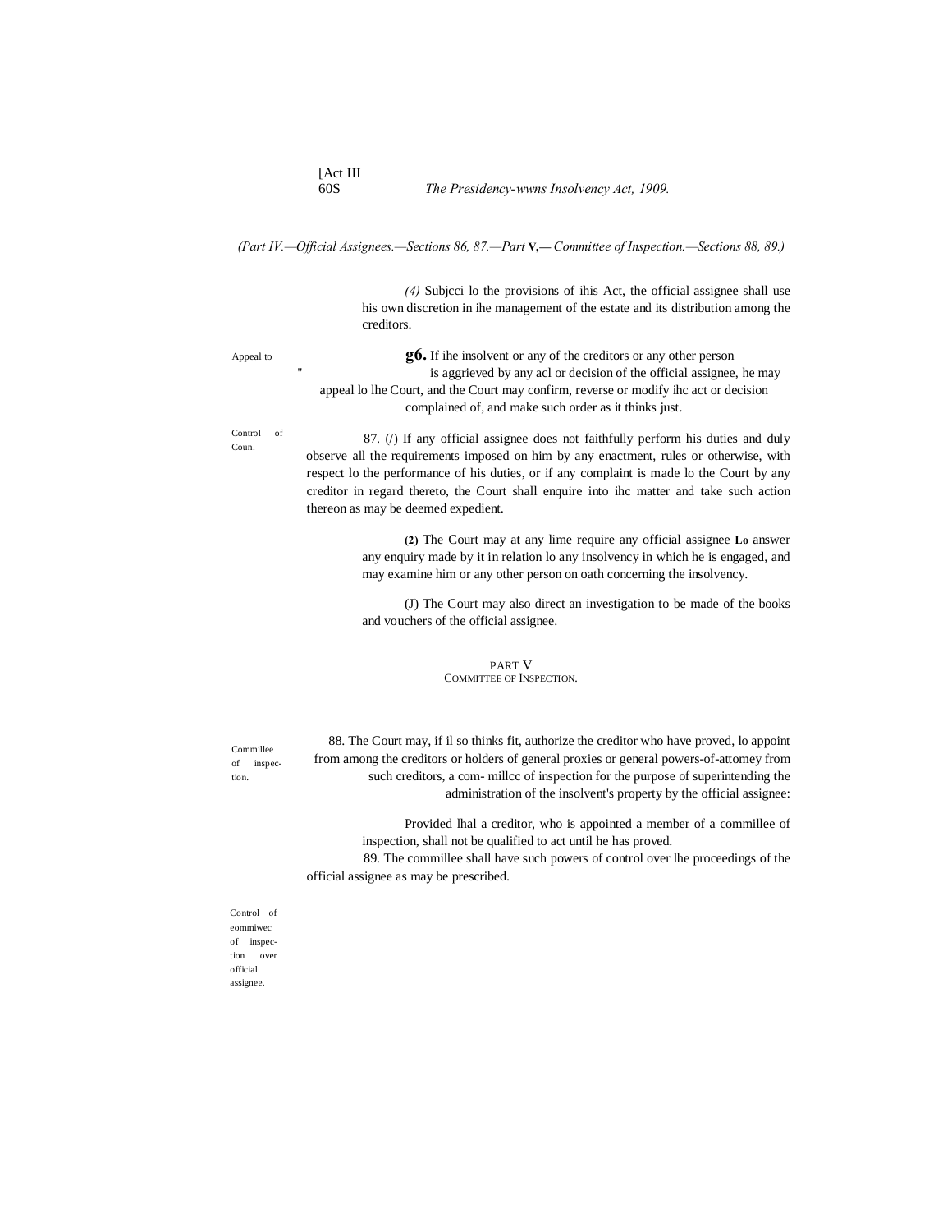| <b>LAct III</b> |                                           |  |
|-----------------|-------------------------------------------|--|
| 60S             | The Presidency-wwns Insolvency Act, 1909. |  |

*(Part IV.—Official Assignees.—Sections 86, 87.—Part* **V,—** *Committee of Inspection.—Sections 88, 89.)*

*(4)* Subjcci lo the provisions of ihis Act, the official assignee shall use his own discretion in ihe management of the estate and its distribution among the creditors.

Control of Coun. Commillee of inspection. Control of Appeal to **g6.** If ihe insolvent or any of the creditors or any other person is aggrieved by any acl or decision of the official assignee, he may appeal lo lhe Court, and the Court may confirm, reverse or modify ihc act or decision complained of, and make such order as it thinks just. 87. (/) If any official assignee does not faithfully perform his duties and duly observe all the requirements imposed on him by any enactment, rules or otherwise, with respect lo the performance of his duties, or if any complaint is made lo the Court by any creditor in regard thereto, the Court shall enquire into ihc matter and take such action thereon as may be deemed expedient. **(2)** The Court may at any lime require any official assignee **Lo** answer any enquiry made by it in relation lo any insolvency in which he is engaged, and may examine him or any other person on oath concerning the insolvency. (J) The Court may also direct an investigation to be made of the books and vouchers of the official assignee. PART V COMMITTEE OF INSPECTION. 88. The Court may, if il so thinks fit, authorize the creditor who have proved, lo appoint from among the creditors or holders of general proxies or general powers-of-attomey from such creditors, a com- millcc of inspection for the purpose of superintending the administration of the insolvent's property by the official assignee: Provided lhal a creditor, who is appointed a member of a commillee of inspection, shall not be qualified to act until he has proved. 89. The commillee shall have such powers of control over lhe proceedings of the official assignee as may be prescribed.

eommiwec of inspection over official assignee.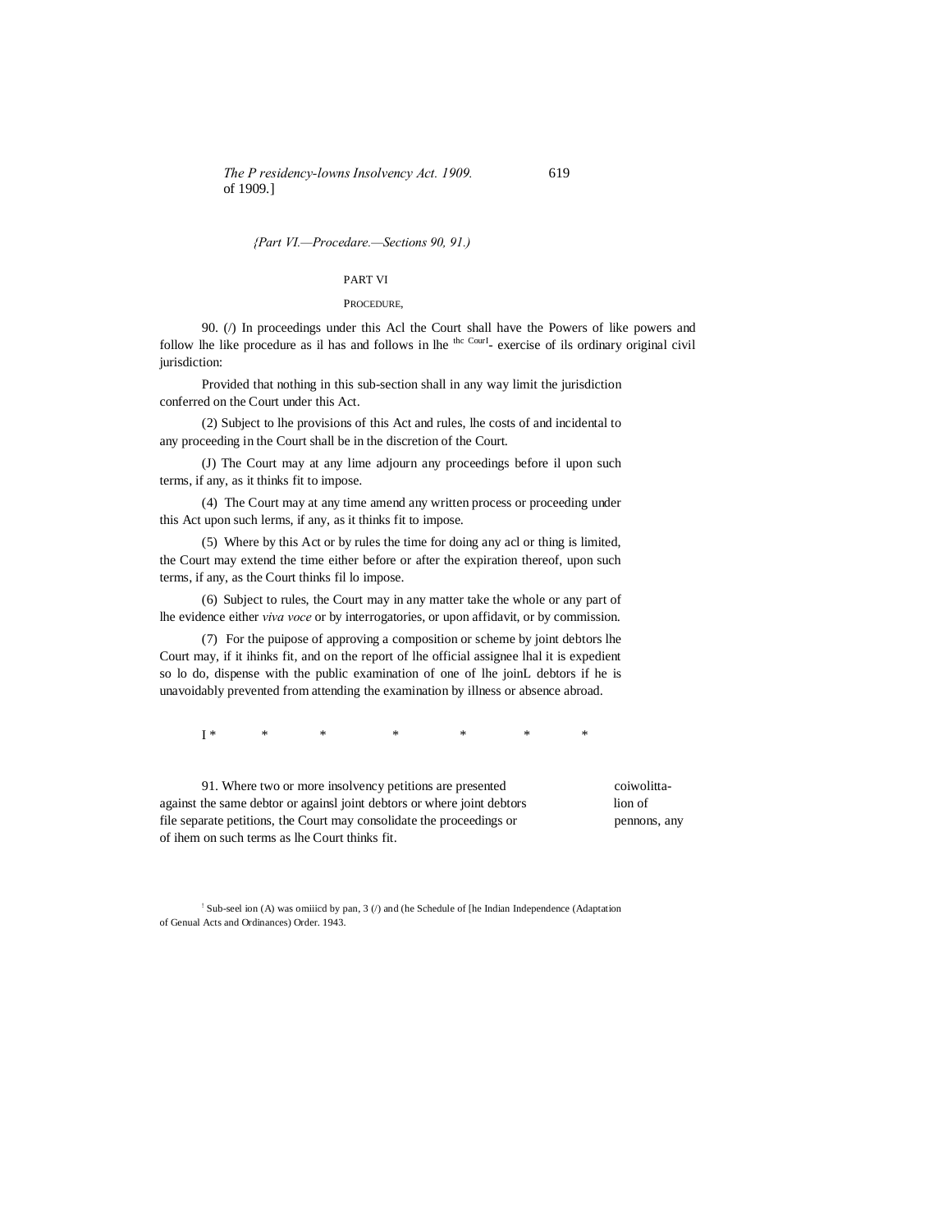*The P residency-lowns Insolvency Act. 1909.* 619 of 1909.]

*{Part VI.—Procedare.—Sections 90, 91.)*

### PART VI

#### PROCEDURE,

90. (/) In proceedings under this Acl the Court shall have the Powers of like powers and follow lhe like procedure as il has and follows in lhe <sup>the CourI</sup>- exercise of ils ordinary original civil jurisdiction:

Provided that nothing in this sub-section shall in any way limit the jurisdiction conferred on the Court under this Act.

(2) Subject to lhe provisions of this Act and rules, lhe costs of and incidental to any proceeding in the Court shall be in the discretion of the Court.

(J) The Court may at any lime adjourn any proceedings before il upon such terms, if any, as it thinks fit to impose.

(4) The Court may at any time amend any written process or proceeding under this Act upon such lerms, if any, as it thinks fit to impose.

(5) Where by this Act or by rules the time for doing any acl or thing is limited, the Court may extend the time either before or after the expiration thereof, upon such terms, if any, as the Court thinks fil lo impose.

(6) Subject to rules, the Court may in any matter take the whole or any part of lhe evidence either *viva voce* or by interrogatories, or upon affidavit, or by commission.

(7) For the puipose of approving a composition or scheme by joint debtors lhe Court may, if it ihinks fit, and on the report of lhe official assignee lhal it is expedient so lo do, dispense with the public examination of one of lhe joinL debtors if he is unavoidably prevented from attending the examination by illness or absence abroad.

 $\mathbf{I} *$  \* \* \* \* \* \*

| 91. Where two or more insolvency petitions are presented                | coiwolitta-  |
|-------------------------------------------------------------------------|--------------|
| against the same debtor or against joint debtors or where joint debtors | lion of      |
| file separate petitions, the Court may consolidate the proceedings or   | pennons, any |
| of ihem on such terms as the Court thinks fit.                          |              |

! Sub-seel ion (A) was omiiicd by pan, 3 (/) and (he Schedule of [he Indian Independence (Adaptation of Genual Acts and Ordinances) Order. 1943.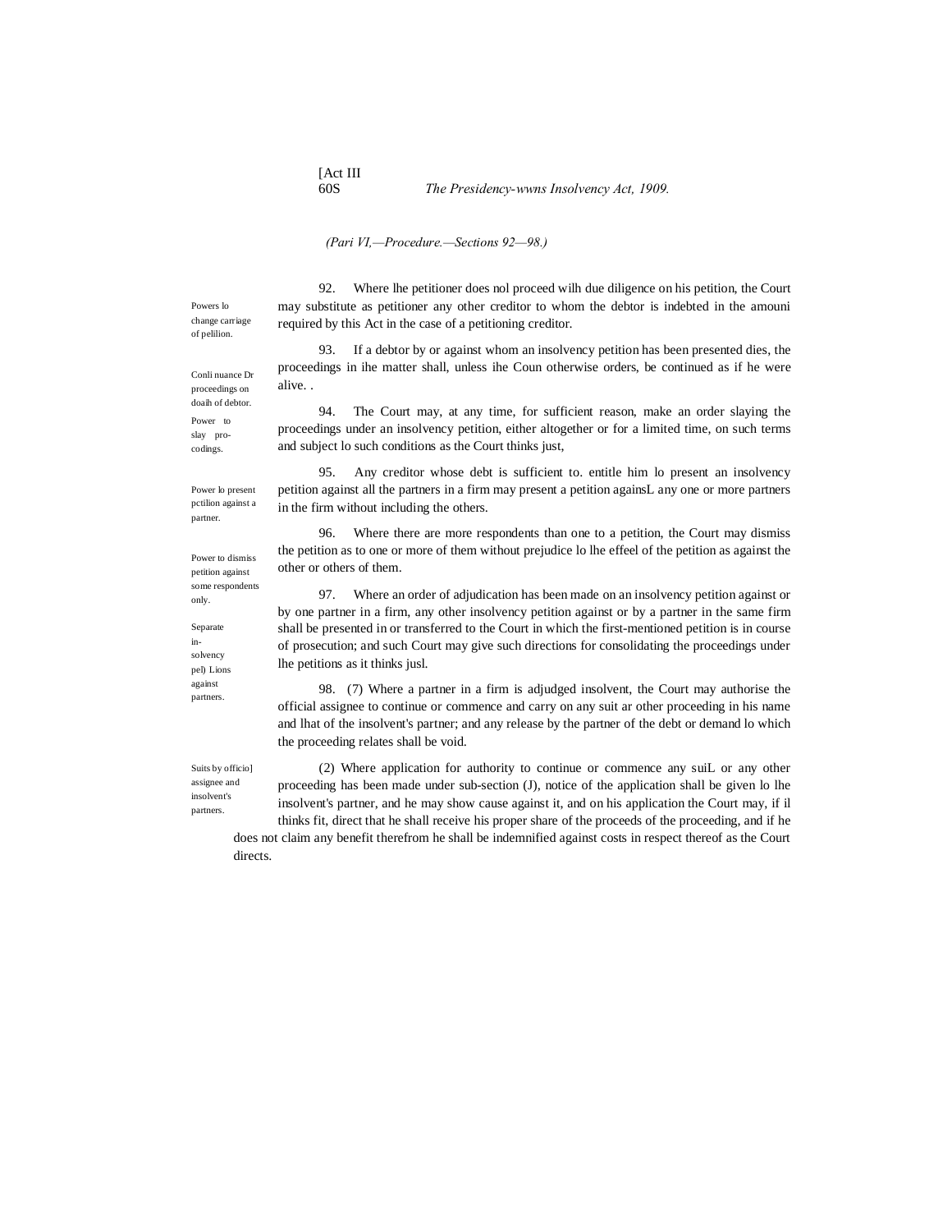# [Act III 60S *The Presidency-wwns Insolvency Act, 1909.*

#### *(Pari VI,—Procedure.—Sections 92—98.)*

Powers lo change carriage of pelilion.

92. Where lhe petitioner does nol proceed wilh due diligence on his petition, the Court may substitute as petitioner any other creditor to whom the debtor is indebted in the amouni required by this Act in the case of a petitioning creditor.

93. If a debtor by or against whom an insolvency petition has been presented dies, the proceedings in ihe matter shall, unless ihe Coun otherwise orders, be continued as if he were alive. .

94. The Court may, at any time, for sufficient reason, make an order slaying the proceedings under an insolvency petition, either altogether or for a limited time, on such terms and subject lo such conditions as the Court thinks just,

95. Any creditor whose debt is sufficient to. entitle him lo present an insolvency petition against all the partners in a firm may present a petition againsL any one or more partners in the firm without including the others.

96. Where there are more respondents than one to a petition, the Court may dismiss the petition as to one or more of them without prejudice lo lhe effeel of the petition as against the other or others of them.

97. Where an order of adjudication has been made on an insolvency petition against or by one partner in a firm, any other insolvency petition against or by a partner in the same firm shall be presented in or transferred to the Court in which the first-mentioned petition is in course of prosecution; and such Court may give such directions for consolidating the proceedings under lhe petitions as it thinks jusl.

98. (7) Where a partner in a firm is adjudged insolvent, the Court may authorise the official assignee to continue or commence and carry on any suit ar other proceeding in his name and lhat of the insolvent's partner; and any release by the partner of the debt or demand lo which the proceeding relates shall be void.

(2) Where application for authority to continue or commence any suiL or any other proceeding has been made under sub-section (J), notice of the application shall be given lo lhe insolvent's partner, and he may show cause against it, and on his application the Court may, if il thinks fit, direct that he shall receive his proper share of the proceeds of the proceeding, and if he does not claim any benefit therefrom he shall be indemnified against costs in respect thereof as the Court directs.

Conli nuance Dr proceedings on doaih of debtor. Power to

slay procodings.

Power lo present pctilion against a partner.

Power to dismiss petition against some respondents only.

Separate insolvency pel) Lions against partners.

Suits by officio] assignee and insolvent's partners.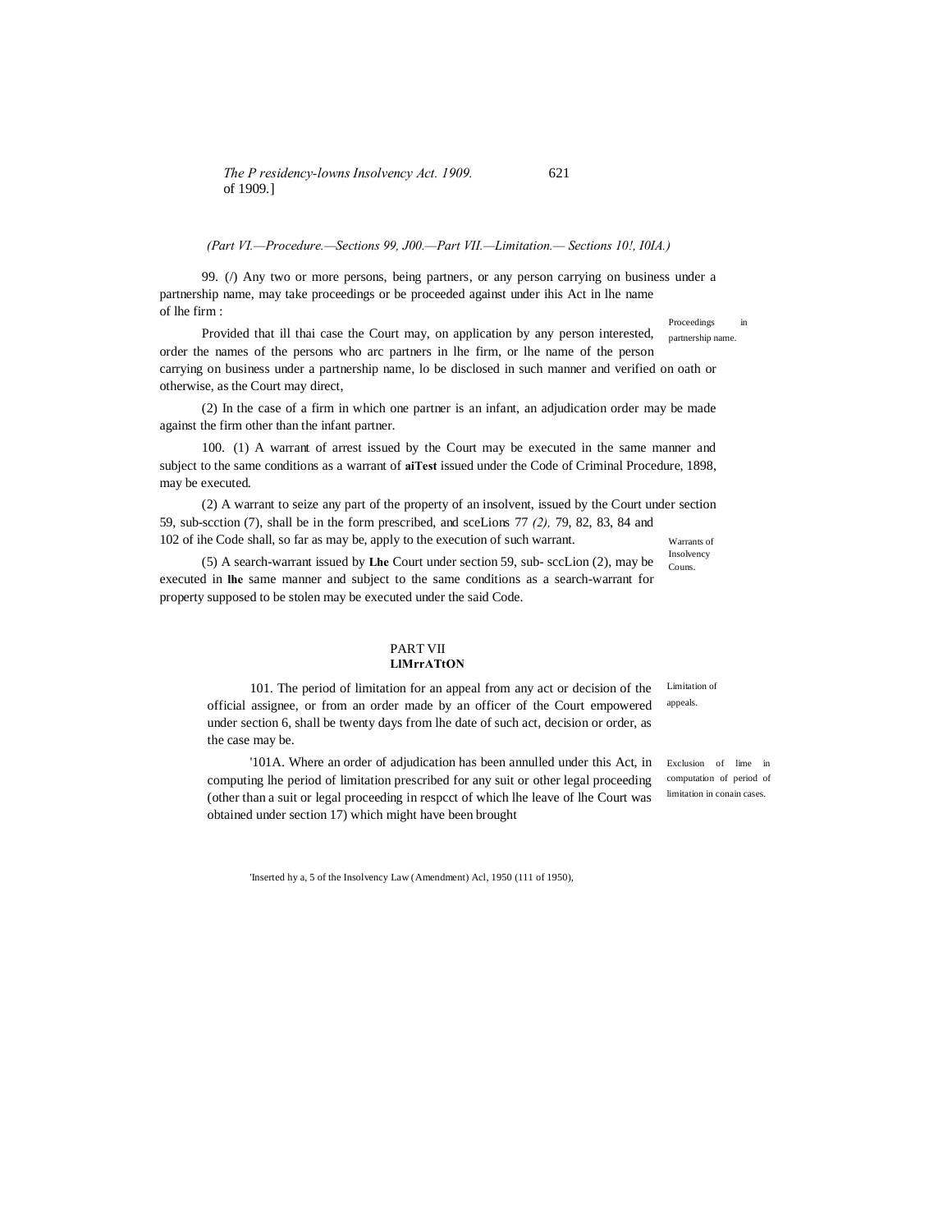# *(Part VI.—Procedure.—Sections 99, J00.—Part VII.—Limitation.— Sections 10!, I0IA.)*

Proceedings in 99. (/) Any two or more persons, being partners, or any person carrying on business under a partnership name, may take proceedings or be proceeded against under ihis Act in lhe name of lhe firm :

partnership name. Provided that ill thai case the Court may, on application by any person interested, order the names of the persons who arc partners in lhe firm, or lhe name of the person carrying on business under a partnership name, lo be disclosed in such manner and verified on oath or otherwise, as the Court may direct,

(2) In the case of a firm in which one partner is an infant, an adjudication order may be made against the firm other than the infant partner.

100. (1) A warrant of arrest issued by the Court may be executed in the same manner and subject to the same conditions as a warrant of **aiTest** issued under the Code of Criminal Procedure, 1898, may be executed.

Warrants of (2) A warrant to seize any part of the property of an insolvent, issued by the Court under section 59, sub-scction (7), shall be in the form prescribed, and sceLions 77 *(2),* 79, 82, 83, 84 and 102 of ihe Code shall, so far as may be, apply to the execution of such warrant.

Insolvency Couns.

(5) A search-warrant issued by **Lhe** Court under section 59, sub- sccLion (2), may be executed in **lhe** same manner and subject to the same conditions as a search-warrant for property supposed to be stolen may be executed under the said Code.

#### PART VII **LlMrrATtON**

101. The period of limitation for an appeal from any act or decision of the official assignee, or from an order made by an officer of the Court empowered under section 6, shall be twenty days from lhe date of such act, decision or order, as the case may be.

101A. Where an order of adjudication has been annulled under this Act, in Exclusion of lime in computing lhe period of limitation prescribed for any suit or other legal proceeding (other than a suit or legal proceeding in respcct of which lhe leave of lhe Court was obtained under section 17) which might have been brought

'Inserted hy a, 5 of the Insolvency Law (Amendment) Acl, 1950 (111 of 1950),

Limitation of appeals.

computation of period of limitation in conain cases.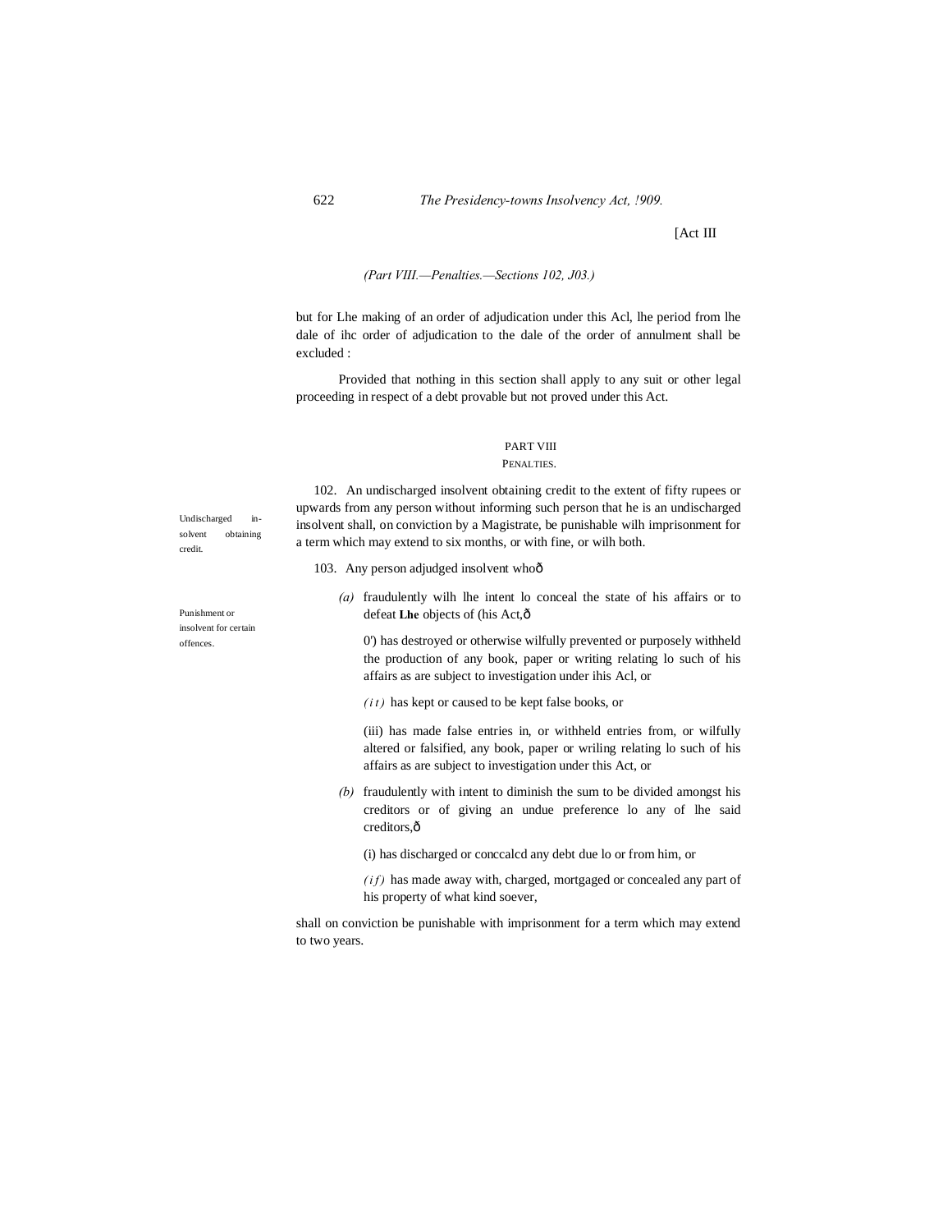[Act III

*(Part VIII.—Penalties.—Sections 102, J03.)*

but for Lhe making of an order of adjudication under this Acl, lhe period from lhe dale of ihc order of adjudication to the dale of the order of annulment shall be excluded :

Provided that nothing in this section shall apply to any suit or other legal proceeding in respect of a debt provable but not proved under this Act.

# PART VIII

# PENALTIES.

102. An undischarged insolvent obtaining credit to the extent of fifty rupees or upwards from any person without informing such person that he is an undischarged insolvent shall, on conviction by a Magistrate, be punishable wilh imprisonment for a term which may extend to six months, or with fine, or wilh both.

103. Any person adjudged insolvent whoô

*(a)* fraudulently wilh lhe intent lo conceal the state of his affairs or to defeat **Lhe** objects of (his Act,—

0') has destroyed or otherwise wilfully prevented or purposely withheld the production of any book, paper or writing relating lo such of his affairs as are subject to investigation under ihis Acl, or

*( i t )* has kept or caused to be kept false books, or

(iii) has made false entries in, or withheld entries from, or wilfully altered or falsified, any book, paper or wriling relating lo such of his affairs as are subject to investigation under this Act, or

*(b)* fraudulently with intent to diminish the sum to be divided amongst his creditors or of giving an undue preference lo any of lhe said creditors, $\hat{o}$ 

(i) has discharged or conccalcd any debt due lo or from him, or

 $(i f)$  has made away with, charged, mortgaged or concealed any part of his property of what kind soever,

shall on conviction be punishable with imprisonment for a term which may extend to two years.

Undischarged insolvent obtaining credit.

Punishment or insolvent for certain offences.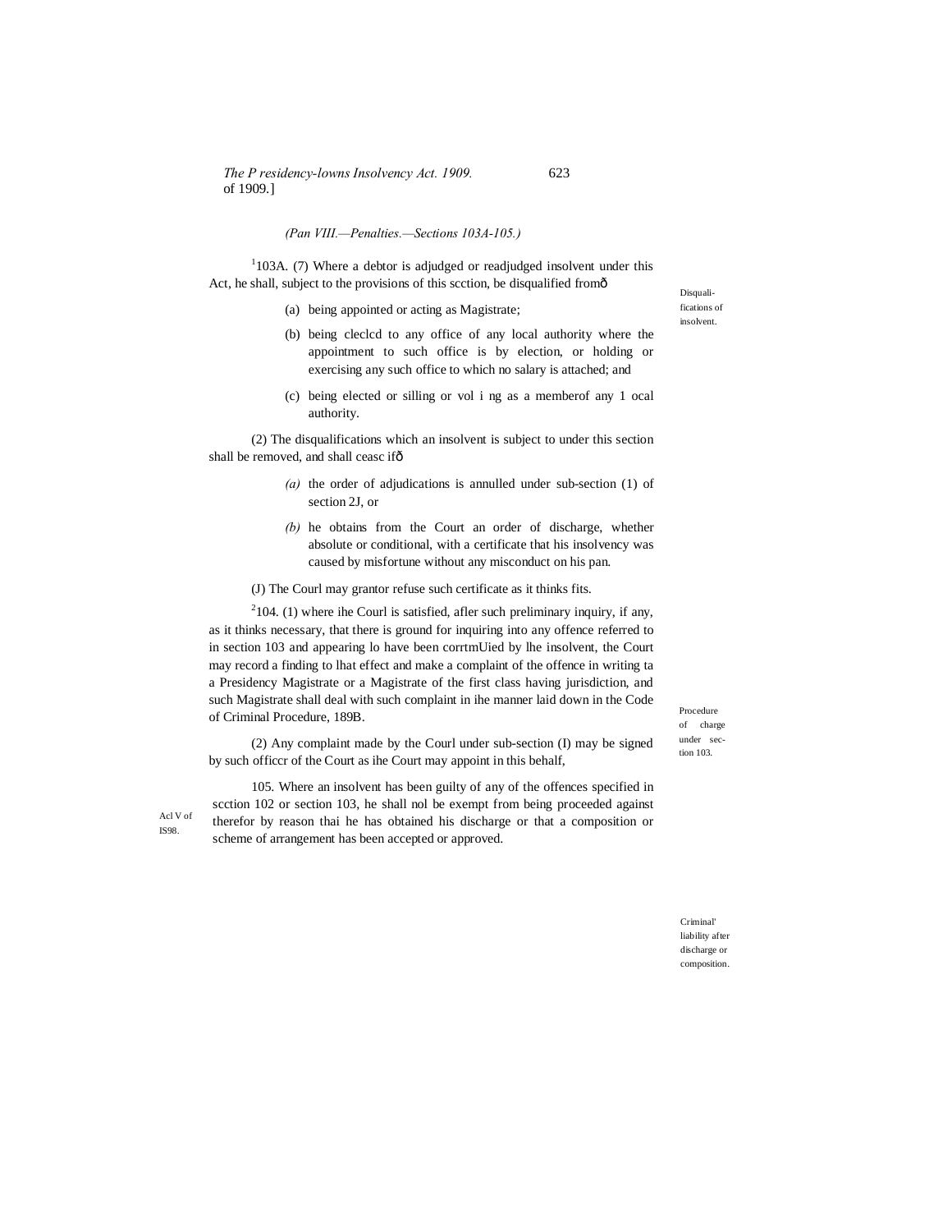# *The P residency-lowns Insolvency Act. 1909.* 623 of 1909.]

*(Pan VIII.—Penalties.—Sections 103A-105.)*

 $1103A$ . (7) Where a debtor is adjudged or readjudged insolvent under this Act, he shall, subject to the provisions of this scction, be disqualified fromô

- (a) being appointed or acting as Magistrate;
- (b) being cleclcd to any office of any local authority where the appointment to such office is by election, or holding or exercising any such office to which no salary is attached; and
- (c) being elected or silling or vol i ng as a memberof any 1 ocal authority.

(2) The disqualifications which an insolvent is subject to under this section shall be removed, and shall ceasc ifô

- *(a)* the order of adjudications is annulled under sub-section (1) of section 2J, or
- *(b)* he obtains from the Court an order of discharge, whether absolute or conditional, with a certificate that his insolvency was caused by misfortune without any misconduct on his pan.

(J) The Courl may grantor refuse such certificate as it thinks fits.

 $2104$ . (1) where ihe Courl is satisfied, afler such preliminary inquiry, if any, as it thinks necessary, that there is ground for inquiring into any offence referred to in section 103 and appearing lo have been corrtmUied by lhe insolvent, the Court may record a finding to lhat effect and make a complaint of the offence in writing ta a Presidency Magistrate or a Magistrate of the first class having jurisdiction, and such Magistrate shall deal with such complaint in ihe manner laid down in the Code of Criminal Procedure, 189B.

(2) Any complaint made by the Courl under sub-section (I) may be signed by such officcr of the Court as ihe Court may appoint in this behalf,

105. Where an insolvent has been guilty of any of the offences specified in scction 102 or section 103, he shall nol be exempt from being proceeded against therefor by reason thai he has obtained his discharge or that a composition or scheme of arrangement has been accepted or approved.

Acl V of IS98.

Procedure of charge under section 103.

Criminal' liability after discharge or composition.

Disqualifications of insolvent.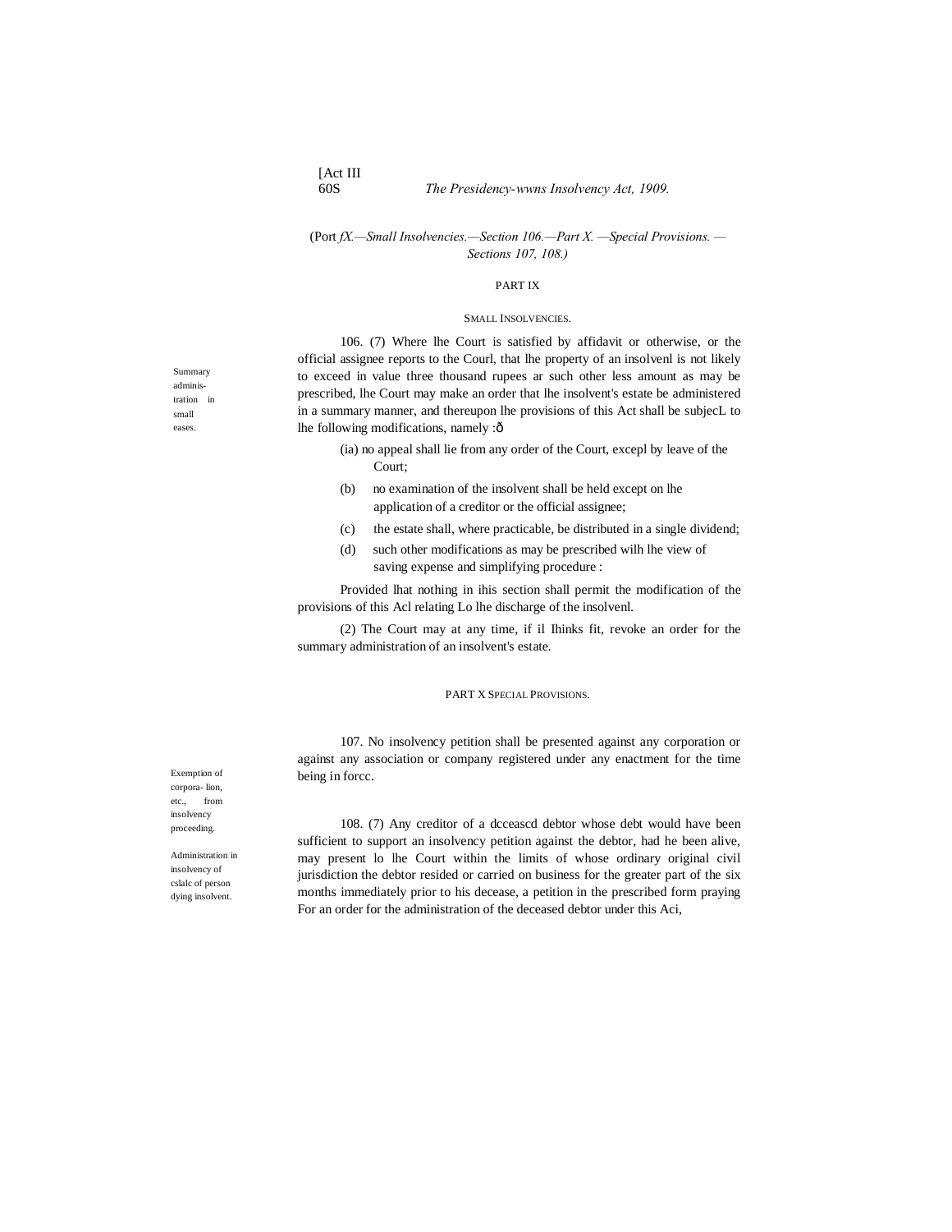[Act III

### 60S *The Presidency-wwns Insolvency Act, 1909.*

#### (Port *fX.—Small Insolvencies.—Section 106.—Part X. —Special Provisions. — Sections 107, 108.)*

# PART IX

#### SMALL INSOLVENCIES.

106. (7) Where lhe Court is satisfied by affidavit or otherwise, or the official assignee reports to the Courl, that lhe property of an insolvenl is not likely to exceed in value three thousand rupees ar such other less amount as may be prescribed, lhe Court may make an order that lhe insolvent's estate be administered in a summary manner, and thereupon lhe provisions of this Act shall be subjecL to lhe following modifications, namely :ô

- (ia) no appeal shall lie from any order of the Court, excepl by leave of the Court;
- (b) no examination of the insolvent shall be held except on lhe application of a creditor or the official assignee;
- (c) the estate shall, where practicable, be distributed in a single dividend;
- (d) such other modifications as may be prescribed wilh lhe view of saving expense and simplifying procedure :

Provided lhat nothing in ihis section shall permit the modification of the provisions of this Acl relating Lo lhe discharge of the insolvenl.

(2) The Court may at any time, if il Ihinks fit, revoke an order for the summary administration of an insolvent's estate.

#### PART X SPECIAL PROVISIONS.

107. No insolvency petition shall be presented against any corporation or against any association or company registered under any enactment for the time being in forcc.

108. (7) Any creditor of a dcceascd debtor whose debt would have been sufficient to support an insolvency petition against the debtor, had he been alive, may present lo lhe Court within the limits of whose ordinary original civil jurisdiction the debtor resided or carried on business for the greater part of the six months immediately prior to his decease, a petition in the prescribed form praying For an order for the administration of the deceased debtor under this Aci,

Summary administration in small eases.

Exemption of corpora- lion, etc., from insolvency proceeding.

Administration in insolvency of cslalc of person dying insolvent.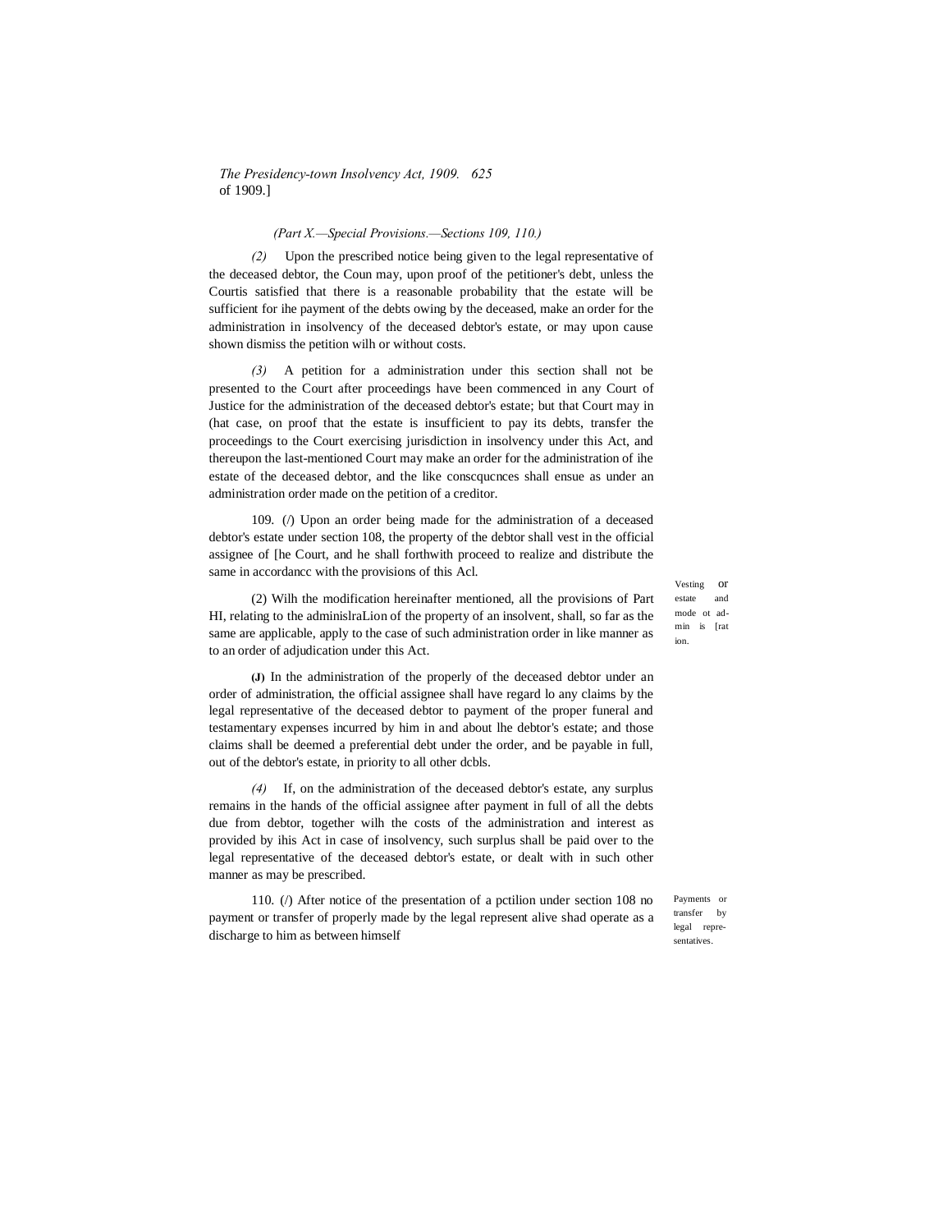*The Presidency-town Insolvency Act, 1909. 625* of 1909.]

#### *(Part X.—Special Provisions.—Sections 109, 110.)*

*(2)* Upon the prescribed notice being given to the legal representative of the deceased debtor, the Coun may, upon proof of the petitioner's debt, unless the Courtis satisfied that there is a reasonable probability that the estate will be sufficient for ihe payment of the debts owing by the deceased, make an order for the administration in insolvency of the deceased debtor's estate, or may upon cause shown dismiss the petition wilh or without costs.

*(3)* A petition for a administration under this section shall not be presented to the Court after proceedings have been commenced in any Court of Justice for the administration of the deceased debtor's estate; but that Court may in (hat case, on proof that the estate is insufficient to pay its debts, transfer the proceedings to the Court exercising jurisdiction in insolvency under this Act, and thereupon the last-mentioned Court may make an order for the administration of ihe estate of the deceased debtor, and the like conscqucnces shall ensue as under an administration order made on the petition of a creditor.

109. (/) Upon an order being made for the administration of a deceased debtor's estate under section 108, the property of the debtor shall vest in the official assignee of [he Court, and he shall forthwith proceed to realize and distribute the same in accordancc with the provisions of this Acl.

(2) Wilh the modification hereinafter mentioned, all the provisions of Part HI, relating to the adminislraLion of the property of an insolvent, shall, so far as the same are applicable, apply to the case of such administration order in like manner as to an order of adjudication under this Act.

**(J)** In the administration of the properly of the deceased debtor under an order of administration, the official assignee shall have regard lo any claims by the legal representative of the deceased debtor to payment of the proper funeral and testamentary expenses incurred by him in and about lhe debtor's estate; and those claims shall be deemed a preferential debt under the order, and be payable in full, out of the debtor's estate, in priority to all other dcbls.

*(4)* If, on the administration of the deceased debtor's estate, any surplus remains in the hands of the official assignee after payment in full of all the debts due from debtor, together wilh the costs of the administration and interest as provided by ihis Act in case of insolvency, such surplus shall be paid over to the legal representative of the deceased debtor's estate, or dealt with in such other manner as may be prescribed.

110. (/) After notice of the presentation of a pctilion under section 108 no payment or transfer of properly made by the legal represent alive shad operate as a discharge to him as between himself

Vesting or estate and mode ot admin is [rat ion.

Payments or transfer by legal representatives.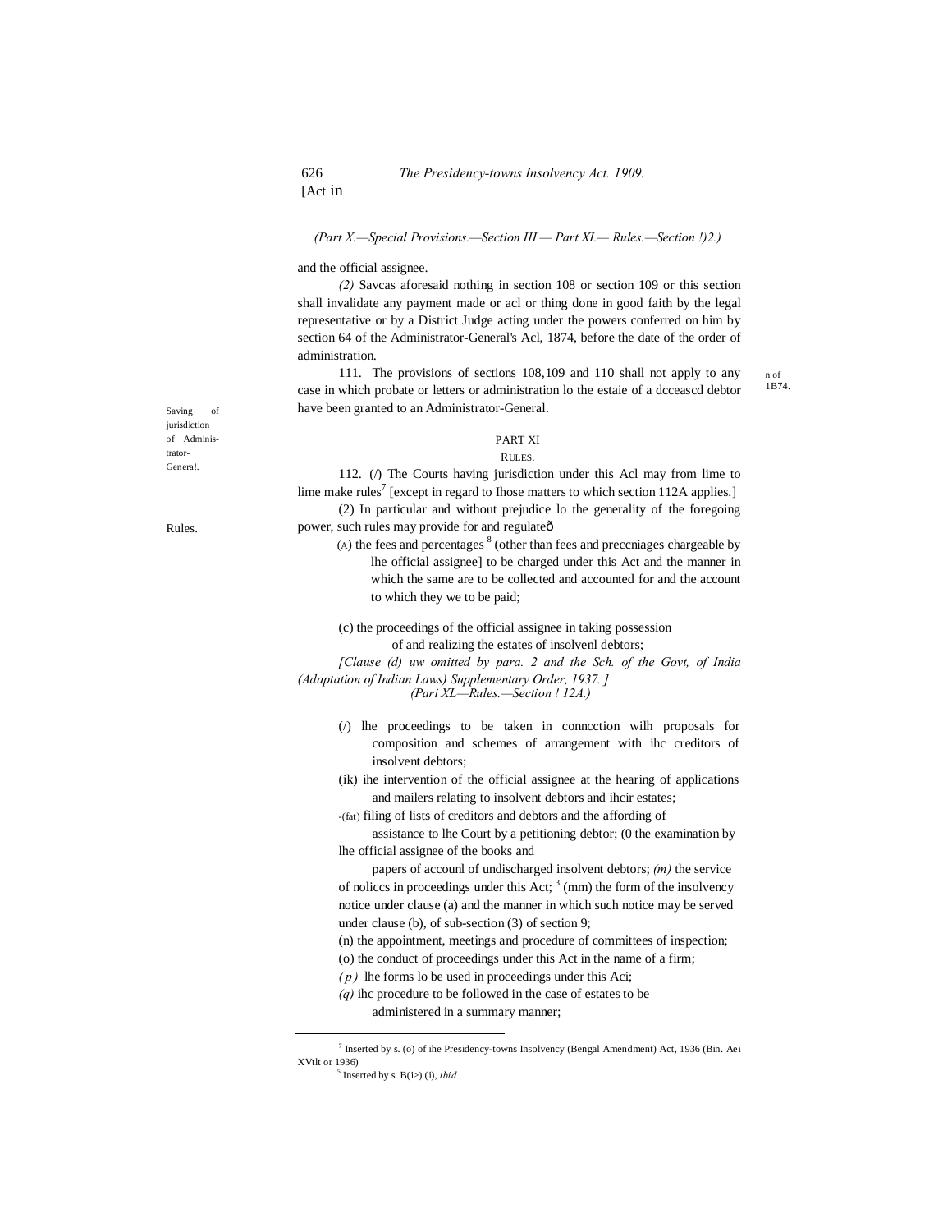# 626 *The Presidency-towns Insolvency Act. 1909.* [Act in]

*(Part X.—Special Provisions.—Section III.— Part XI.— Rules.—Section !)2.)*

and the official assignee.

*(2)* Savcas aforesaid nothing in section 108 or section 109 or this section shall invalidate any payment made or acl or thing done in good faith by the legal representative or by a District Judge acting under the powers conferred on him by section 64 of the Administrator-General's Acl, 1874, before the date of the order of administration.

111. The provisions of sections 108,109 and 110 shall not apply to any case in which probate or letters or administration lo the estaie of a dcceascd debtor have been granted to an Administrator-General.

n of 1B74.

# PART XI

RULES.

112. (/) The Courts having jurisdiction under this Acl may from lime to lime make rules<sup>7</sup> [except in regard to Ihose matters to which section 112A applies.] (2) In particular and without prejudice lo the generality of the foregoing power, such rules may provide for and regulateô

 $(A)$  the fees and percentages  $8$  (other than fees and preccniages chargeable by lhe official assignee] to be charged under this Act and the manner in which the same are to be collected and accounted for and the account to which they we to be paid;

(c) the proceedings of the official assignee in taking possession of and realizing the estates of insolvenl debtors;

*[Clause (d) uw omitted by para. 2 and the Sch. of the Govt, of India (Adaptation of Indian Laws) Supplementary Order, 1937. ] (Pari XL—Rules.—Section ! 12A.)*

- (/) lhe proceedings to be taken in conncction wilh proposals for composition and schemes of arrangement with ihc creditors of insolvent debtors;
- (ik) ihe intervention of the official assignee at the hearing of applications and mailers relating to insolvent debtors and ihcir estates;

-(fat) filing of lists of creditors and debtors and the affording of

assistance to lhe Court by a petitioning debtor; (0 the examination by lhe official assignee of the books and

papers of accounl of undischarged insolvent debtors; *(m)* the service of nolices in proceedings under this Act;  $3 \text{ (mm)}$  the form of the insolvency notice under clause (a) and the manner in which such notice may be served under clause (b), of sub-section (3) of section 9;

(n) the appointment, meetings and procedure of committees of inspection;

(o) the conduct of proceedings under this Act in the name of a firm;

 $(p)$  lhe forms lo be used in proceedings under this Aci;

*(q)* ihc procedure to be followed in the case of estates to be administered in a summary manner;

Saving of iurisdiction of Administrator-Genera!.

Rules.

 $<sup>7</sup>$  Inserted by s. (o) of ihe Presidency-towns Insolvency (Bengal Amendment) Act, 1936 (Bin. Aei</sup> XVtlt or 1936)

 $<sup>5</sup>$  Inserted by s. B(i>) (i), *ibid.*</sup>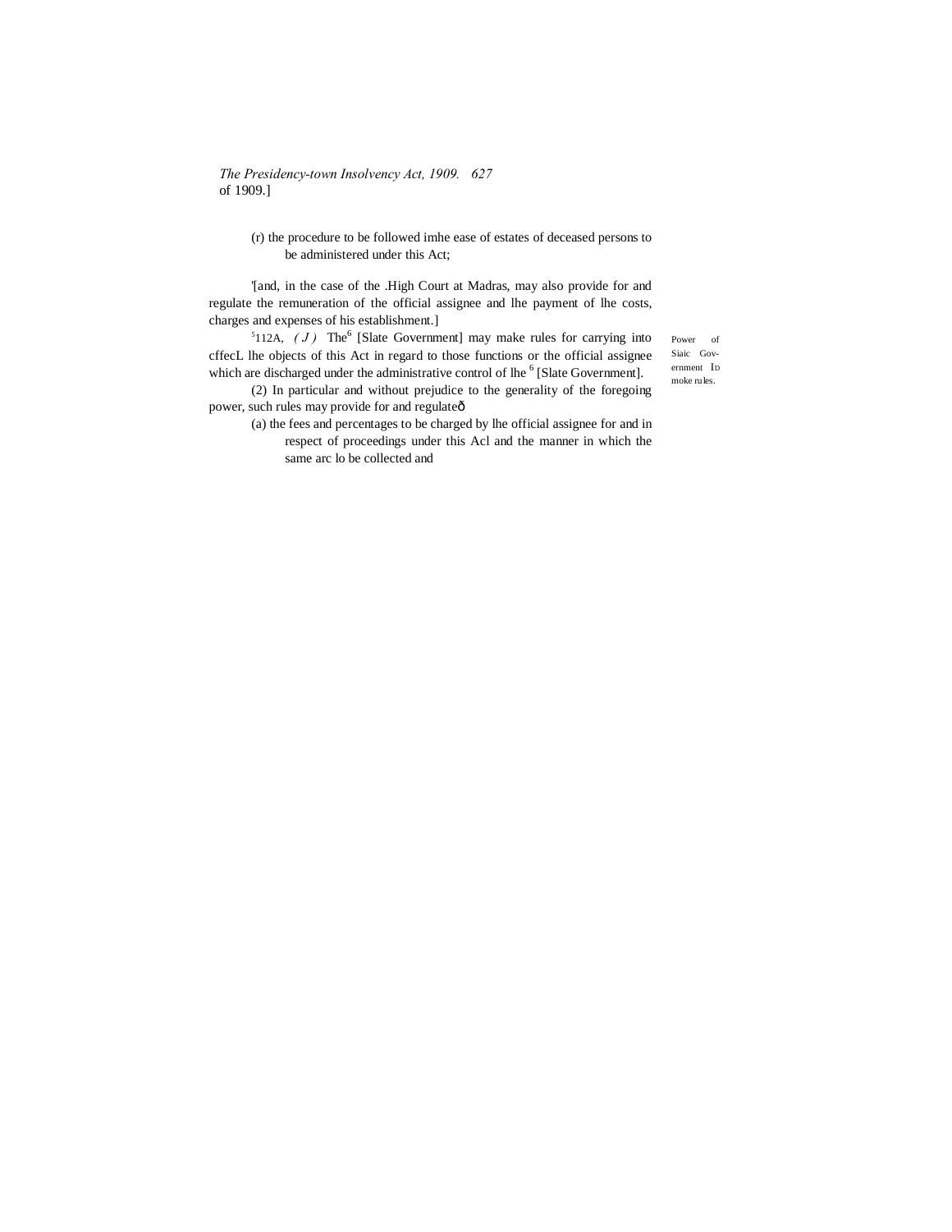*The Presidency-town Insolvency Act, 1909. 627* of 1909.]

# (r) the procedure to be followed imhe ease of estates of deceased persons to be administered under this Act;

'[and, in the case of the .High Court at Madras, may also provide for and regulate the remuneration of the official assignee and lhe payment of lhe costs, charges and expenses of his establishment.]

 $5112A, (J)$  The<sup>6</sup> [Slate Government] may make rules for carrying into cffecL lhe objects of this Act in regard to those functions or the official assignee which are discharged under the administrative control of lhe  $<sup>6</sup>$  [Slate Government].</sup>

(2) In particular and without prejudice to the generality of the foregoing

Power of Siaic Government ID moke rules.

power, such rules may provide for and regulateô (a) the fees and percentages to be charged by lhe official assignee for and in respect of proceedings under this Acl and the manner in which the

same arc lo be collected and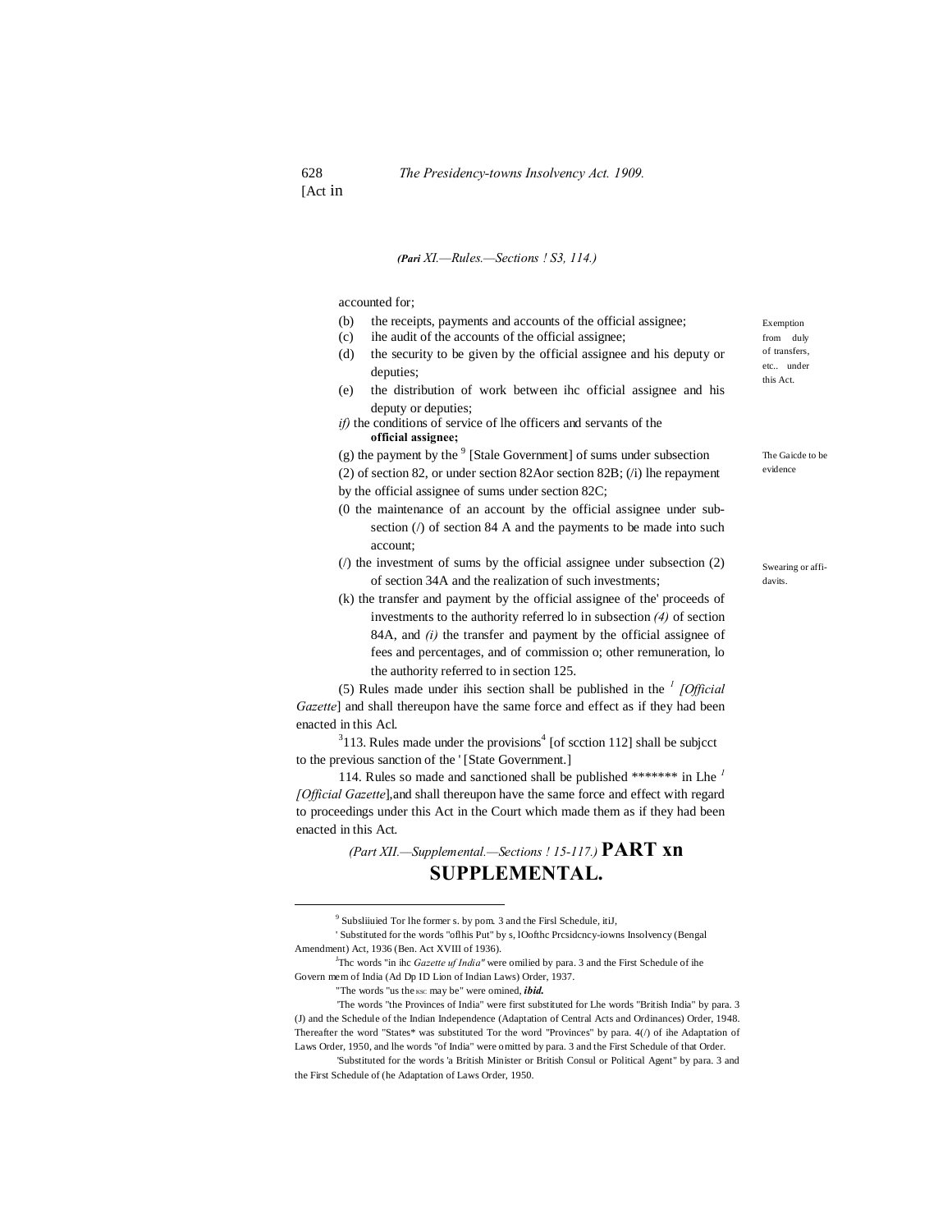[Act in]

#### *(Pari XI.—Rules.—Sections ! S3, 114.)*

accounted for;

- (b) the receipts, payments and accounts of the official assignee;
- (c) ihe audit of the accounts of the official assignee;
- (d) the security to be given by the official assignee and his deputy or deputies;
- (e) the distribution of work between ihc official assignee and his deputy or deputies;
- *if*) the conditions of service of lhe officers and servants of the **official assignee;**

(g) the payment by the  $9$  [Stale Government] of sums under subsection

- (2) of section 82, or under section 82Aor section 82B; (/i) lhe repayment by the official assignee of sums under section 82C;
- (0 the maintenance of an account by the official assignee under subsection (/) of section 84 A and the payments to be made into such account;
- (/) the investment of sums by the official assignee under subsection (2) of section 34A and the realization of such investments;
- (k) the transfer and payment by the official assignee of the' proceeds of investments to the authority referred lo in subsection *(4)* of section 84A, and *(i)* the transfer and payment by the official assignee of fees and percentages, and of commission o; other remuneration, lo the authority referred to in section 125.

(5) Rules made under ihis section shall be published in the *<sup>1</sup> [Official Gazette*] and shall thereupon have the same force and effect as if they had been enacted in this Acl.

 $3113$ . Rules made under the provisions<sup>4</sup> [of scction 112] shall be subject to the previous sanction of the ' [State Government.]

114. Rules so made and sanctioned shall be published \*\*\*\*\*\*\* in Lhe *<sup>1</sup> [Official Gazette*],and shall thereupon have the same force and effect with regard to proceedings under this Act in the Court which made them as if they had been enacted in this Act.

> *(Part XII.—Supplemental.—Sections ! 15-117.)* **PART xn SUPPLEMENTAL.**

J Thc words "in ihc *Gazette uf India"* were omilied by para. 3 and the First Schedule of ihe Govern mem of India (Ad Dp ID Lion of Indian Laws) Order, 1937.

Exemption from duly of transfers, etc.. under this Act.

The Gaicde to be evidence

Swearing or affidavits.

 <sup>9</sup> Subsliiuied Tor lhe former s. by pom. 3 and the Firsl Schedule, itiJ,

<sup>&#</sup>x27; Substituted for the words "oflhis Put" by s, lOofthc Prcsidcncy-iowns Insolvency (Bengal Amendment) Act, 1936 (Ben. Act XVIII of 1936).

<sup>&</sup>quot;The words "us the ksc may be" were omined, *ibid*.

<sup>&#</sup>x27;The words "the Provinces of India" were first substituted for Lhe words "British India" by para. 3 (J) and the Schedule of the Indian Independence (Adaptation of Central Acts and Ordinances) Order, 1948. Thereafter the word "States\* was substituted Tor the word "Provinces" by para. 4(/) of ihe Adaptation of Laws Order, 1950, and lhe words "of India" were omitted by para. 3 and the First Schedule of that Order.

<sup>&#</sup>x27;Substituted for the words 'a British Minister or British Consul or Political Agent" by para. 3 and the First Schedule of (he Adaptation of Laws Order, 1950.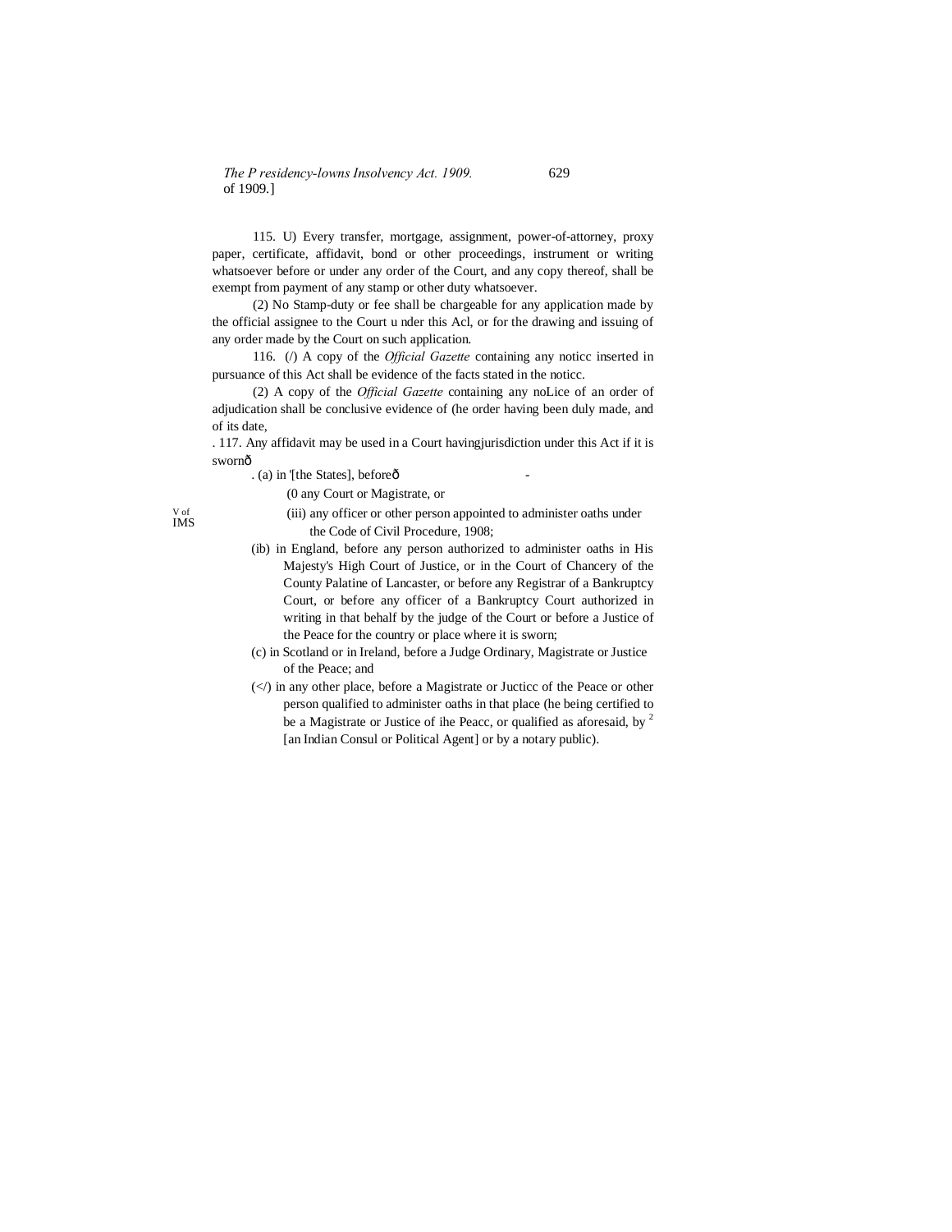115. U) Every transfer, mortgage, assignment, power-of-attorney, proxy paper, certificate, affidavit, bond or other proceedings, instrument or writing whatsoever before or under any order of the Court, and any copy thereof, shall be exempt from payment of any stamp or other duty whatsoever.

(2) No Stamp-duty or fee shall be chargeable for any application made by the official assignee to the Court u nder this Acl, or for the drawing and issuing of any order made by the Court on such application.

116. (/) A copy of the *Official Gazette* containing any noticc inserted in pursuance of this Act shall be evidence of the facts stated in the noticc.

(2) A copy of the *Official Gazette* containing any noLice of an order of adjudication shall be conclusive evidence of (he order having been duly made, and of its date,

. 117. Any affidavit may be used in a Court havingjurisdiction under this Act if it is swornô

. (a) in '[the States], beforeô

(0 any Court or Magistrate, or

- (iii) any officer or other person appointed to administer oaths under the Code of Civil Procedure, 1908;
- (ib) in England, before any person authorized to administer oaths in His Majesty's High Court of Justice, or in the Court of Chancery of the County Palatine of Lancaster, or before any Registrar of a Bankruptcy Court, or before any officer of a Bankruptcy Court authorized in writing in that behalf by the judge of the Court or before a Justice of the Peace for the country or place where it is sworn;
- (c) in Scotland or in Ireland, before a Judge Ordinary, Magistrate or Justice of the Peace; and
- $(\langle \rangle)$  in any other place, before a Magistrate or Juctice of the Peace or other person qualified to administer oaths in that place (he being certified to be a Magistrate or Justice of ihe Peacc, or qualified as aforesaid, by <sup>2</sup> [an Indian Consul or Political Agent] or by a notary public).

V of IMS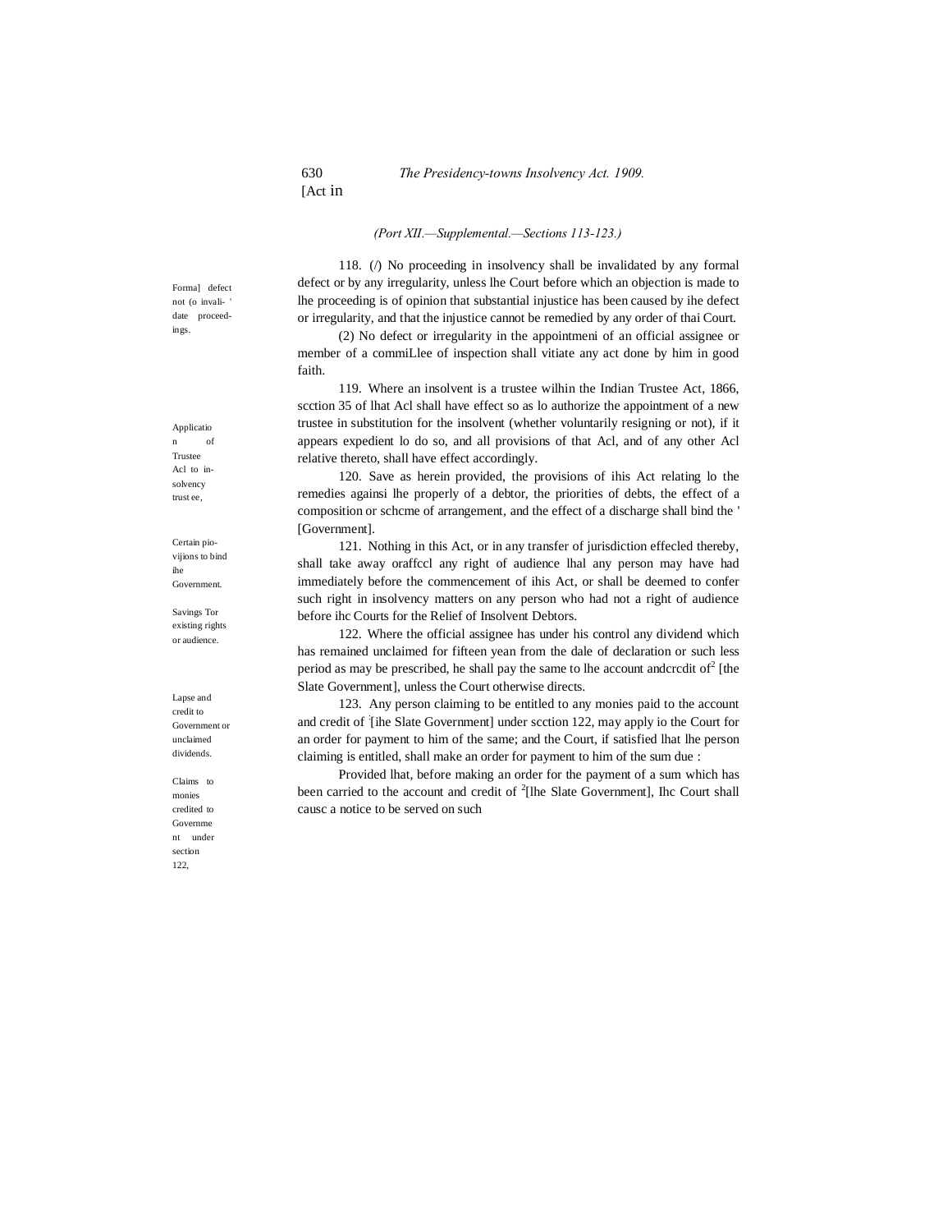# 630 *The Presidency-towns Insolvency Act. 1909.* [Act in]

#### *(Port XII.—Supplemental.—Sections 113-123.)*

118. (/) No proceeding in insolvency shall be invalidated by any formal defect or by any irregularity, unless lhe Court before which an objection is made to lhe proceeding is of opinion that substantial injustice has been caused by ihe defect or irregularity, and that the injustice cannot be remedied by any order of thai Court.

(2) No defect or irregularity in the appointmeni of an official assignee or member of a commiLlee of inspection shall vitiate any act done by him in good faith.

119. Where an insolvent is a trustee wilhin the Indian Trustee Act, 1866, scction 35 of lhat Acl shall have effect so as lo authorize the appointment of a new trustee in substitution for the insolvent (whether voluntarily resigning or not), if it appears expedient lo do so, and all provisions of that Acl, and of any other Acl relative thereto, shall have effect accordingly.

120. Save as herein provided, the provisions of ihis Act relating lo the remedies againsi lhe properly of a debtor, the priorities of debts, the effect of a composition or schcme of arrangement, and the effect of a discharge shall bind the ' [Government].

121. Nothing in this Act, or in any transfer of jurisdiction effecled thereby, shall take away oraffccl any right of audience lhal any person may have had immediately before the commencement of ihis Act, or shall be deemed to confer such right in insolvency matters on any person who had not a right of audience before ihc Courts for the Relief of Insolvent Debtors.

122. Where the official assignee has under his control any dividend which has remained unclaimed for fifteen yean from the dale of declaration or such less period as may be prescribed, he shall pay the same to lhe account and credit of  $2^{\circ}$  [the Slate Government], unless the Court otherwise directs.

123. Any person claiming to be entitled to any monies paid to the account and credit of : [ihe Slate Government] under scction 122, may apply io the Court for an order for payment to him of the same; and the Court, if satisfied lhat lhe person claiming is entitled, shall make an order for payment to him of the sum due :

Provided lhat, before making an order for the payment of a sum which has been carried to the account and credit of <sup>2</sup>[lhe Slate Government], Ihc Court shall causc a notice to be served on such

Forma] defect not (o invali- ' date proceedings.

Applicatio n of Trustee Acl to insolvency trust ee,

Certain piovijions to bind ihe Government.

Savings Tor existing rights or audience.

Lapse and credit to Government or unclaimed dividends.

Claims to monies credited to Governme nt under section  $122$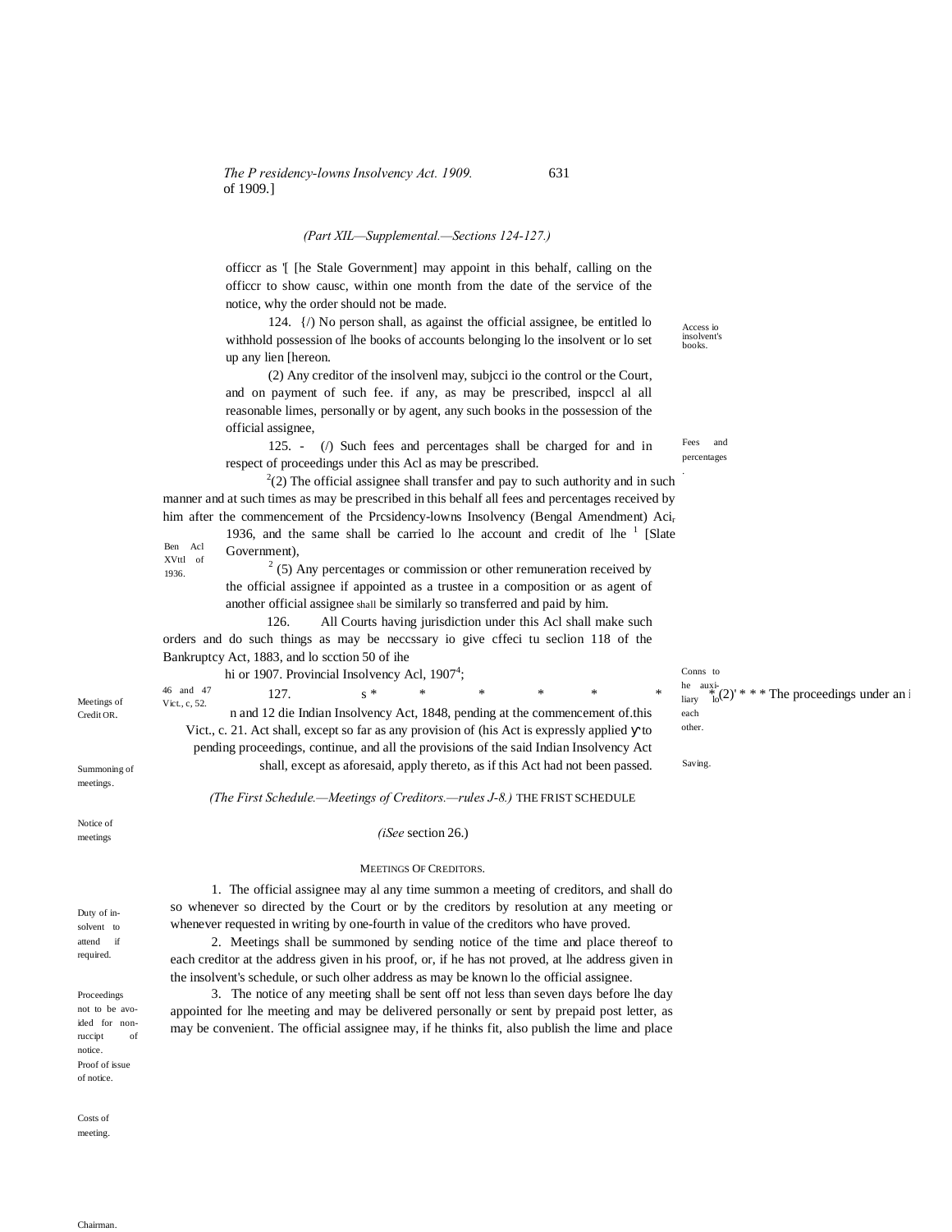*The P residency-lowns Insolvency Act. 1909.* 631 of 1909.]

#### *(Part XIL—Supplemental.—Sections 124-127.)*

officcr as '[ [he Stale Government] may appoint in this behalf, calling on the officcr to show causc, within one month from the date of the service of the notice, why the order should not be made.

124. {/) No person shall, as against the official assignee, be entitled lo withhold possession of lhe books of accounts belonging lo the insolvent or lo set up any lien [hereon.

(2) Any creditor of the insolvenl may, subjcci io the control or the Court, and on payment of such fee. if any, as may be prescribed, inspccl al all reasonable limes, personally or by agent, any such books in the possession of the official assignee,

125. - (/) Such fees and percentages shall be charged for and in respect of proceedings under this Acl as may be prescribed.

 $2(2)$  The official assignee shall transfer and pay to such authority and in such manner and at such times as may be prescribed in this behalf all fees and percentages received by him after the commencement of the Prcsidency-lowns Insolvency (Bengal Amendment) Aci<sub>r</sub>

Ben Acl XVttl of 1936, and the same shall be carried lo lhe account and credit of lhe  $1$  [Slate Government),

1936.

 $2$  (5) Any percentages or commission or other remuneration received by the official assignee if appointed as a trustee in a composition or as agent of another official assignee shall be similarly so transferred and paid by him.

126. All Courts having jurisdiction under this Acl shall make such orders and do such things as may be neccssary io give cffeci tu seclion 118 of the Bankruptcy Act, 1883, and lo scction 50 of ihe

| hi or 1907. Provincial Insolvency Acl, $1907^4$ ; |                                                                               |                                                                                             |                |   |  |   |   |        |                 |
|---------------------------------------------------|-------------------------------------------------------------------------------|---------------------------------------------------------------------------------------------|----------------|---|--|---|---|--------|-----------------|
| tings of                                          | 46 and 47<br>Vict., c, 52.                                                    | 127                                                                                         | $\mathbf{c}$ * | ∗ |  | * | * | $\ast$ | he aux<br>liary |
| lit OR.                                           | n and 12 die Indian Insolvency Act, 1848, pending at the commencement of this |                                                                                             |                |   |  |   |   |        |                 |
|                                                   |                                                                               | Vict., c. 21. Act shall, except so far as any provision of (his Act is expressly applied to |                |   |  |   |   |        | other.          |
|                                                   |                                                                               | pending proceedings, continue, and all the provisions of the said Indian Insolvency Act     |                |   |  |   |   |        |                 |
| moning of                                         |                                                                               | shall, except as aforesaid, apply thereto, as if this Act had not been passed.              |                |   |  |   |   |        | Saving.         |

Summoning of meetings.

Mee Cred

Notice of meetings

Duty of insolvent to attend if required.

*(iSee* section 26.)

*(The First Schedule.—Meetings of Creditors.—rules J-8.)* THE FRIST SCHEDULE

#### MEETINGS OF CREDITORS.

1. The official assignee may al any time summon a meeting of creditors, and shall do so whenever so directed by the Court or by the creditors by resolution at any meeting or whenever requested in writing by one-fourth in value of the creditors who have proved.

2. Meetings shall be summoned by sending notice of the time and place thereof to each creditor at the address given in his proof, or, if he has not proved, at lhe address given in the insolvent's schedule, or such olher address as may be known lo the official assignee.

3. The notice of any meeting shall be sent off not less than seven days before lhe day appointed for lhe meeting and may be delivered personally or sent by prepaid post letter, as may be convenient. The official assignee may, if he thinks fit, also publish the lime and place

Conns to he auxiliary lo  $\int_{0}^{1}(2)^{1}$  \* \* \* The proceedings under an instance

Access io insolvent's books.

Fees and percentages .

Proceedings not to be avoided for nonruccipt of notice. Proof of issue of notice.

Costs of meeting.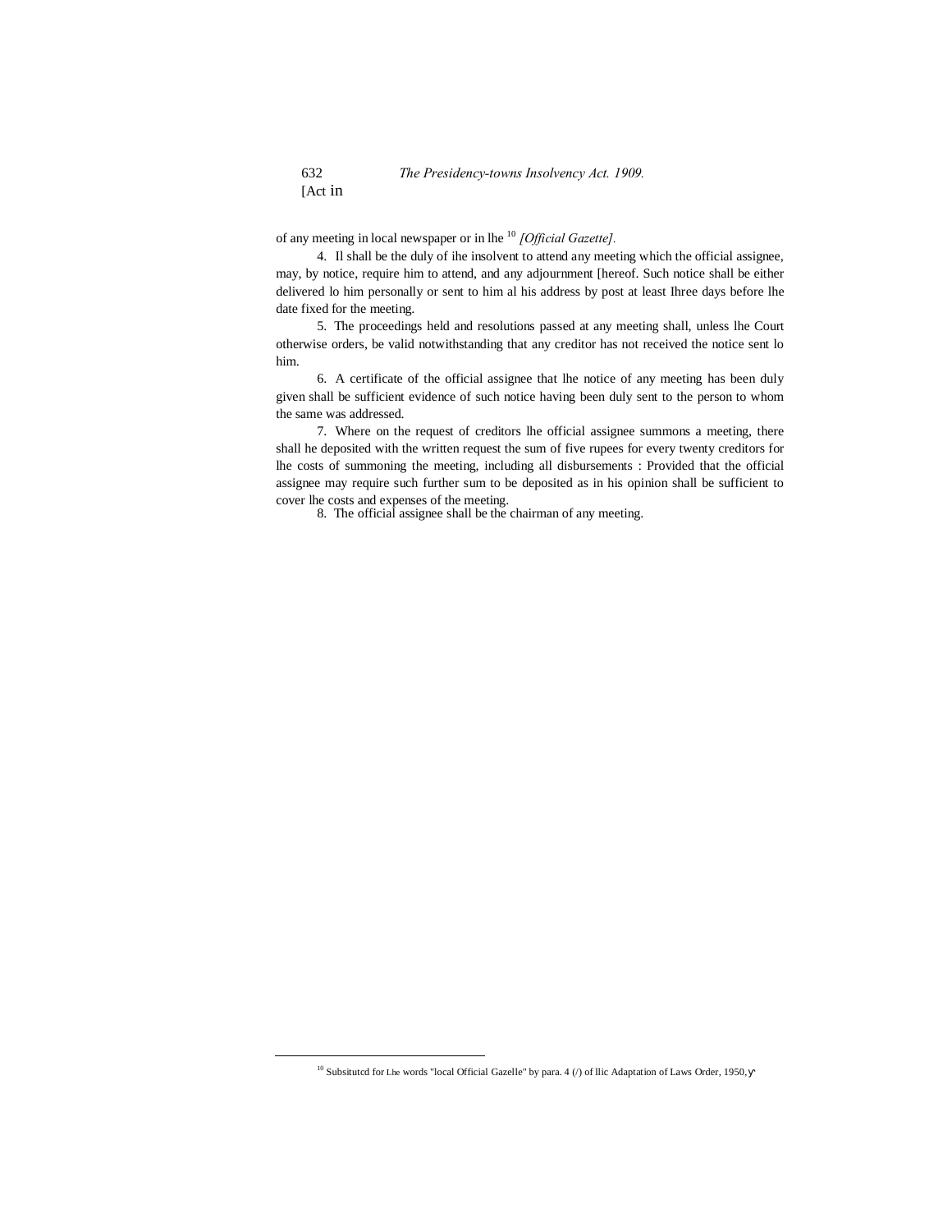632 *The Presidency-towns Insolvency Act. 1909.* [Act in]

of any meeting in local newspaper or in lhe 10 *[Official Gazette].*

4. Il shall be the duly of ihe insolvent to attend any meeting which the official assignee, may, by notice, require him to attend, and any adjournment [hereof. Such notice shall be either delivered lo him personally or sent to him al his address by post at least Ihree days before lhe date fixed for the meeting.

5. The proceedings held and resolutions passed at any meeting shall, unless lhe Court otherwise orders, be valid notwithstanding that any creditor has not received the notice sent lo him.

6. A certificate of the official assignee that lhe notice of any meeting has been duly given shall be sufficient evidence of such notice having been duly sent to the person to whom the same was addressed.

7. Where on the request of creditors lhe official assignee summons a meeting, there shall he deposited with the written request the sum of five rupees for every twenty creditors for lhe costs of summoning the meeting, including all disbursements : Provided that the official assignee may require such further sum to be deposited as in his opinion shall be sufficient to cover lhe costs and expenses of the meeting.

8. The official assignee shall be the chairman of any meeting.

<sup>&</sup>lt;sup>10</sup> Subsituted for Lhe words "local Official Gazelle" by para. 4 (/) of Ilic Adaptation of Laws Order, 1950,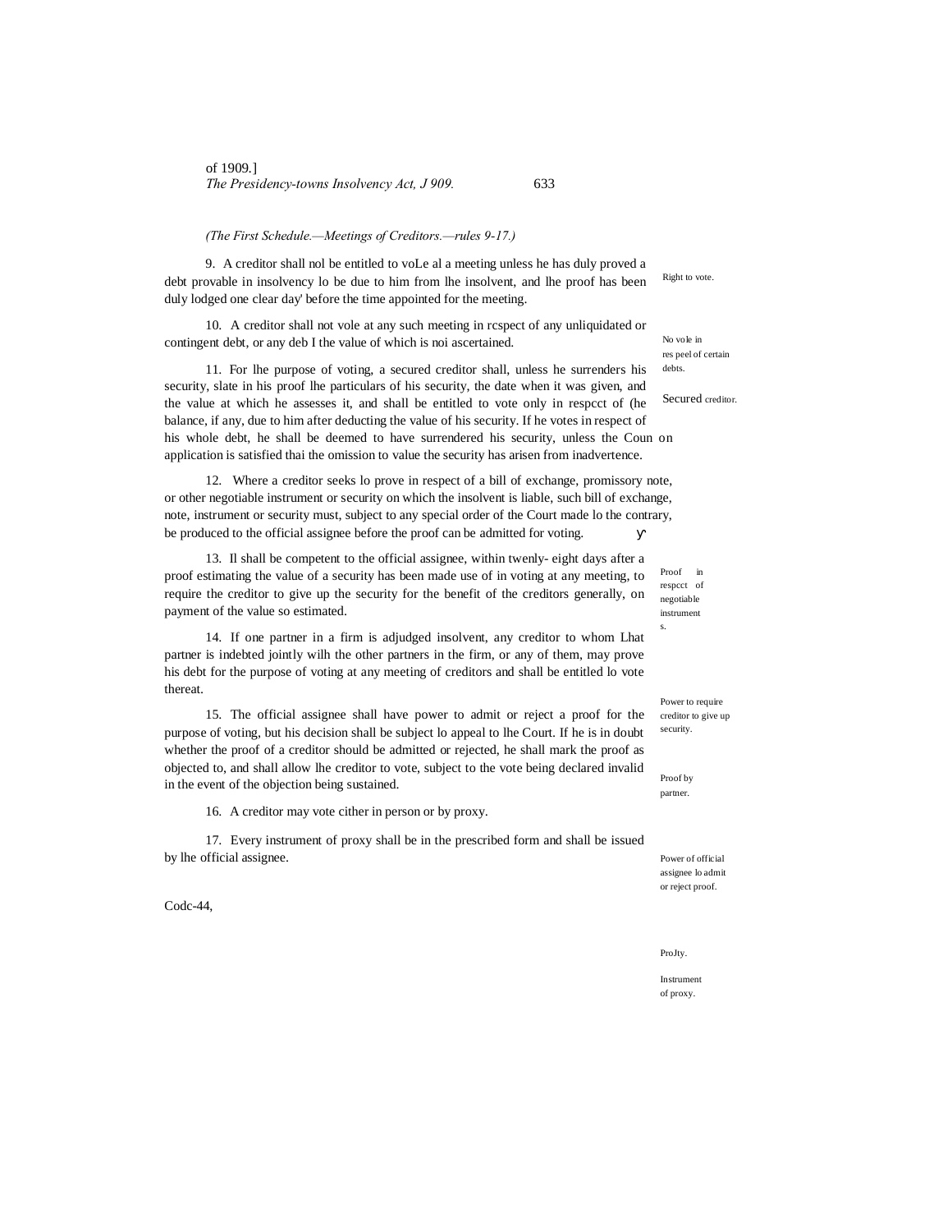#### *(The First Schedule.—Meetings of Creditors.—rules 9-17.)*

9. A creditor shall nol be entitled to voLe al a meeting unless he has duly proved a debt provable in insolvency lo be due to him from lhe insolvent, and lhe proof has been duly lodged one clear day' before the time appointed for the meeting.

10. A creditor shall not vole at any such meeting in rcspect of any unliquidated or contingent debt, or any deb I the value of which is noi ascertained.

11. For lhe purpose of voting, a secured creditor shall, unless he surrenders his security, slate in his proof lhe particulars of his security, the date when it was given, and the value at which he assesses it, and shall be entitled to vote only in respcct of (he balance, if any, due to him after deducting the value of his security. If he votes in respect of his whole debt, he shall be deemed to have surrendered his security, unless the Coun on application is satisfied thai the omission to value the security has arisen from inadvertence.

12. Where a creditor seeks lo prove in respect of a bill of exchange, promissory note, or other negotiable instrument or security on which the insolvent is liable, such bill of exchange, note, instrument or security must, subject to any special order of the Court made lo the contrary, be produced to the official assignee before the proof can be admitted for voting.

13. Il shall be competent to the official assignee, within twenly- eight days after a proof estimating the value of a security has been made use of in voting at any meeting, to require the creditor to give up the security for the benefit of the creditors generally, on payment of the value so estimated.

14. If one partner in a firm is adjudged insolvent, any creditor to whom Lhat partner is indebted jointly wilh the other partners in the firm, or any of them, may prove his debt for the purpose of voting at any meeting of creditors and shall be entitled lo vote thereat.

15. The official assignee shall have power to admit or reject a proof for the purpose of voting, but his decision shall be subject lo appeal to lhe Court. If he is in doubt whether the proof of a creditor should be admitted or rejected, he shall mark the proof as objected to, and shall allow lhe creditor to vote, subject to the vote being declared invalid in the event of the objection being sustained.

16. A creditor may vote cither in person or by proxy.

17. Every instrument of proxy shall be in the prescribed form and shall be issued by lhe official assignee.

res peel of certain debts.

No vole in

Right to vote.

Secured creditor.

Proof in respcct of negotiable instrument s.

Power to require creditor to give up security.

Proof by partner.

Power of official assignee lo admit or reject proof.

Codc-44,

ProJty.

Instrument of proxy.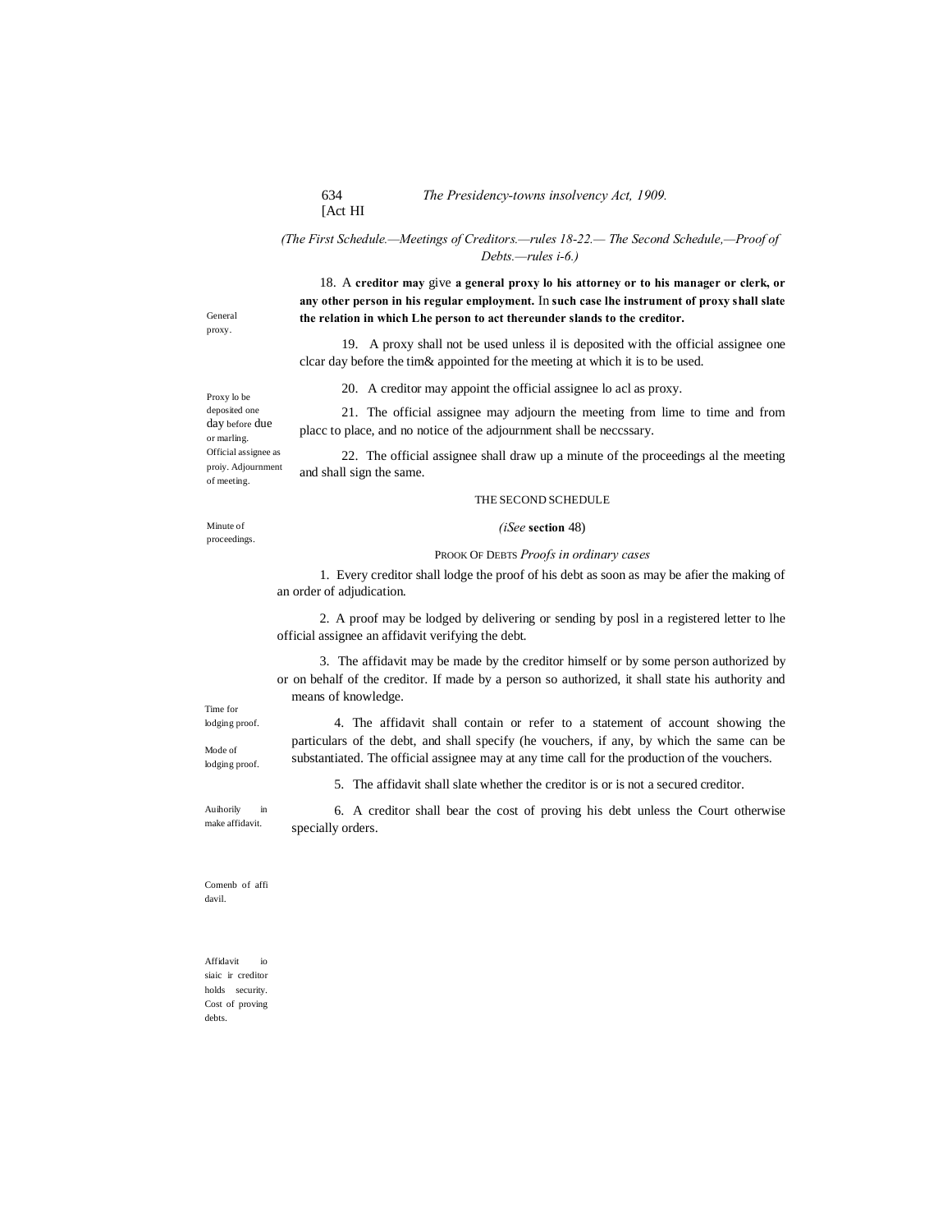# 634 *The Presidency-towns insolvency Act, 1909.* [Act HI

# *(The First Schedule.—Meetings of Creditors.—rules 18-22.— The Second Schedule,—Proof of Debts.—rules i-6.)*

18. A **creditor may** give **a general proxy lo his attorney or to his manager or clerk, or any other person in his regular employment.** In **such case lhe instrument of proxy shall slate the relation in which Lhe person to act thereunder slands to the creditor.**

19. A proxy shall not be used unless il is deposited with the official assignee one clcar day before the tim& appointed for the meeting at which it is to be used.

20. A creditor may appoint the official assignee lo acl as proxy.

21. The official assignee may adjourn the meeting from lime to time and from placc to place, and no notice of the adjournment shall be neccssary.

22. The official assignee shall draw up a minute of the proceedings al the meeting and shall sign the same.

#### THE SECOND SCHEDULE

#### *(iSee* **section** 48)

## PROOK OF DEBTS *Proofs in ordinary cases*

1. Every creditor shall lodge the proof of his debt as soon as may be afier the making of an order of adjudication.

2. A proof may be lodged by delivering or sending by posl in a registered letter to lhe official assignee an affidavit verifying the debt.

3. The affidavit may be made by the creditor himself or by some person authorized by or on behalf of the creditor. If made by a person so authorized, it shall state his authority and means of knowledge.

Time for lodging proof.

Mode of lodging proof.

4. The affidavit shall contain or refer to a statement of account showing the particulars of the debt, and shall specify (he vouchers, if any, by which the same can be substantiated. The official assignee may at any time call for the production of the vouchers.

5. The affidavit shall slate whether the creditor is or is not a secured creditor.

Auihorily in make affidavit.

6. A creditor shall bear the cost of proving his debt unless the Court otherwise specially orders.

Comenb of affi davil.

Affidavit io siaic ir creditor holds security. Cost of proving debts.

Proxy lo be deposited one day before due or marling. Official assignee as proiy. Adjournment of meeting.

Minute of proceedings.

General proxy.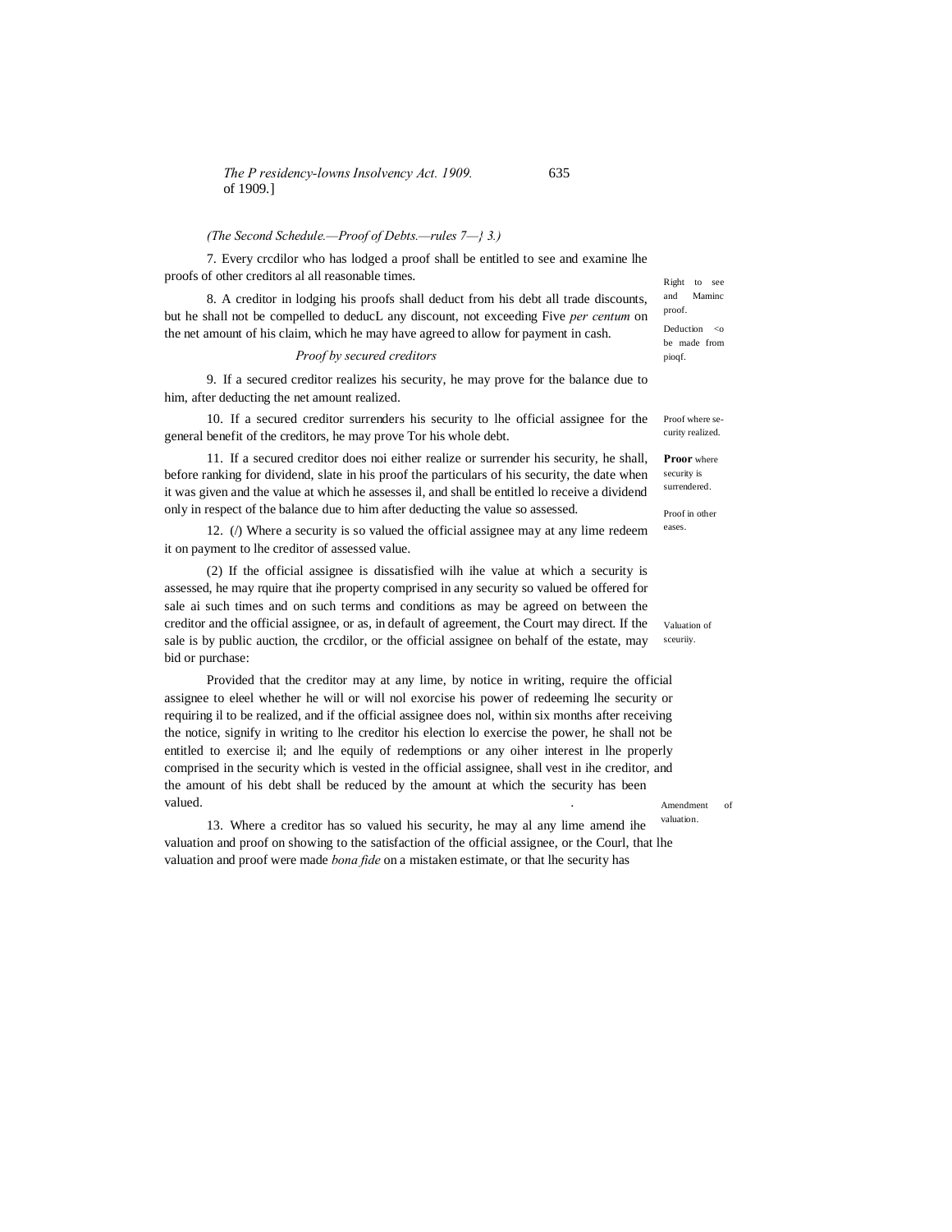*The P residency-lowns Insolvency Act. 1909.* 635 of 1909.]

#### *(The Second Schedule.—Proof of Debts.—rules 7—} 3.)*

7. Every crcdilor who has lodged a proof shall be entitled to see and examine lhe proofs of other creditors al all reasonable times.

8. A creditor in lodging his proofs shall deduct from his debt all trade discounts, but he shall not be compelled to deducL any discount, not exceeding Five *per centum* on the net amount of his claim, which he may have agreed to allow for payment in cash.

#### *Proof by secured creditors*

9. If a secured creditor realizes his security, he may prove for the balance due to him, after deducting the net amount realized.

10. If a secured creditor surrenders his security to lhe official assignee for the general benefit of the creditors, he may prove Tor his whole debt.

11. If a secured creditor does noi either realize or surrender his security, he shall, before ranking for dividend, slate in his proof the particulars of his security, the date when it was given and the value at which he assesses il, and shall be entitled lo receive a dividend only in respect of the balance due to him after deducting the value so assessed.

12. (/) Where a security is so valued the official assignee may at any lime redeem it on payment to lhe creditor of assessed value.

Valuation of (2) If the official assignee is dissatisfied wilh ihe value at which a security is assessed, he may rquire that ihe property comprised in any security so valued be offered for sale ai such times and on such terms and conditions as may be agreed on between the creditor and the official assignee, or as, in default of agreement, the Court may direct. If the sale is by public auction, the crcdilor, or the official assignee on behalf of the estate, may bid or purchase:

Provided that the creditor may at any lime, by notice in writing, require the official assignee to eleel whether he will or will nol exorcise his power of redeeming lhe security or requiring il to be realized, and if the official assignee does nol, within six months after receiving the notice, signify in writing to lhe creditor his election lo exercise the power, he shall not be entitled to exercise il; and lhe equily of redemptions or any oiher interest in lhe properly comprised in the security which is vested in the official assignee, shall vest in ihe creditor, and the amount of his debt shall be reduced by the amount at which the security has been valued.

valuation. 13. Where a creditor has so valued his security, he may al any lime amend ihe valuation and proof on showing to the satisfaction of the official assignee, or the Courl, that lhe valuation and proof were made *bona fide* on a mistaken estimate, or that lhe security has

and Maminc proof. Deduction  $\leq$ be made from pioqf.

Right to see

Proof where security realized.

**Proor** where security is surrendered.

Proof in other eases.

sceuriiy.

Amendment of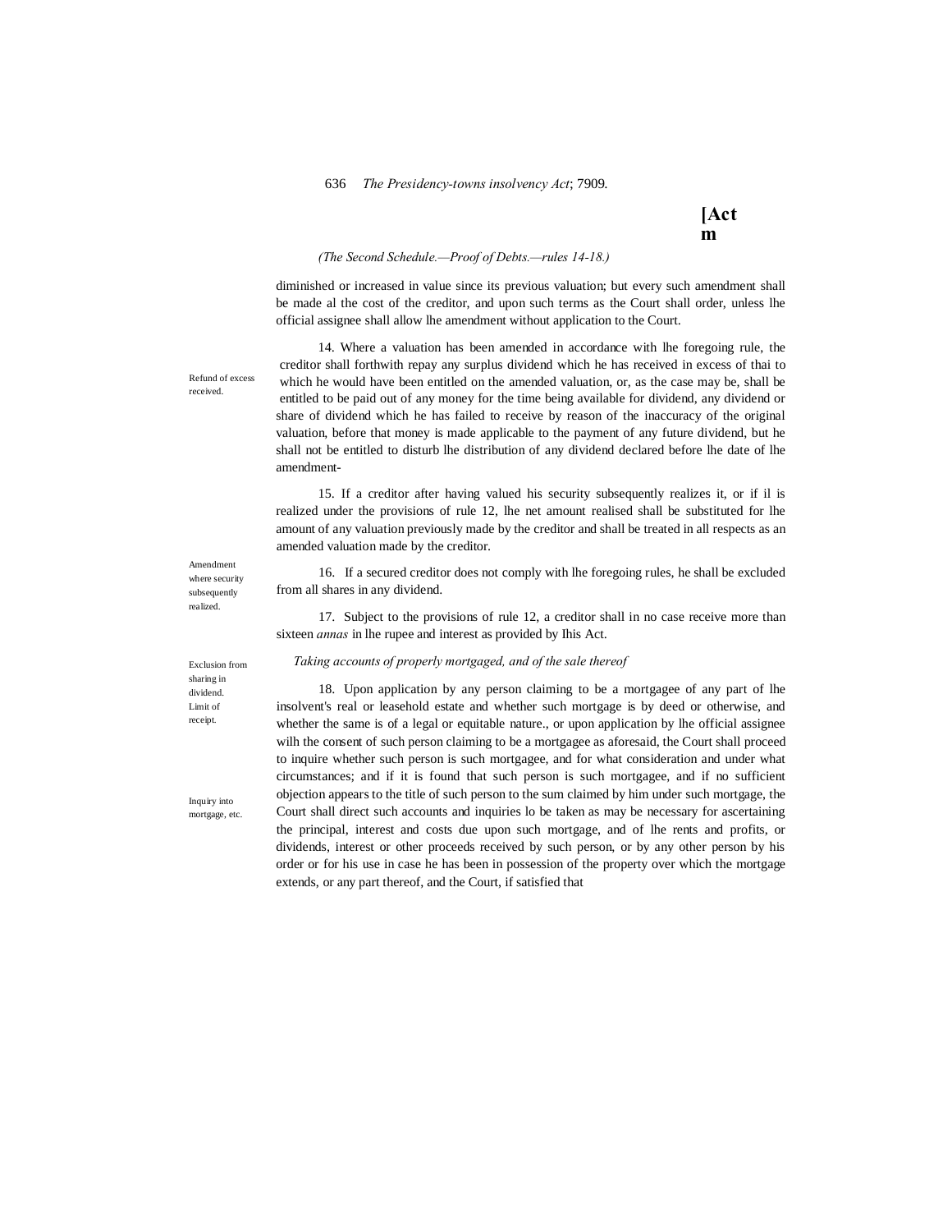636 *The Presidency-towns insolvency Act*; 7909.

### *(The Second Schedule.—Proof of Debts.—rules 14-18.)*

diminished or increased in value since its previous valuation; but every such amendment shall be made al the cost of the creditor, and upon such terms as the Court shall order, unless lhe official assignee shall allow lhe amendment without application to the Court.

Refund of excess received.

14. Where a valuation has been amended in accordance with lhe foregoing rule, the creditor shall forthwith repay any surplus dividend which he has received in excess of thai to which he would have been entitled on the amended valuation, or, as the case may be, shall be entitled to be paid out of any money for the time being available for dividend, any dividend or share of dividend which he has failed to receive by reason of the inaccuracy of the original valuation, before that money is made applicable to the payment of any future dividend, but he shall not be entitled to disturb lhe distribution of any dividend declared before lhe date of lhe amendment-

15. If a creditor after having valued his security subsequently realizes it, or if il is realized under the provisions of rule 12, lhe net amount realised shall be substituted for lhe amount of any valuation previously made by the creditor and shall be treated in all respects as an amended valuation made by the creditor.

16. If a secured creditor does not comply with lhe foregoing rules, he shall be excluded from all shares in any dividend.

17. Subject to the provisions of rule 12, a creditor shall in no case receive more than sixteen *annas* in lhe rupee and interest as provided by Ihis Act.

*Taking accounts of properly mortgaged, and of the sale thereof*

18. Upon application by any person claiming to be a mortgagee of any part of lhe insolvent's real or leasehold estate and whether such mortgage is by deed or otherwise, and whether the same is of a legal or equitable nature., or upon application by lhe official assignee wilh the consent of such person claiming to be a mortgagee as aforesaid, the Court shall proceed to inquire whether such person is such mortgagee, and for what consideration and under what circumstances; and if it is found that such person is such mortgagee, and if no sufficient objection appears to the title of such person to the sum claimed by him under such mortgage, the Court shall direct such accounts and inquiries lo be taken as may be necessary for ascertaining the principal, interest and costs due upon such mortgage, and of lhe rents and profits, or dividends, interest or other proceeds received by such person, or by any other person by his order or for his use in case he has been in possession of the property over which the mortgage extends, or any part thereof, and the Court, if satisfied that

Exclusion from sharing in

Amendment where security subsequently realized.

receipt.

dividend. Limit of

Inquiry into mortgage, etc. **[Act m**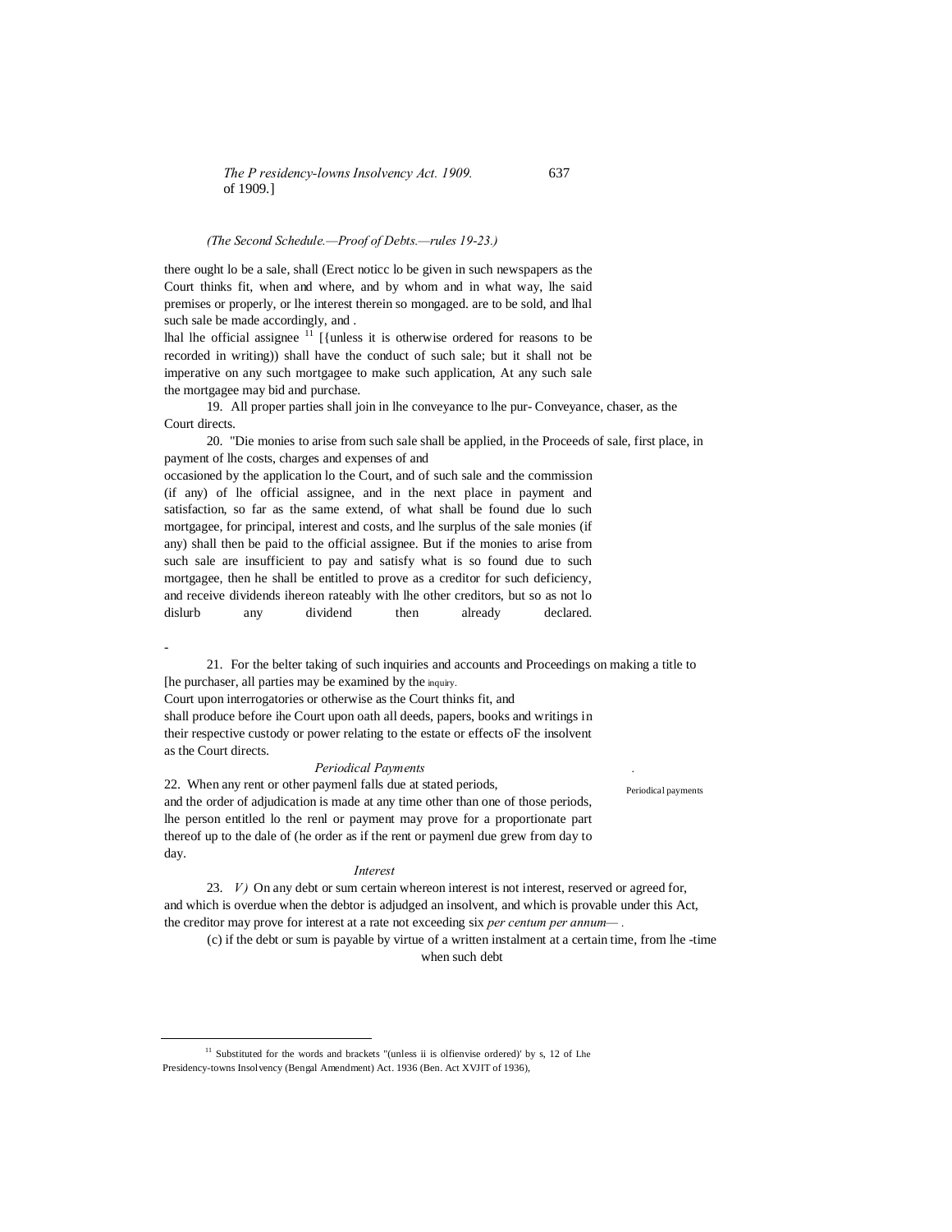*The P residency-lowns Insolvency Act. 1909.* 637 of 1909.]

# *(The Second Schedule.—Proof of Debts.—rules 19-23.)*

there ought lo be a sale, shall (Erect noticc lo be given in such newspapers as the Court thinks fit, when and where, and by whom and in what way, lhe said premises or properly, or lhe interest therein so mongaged. are to be sold, and lhal such sale be made accordingly, and .

lhal lhe official assignee  $11$  [{unless it is otherwise ordered for reasons to be recorded in writing)) shall have the conduct of such sale; but it shall not be imperative on any such mortgagee to make such application, At any such sale the mortgagee may bid and purchase.

19. All proper parties shall join in lhe conveyance to lhe pur- Conveyance, chaser, as the Court directs.

20. "Die monies to arise from such sale shall be applied, in the Proceeds of sale, first place, in payment of lhe costs, charges and expenses of and

occasioned by the application lo the Court, and of such sale and the commission (if any) of lhe official assignee, and in the next place in payment and satisfaction, so far as the same extend, of what shall be found due lo such mortgagee, for principal, interest and costs, and lhe surplus of the sale monies (if any) shall then be paid to the official assignee. But if the monies to arise from such sale are insufficient to pay and satisfy what is so found due to such mortgagee, then he shall be entitled to prove as a creditor for such deficiency, and receive dividends ihereon rateably with lhe other creditors, but so as not lo dislurb any dividend then already declared.

21. For the belter taking of such inquiries and accounts and Proceedings on making a title to [he purchaser, all parties may be examined by the inquiry.

Court upon interrogatories or otherwise as the Court thinks fit, and

-

shall produce before ihe Court upon oath all deeds, papers, books and writings in their respective custody or power relating to the estate or effects oF the insolvent as the Court directs.

# *Periodical Payments .*

Periodical payments

22. When any rent or other paymenl falls due at stated periods, and the order of adjudication is made at any time other than one of those periods, lhe person entitled lo the renl or payment may prove for a proportionate part thereof up to the dale of (he order as if the rent or paymenl due grew from day to day.

#### *Interest*

23. *V*) On any debt or sum certain whereon interest is not interest, reserved or agreed for, and which is overdue when the debtor is adjudged an insolvent, and which is provable under this Act, the creditor may prove for interest at a rate not exceeding six *per centum per annum— .*

(c) if the debt or sum is payable by virtue of a written instalment at a certain time, from lhe -time when such debt

<sup>&</sup>lt;sup>11</sup> Substituted for the words and brackets "(unless ii is olfienvise ordered)' by s, 12 of Lhe Presidency-towns Insolvency (Bengal Amendment) Act. 1936 (Ben. Act XVJIT of 1936),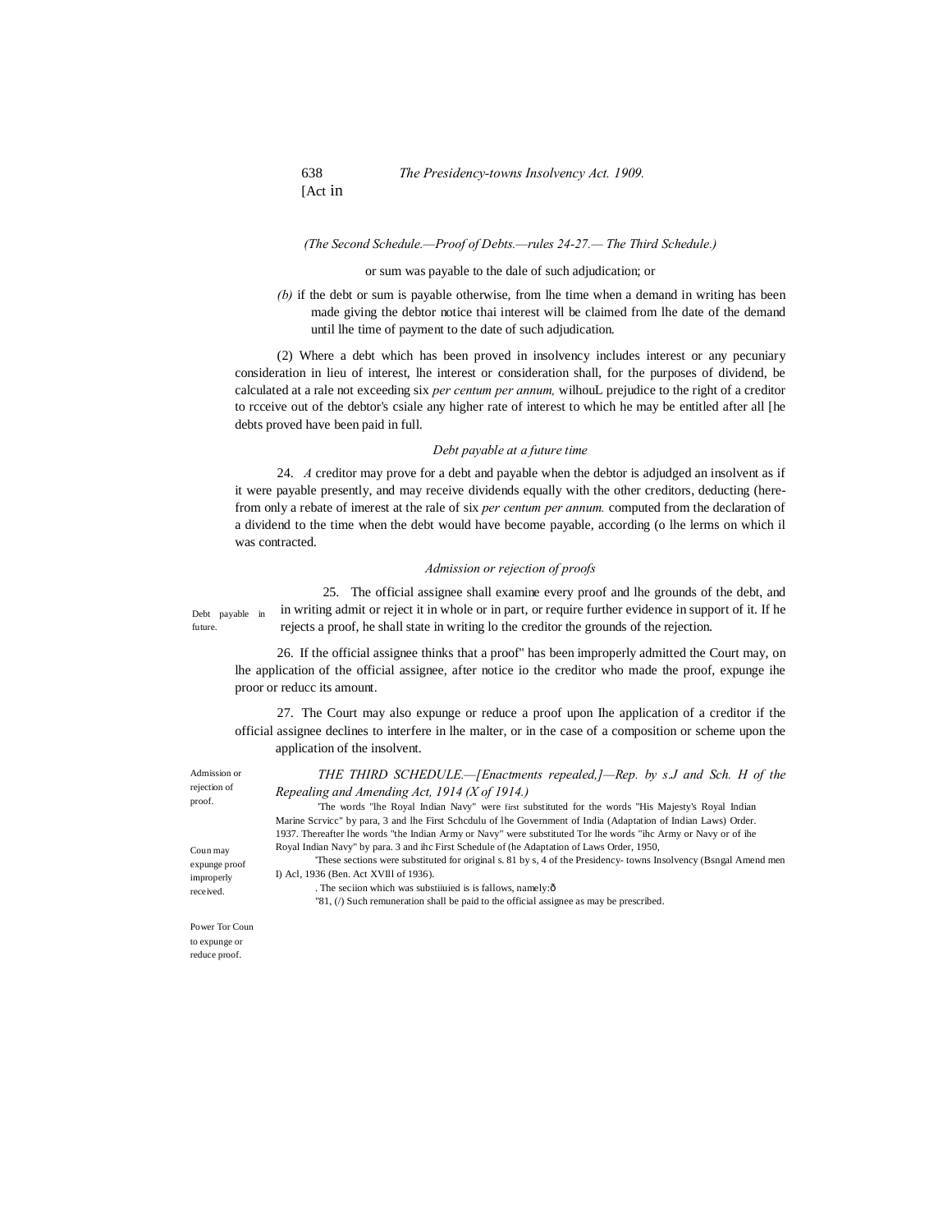638 *The Presidency-towns Insolvency Act. 1909.* [Act in]

*(The Second Schedule.—Proof of Debts.—rules 24-27.— The Third Schedule.)*

#### or sum was payable to the dale of such adjudication; or

*(b)* if the debt or sum is payable otherwise, from lhe time when a demand in writing has been made giving the debtor notice thai interest will be claimed from lhe date of the demand until lhe time of payment to the date of such adjudication.

(2) Where a debt which has been proved in insolvency includes interest or any pecuniary consideration in lieu of interest, lhe interest or consideration shall, for the purposes of dividend, be calculated at a rale not exceeding six *per centum per annum,* wilhouL prejudice to the right of a creditor to rcceive out of the debtor's csiale any higher rate of interest to which he may be entitled after all [he debts proved have been paid in full.

### *Debt payable at a future time*

24. *A* creditor may prove for a debt and payable when the debtor is adjudged an insolvent as if it were payable presently, and may receive dividends equally with the other creditors, deducting (herefrom only a rebate of imerest at the rale of six *per centum per annum.* computed from the declaration of a dividend to the time when the debt would have become payable, according (o lhe lerms on which il was contracted.

# *Admission or rejection of proofs*

Debt payable in future.

25. The official assignee shall examine every proof and lhe grounds of the debt, and in writing admit or reject it in whole or in part, or require further evidence in support of it. If he rejects a proof, he shall state in writing lo the creditor the grounds of the rejection.

26. If the official assignee thinks that a proof" has been improperly admitted the Court may, on lhe application of the official assignee, after notice io the creditor who made the proof, expunge ihe proor or reducc its amount.

27. The Court may also expunge or reduce a proof upon Ihe application of a creditor if the official assignee declines to interfere in lhe malter, or in the case of a composition or scheme upon the application of the insolvent.

*THE THIRD SCHEDULE.—[Enactments repealed,]—Rep. by s.J and Sch. H of the Repealing and Amending Act, 1914 (X of 1914.)*

'The words "lhe Royal Indian Navy" were first substituted for the words "His Majesty's Royal Indian Marine Scrvicc" by para, 3 and lhe First Schcdulu of lhe Government of India (Adaptation of Indian Laws) Order. 1937. Thereafter lhe words "the Indian Army or Navy" were substituted Tor lhe words "ihc Army or Navy or of ihe Royal Indian Navy" by para. 3 and ihc First Schedule of (he Adaptation of Laws Order, 1950,

'These sections were substituted for original s. 81 by s, 4 of the Presidency- towns Insolvency (Bsngal Amend men I) Acl, 1936 (Ben. Act XVIll of 1936).

. The seciion which was substiiuied is is fallows, namely: $\delta$ 

"81, (/) Such remuneration shall be paid to the official assignee as may be prescribed.

expunge proof improperly received.

Coun may

Admission or rejection of proof.

Power Tor Coun to expunge or reduce proof.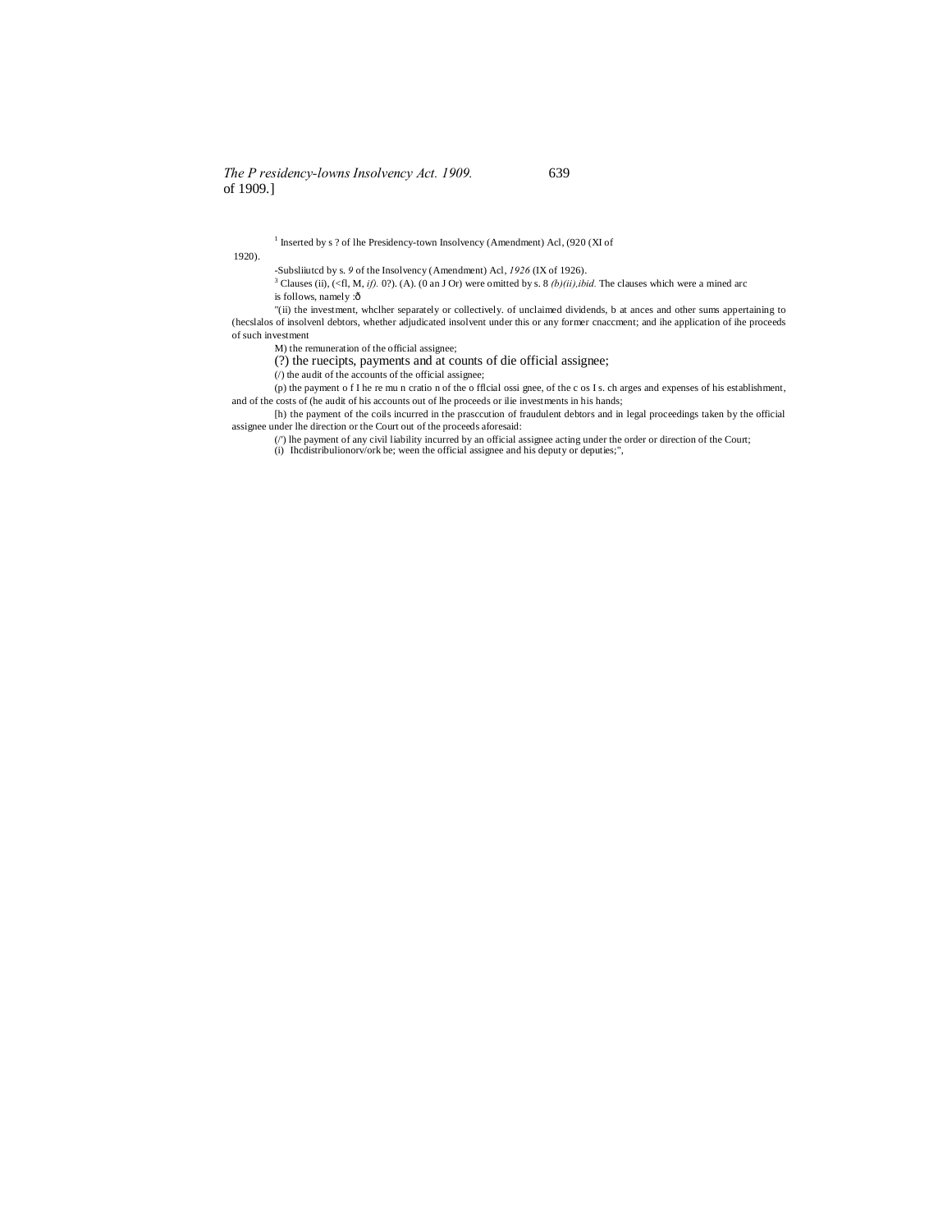# *The P residency-lowns Insolvency Act. 1909.* 639 of 1909.]

<sup>1</sup> Inserted by s ? of lhe Presidency-town Insolvency (Amendment) Acl, (920 (XI of

1920).

-Subsliiutcd by s. *9* of the Insolvency (Amendment) Acl, *1926* (IX of 1926).

<sup>3</sup> Clauses (ii), (<fl, M, *if).* 0?). (A). (0 an J Or) were omitted by s. 8 *(b)(ii),ibid.* The clauses which were a mined arc is follows, namely :ô

"(ii) the investment, whclher separately or collectively. of unclaimed dividends, b at ances and other sums appertaining to (hecslalos of insolvenl debtors, whether adjudicated insolvent under this or any former cnaccment; and ihe application of ihe proceeds of such investment

M) the remuneration of the official assignee;

(?) the ruecipts, payments and at counts of die official assignee;

( $\ell$ ) the audit of the accounts of the official assignee;

(p) the payment o f I he re mu n cratio n of the o fflcial ossi gnee, of the c os I s. ch arges and expenses of his establishment, and of the costs of (he audit of his accounts out of lhe proceeds or ilie investments in his hands;

[h) the payment of the coils incurred in the prasccution of fraudulent debtors and in legal proceedings taken by the official assignee under lhe direction or the Court out of the proceeds aforesaid:

(/') lhe payment of any civil liability incurred by an official assignee acting under the order or direction of the Court; (i) Ihcdistribulionorv/ork be; ween the official assignee and his deputy or deputies;",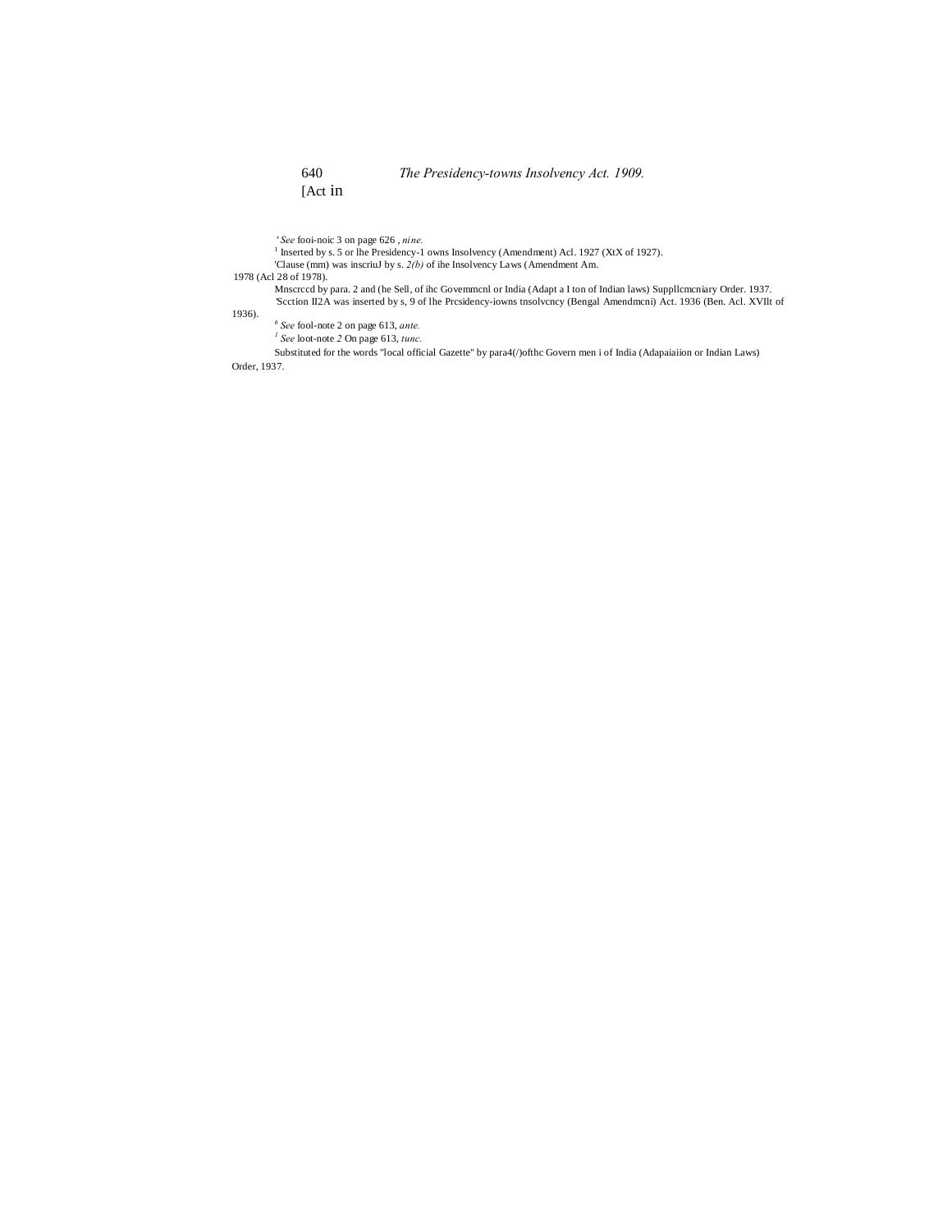# 640 *The Presidency-towns Insolvency Act. 1909.* [Act in

*See* fooi-noic 3 on page 626 , *nine.*<br><sup>1</sup> Inserted by s. 5 or lhe Presidency-1 owns Insolvency (Amendment) Acl. 1927 (XtX of 1927).<br>Clause (mm) was inscriul by s.  $2(b)$  of ihe Insolvency Laws (Amendment Am.<br>1978 (Acl 28

1936). *<sup>6</sup> See* fool-note 2 on page 613, *ante.*

*<sup>1</sup> See* loot-note *2* On page 613, *tunc.*

Substituted for the words "local official Gazette" by para4(/)ofthc Govern men i of India (Adapaiaiion or Indian Laws) Order, 1937.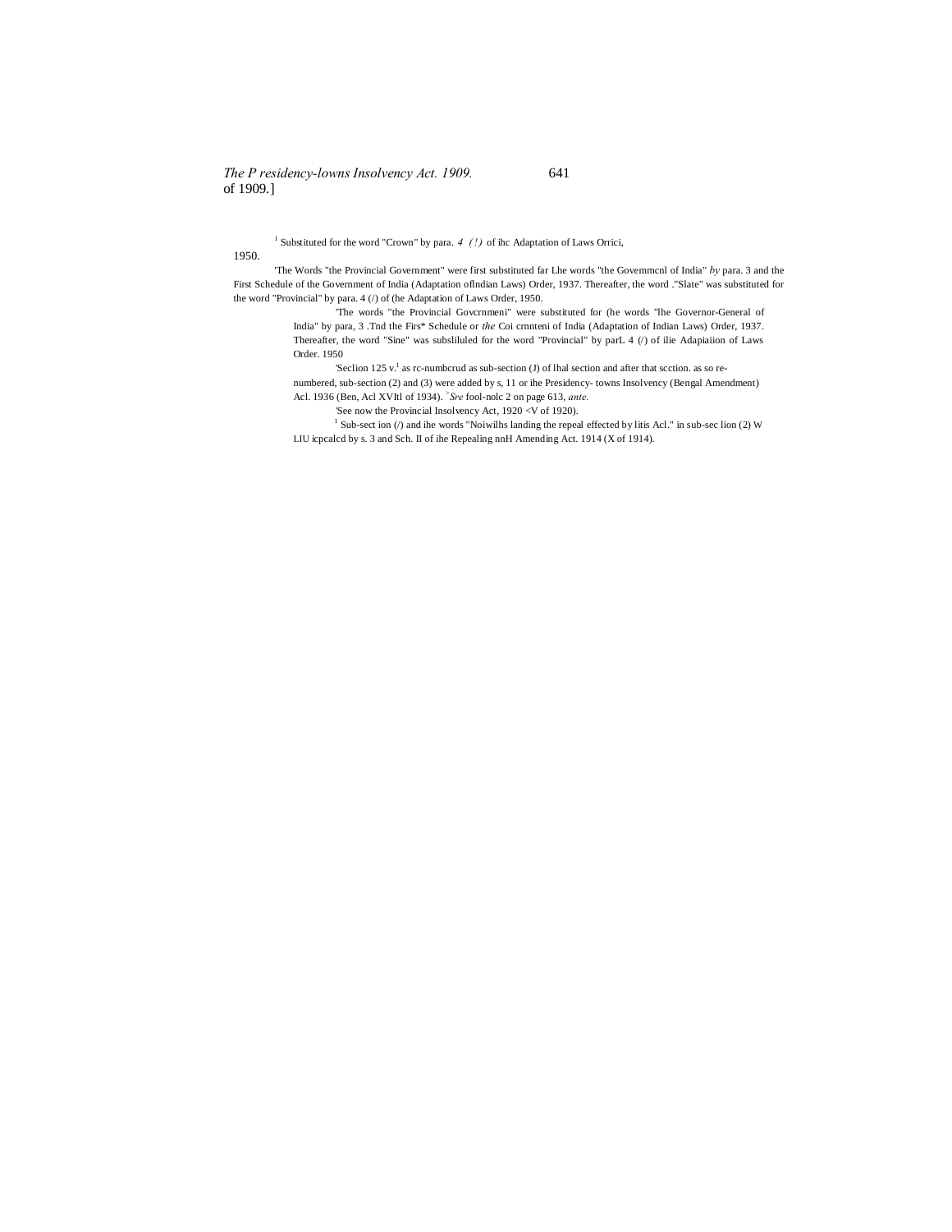## *The P residency-lowns Insolvency Act. 1909.* 641 of 1909.]

<sup>1</sup> Substituted for the word "Crown" by para. *4 (!)* of ihc Adaptation of Laws Orrici,

1950.

'The Words "the Provincial Government" were first substituted far Lhe words "the Govemmcnl of India" *by* para. 3 and the First Schedule of the Government of India (Adaptation oflndian Laws) Order, 1937. Thereafter, the word ."Slate" was substituted for the word "Provincial" by para. 4  $(\prime)$  of (he Adaptation of Laws Order, 1950.

'The words "the Provincial Govcrnmeni" were substituted for (he words "lhe Governor-General of India" by para, 3 .Tnd the Firs\* Schedule or *the* Coi crnnteni of India (Adaptation of Indian Laws) Order, 1937. Thereafter, the word "Sine" was subsliluled for the word "Provincial" by parL 4 (/) of ilie Adapiaiion of Laws Order. 1950

'Seclion 125 v.<sup>1</sup> as rc-numbcrud as sub-section (J) of lhal section and after that scction. as so renumbered, sub-section (2) and (3) were added by s, 11 or ihe Presidency- towns Insolvency (Bengal Amendment) Acl. 1936 (Ben, Acl XVItl of 1934). *<sup>&</sup>gt; Sre* fool-nolc 2 on page 613, *ante.*

'See now the Provincial Insolvency Act, 1920 <V of 1920).

 $1$  Sub-sect ion (/) and ihe words "Noiwilhs landing the repeal effected by litis Acl." in sub-sec lion (2) W LIU icpcalcd by s. 3 and Sch. II of ihe Repealing nnH Amending Act. 1914 (X of 1914).